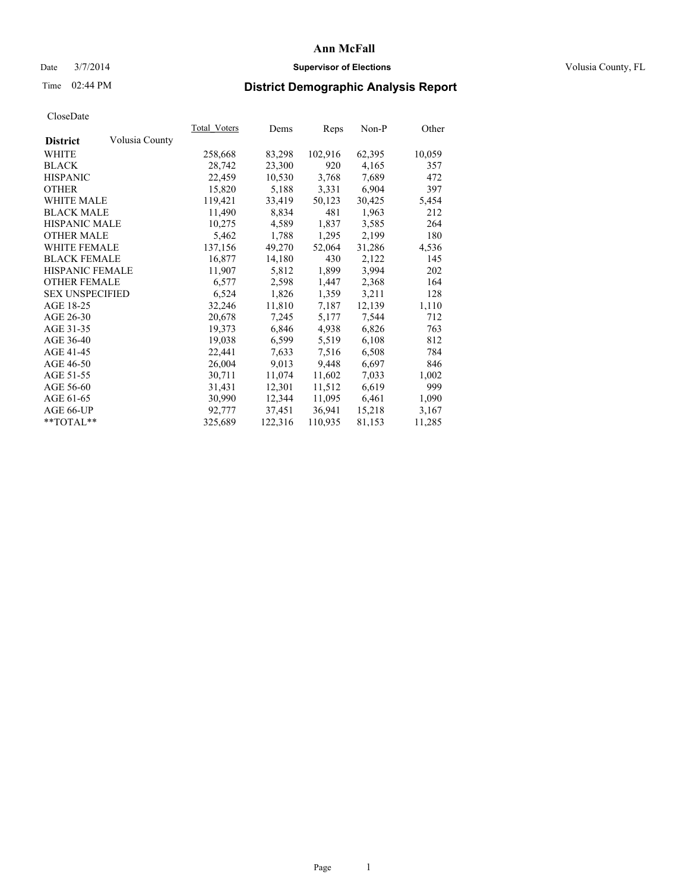### Date  $3/7/2014$  **Supervisor of Elections Supervisor of Elections** Volusia County, FL

## Time 02:44 PM **District Demographic Analysis Report**

|                        |                | Total Voters | Dems    | <b>Reps</b> | Non-P  | Other  |
|------------------------|----------------|--------------|---------|-------------|--------|--------|
| <b>District</b>        | Volusia County |              |         |             |        |        |
| WHITE                  |                | 258,668      | 83,298  | 102,916     | 62,395 | 10,059 |
| <b>BLACK</b>           |                | 28,742       | 23,300  | 920         | 4,165  | 357    |
| <b>HISPANIC</b>        |                | 22,459       | 10,530  | 3,768       | 7,689  | 472    |
| <b>OTHER</b>           |                | 15,820       | 5,188   | 3,331       | 6,904  | 397    |
| WHITE MALE             |                | 119,421      | 33,419  | 50,123      | 30,425 | 5,454  |
| <b>BLACK MALE</b>      |                | 11,490       | 8,834   | 481         | 1,963  | 212    |
| <b>HISPANIC MALE</b>   |                | 10,275       | 4,589   | 1,837       | 3,585  | 264    |
| <b>OTHER MALE</b>      |                | 5,462        | 1,788   | 1,295       | 2,199  | 180    |
| <b>WHITE FEMALE</b>    |                | 137,156      | 49,270  | 52,064      | 31,286 | 4,536  |
| <b>BLACK FEMALE</b>    |                | 16,877       | 14,180  | 430         | 2,122  | 145    |
| <b>HISPANIC FEMALE</b> |                | 11,907       | 5,812   | 1,899       | 3,994  | 202    |
| <b>OTHER FEMALE</b>    |                | 6,577        | 2,598   | 1,447       | 2,368  | 164    |
| <b>SEX UNSPECIFIED</b> |                | 6,524        | 1,826   | 1,359       | 3,211  | 128    |
| AGE 18-25              |                | 32,246       | 11,810  | 7,187       | 12,139 | 1,110  |
| AGE 26-30              |                | 20,678       | 7,245   | 5,177       | 7,544  | 712    |
| AGE 31-35              |                | 19,373       | 6,846   | 4,938       | 6,826  | 763    |
| AGE 36-40              |                | 19,038       | 6,599   | 5,519       | 6,108  | 812    |
| AGE 41-45              |                | 22,441       | 7,633   | 7.516       | 6,508  | 784    |
| AGE 46-50              |                | 26,004       | 9,013   | 9,448       | 6,697  | 846    |
| AGE 51-55              |                | 30,711       | 11,074  | 11,602      | 7,033  | 1,002  |
| AGE 56-60              |                | 31,431       | 12,301  | 11,512      | 6,619  | 999    |
| AGE 61-65              |                | 30,990       | 12,344  | 11,095      | 6,461  | 1,090  |
| AGE 66-UP              |                | 92,777       | 37,451  | 36,941      | 15,218 | 3,167  |
| $*$ TOTAL $*$          |                | 325,689      | 122,316 | 110,935     | 81,153 | 11,285 |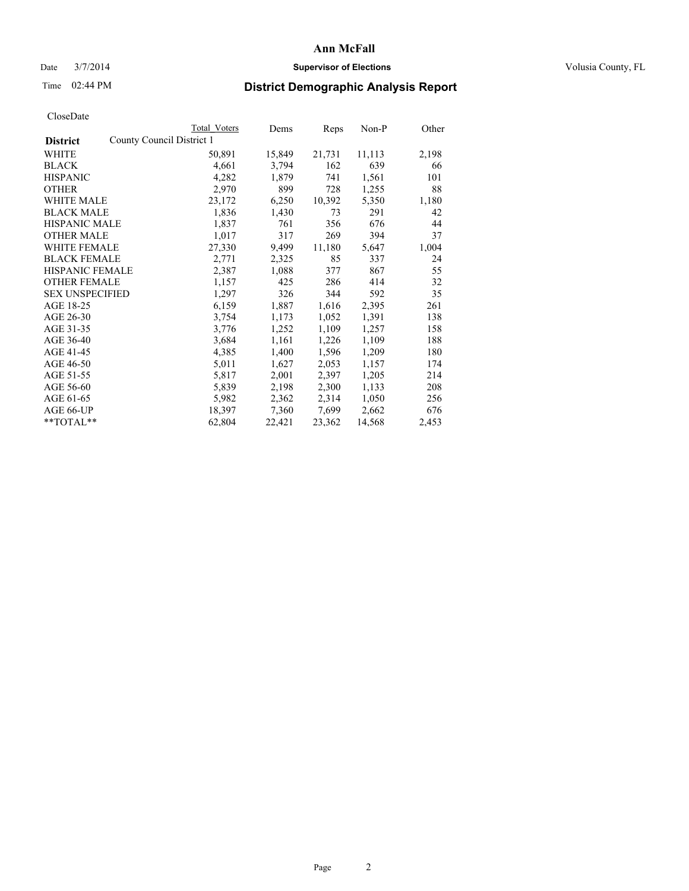### Date  $3/7/2014$  **Supervisor of Elections Supervisor of Elections** Volusia County, FL

## Time 02:44 PM **District Demographic Analysis Report**

|                        |                           | Total Voters | Dems   | <b>Reps</b> | Non-P  | Other |
|------------------------|---------------------------|--------------|--------|-------------|--------|-------|
| <b>District</b>        | County Council District 1 |              |        |             |        |       |
| WHITE                  |                           | 50,891       | 15,849 | 21,731      | 11,113 | 2,198 |
| <b>BLACK</b>           |                           | 4,661        | 3,794  | 162         | 639    | 66    |
| <b>HISPANIC</b>        |                           | 4,282        | 1,879  | 741         | 1,561  | 101   |
| <b>OTHER</b>           |                           | 2,970        | 899    | 728         | 1,255  | 88    |
| WHITE MALE             |                           | 23,172       | 6,250  | 10,392      | 5,350  | 1,180 |
| <b>BLACK MALE</b>      |                           | 1,836        | 1,430  | 73          | 291    | 42    |
| <b>HISPANIC MALE</b>   |                           | 1,837        | 761    | 356         | 676    | 44    |
| <b>OTHER MALE</b>      |                           | 1,017        | 317    | 269         | 394    | 37    |
| <b>WHITE FEMALE</b>    |                           | 27,330       | 9,499  | 11,180      | 5,647  | 1,004 |
| <b>BLACK FEMALE</b>    |                           | 2,771        | 2,325  | 85          | 337    | 24    |
| HISPANIC FEMALE        |                           | 2,387        | 1,088  | 377         | 867    | 55    |
| <b>OTHER FEMALE</b>    |                           | 1,157        | 425    | 286         | 414    | 32    |
| <b>SEX UNSPECIFIED</b> |                           | 1,297        | 326    | 344         | 592    | 35    |
| AGE 18-25              |                           | 6,159        | 1,887  | 1,616       | 2,395  | 261   |
| AGE 26-30              |                           | 3,754        | 1,173  | 1,052       | 1,391  | 138   |
| AGE 31-35              |                           | 3,776        | 1,252  | 1,109       | 1,257  | 158   |
| AGE 36-40              |                           | 3,684        | 1,161  | 1,226       | 1,109  | 188   |
| AGE 41-45              |                           | 4,385        | 1,400  | 1,596       | 1,209  | 180   |
| AGE 46-50              |                           | 5,011        | 1,627  | 2,053       | 1,157  | 174   |
| AGE 51-55              |                           | 5,817        | 2,001  | 2,397       | 1,205  | 214   |
| AGE 56-60              |                           | 5,839        | 2,198  | 2,300       | 1,133  | 208   |
| AGE 61-65              |                           | 5,982        | 2,362  | 2,314       | 1,050  | 256   |
| AGE 66-UP              |                           | 18,397       | 7,360  | 7,699       | 2,662  | 676   |
| **TOTAL**              |                           | 62,804       | 22,421 | 23,362      | 14,568 | 2,453 |
|                        |                           |              |        |             |        |       |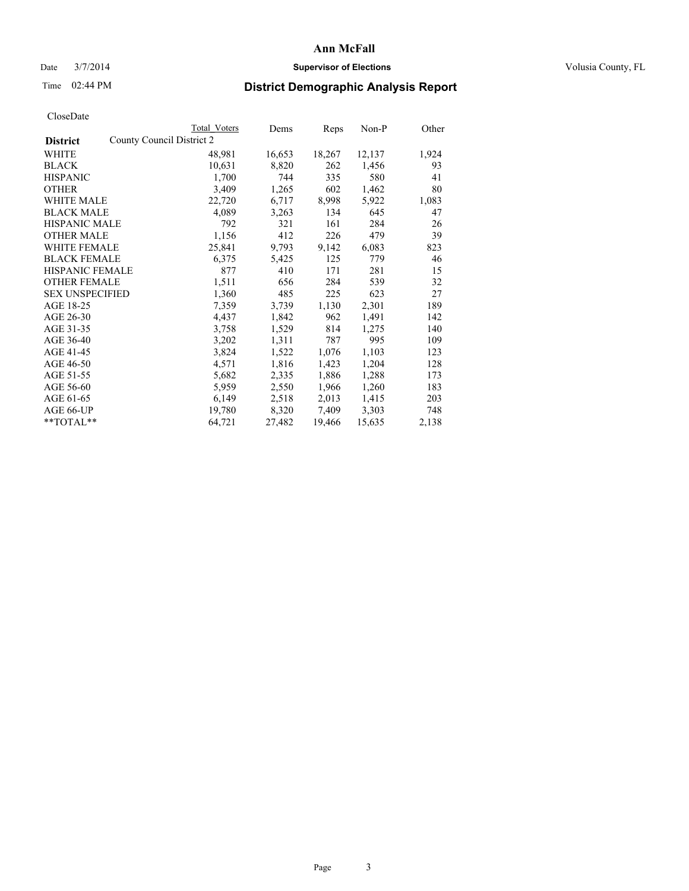### Date  $3/7/2014$  **Supervisor of Elections Supervisor of Elections** Volusia County, FL

## Time 02:44 PM **District Demographic Analysis Report**

|                        |                           | <b>Total Voters</b> | Dems   | Reps   | Non-P  | Other |
|------------------------|---------------------------|---------------------|--------|--------|--------|-------|
| <b>District</b>        | County Council District 2 |                     |        |        |        |       |
| <b>WHITE</b>           |                           | 48,981              | 16,653 | 18,267 | 12,137 | 1,924 |
| <b>BLACK</b>           |                           | 10,631              | 8,820  | 262    | 1,456  | 93    |
| <b>HISPANIC</b>        |                           | 1,700               | 744    | 335    | 580    | 41    |
| <b>OTHER</b>           |                           | 3,409               | 1,265  | 602    | 1,462  | 80    |
| <b>WHITE MALE</b>      |                           | 22,720              | 6,717  | 8,998  | 5,922  | 1,083 |
| <b>BLACK MALE</b>      |                           | 4,089               | 3,263  | 134    | 645    | 47    |
| <b>HISPANIC MALE</b>   |                           | 792                 | 321    | 161    | 284    | 26    |
| <b>OTHER MALE</b>      |                           | 1,156               | 412    | 226    | 479    | 39    |
| <b>WHITE FEMALE</b>    |                           | 25,841              | 9,793  | 9,142  | 6,083  | 823   |
| <b>BLACK FEMALE</b>    |                           | 6,375               | 5,425  | 125    | 779    | 46    |
| <b>HISPANIC FEMALE</b> |                           | 877                 | 410    | 171    | 281    | 15    |
| <b>OTHER FEMALE</b>    |                           | 1,511               | 656    | 284    | 539    | 32    |
| <b>SEX UNSPECIFIED</b> |                           | 1,360               | 485    | 225    | 623    | 27    |
| AGE 18-25              |                           | 7,359               | 3,739  | 1,130  | 2,301  | 189   |
| AGE 26-30              |                           | 4,437               | 1,842  | 962    | 1,491  | 142   |
| AGE 31-35              |                           | 3,758               | 1,529  | 814    | 1,275  | 140   |
| AGE 36-40              |                           | 3,202               | 1,311  | 787    | 995    | 109   |
| AGE 41-45              |                           | 3,824               | 1,522  | 1,076  | 1,103  | 123   |
| AGE 46-50              |                           | 4,571               | 1,816  | 1,423  | 1,204  | 128   |
| AGE 51-55              |                           | 5,682               | 2,335  | 1,886  | 1,288  | 173   |
| AGE 56-60              |                           | 5,959               | 2,550  | 1,966  | 1,260  | 183   |
| AGE 61-65              |                           | 6,149               | 2,518  | 2,013  | 1,415  | 203   |
| AGE 66-UP              |                           | 19,780              | 8,320  | 7,409  | 3,303  | 748   |
| $*$ $TOTAL**$          |                           | 64,721              | 27,482 | 19,466 | 15,635 | 2,138 |
|                        |                           |                     |        |        |        |       |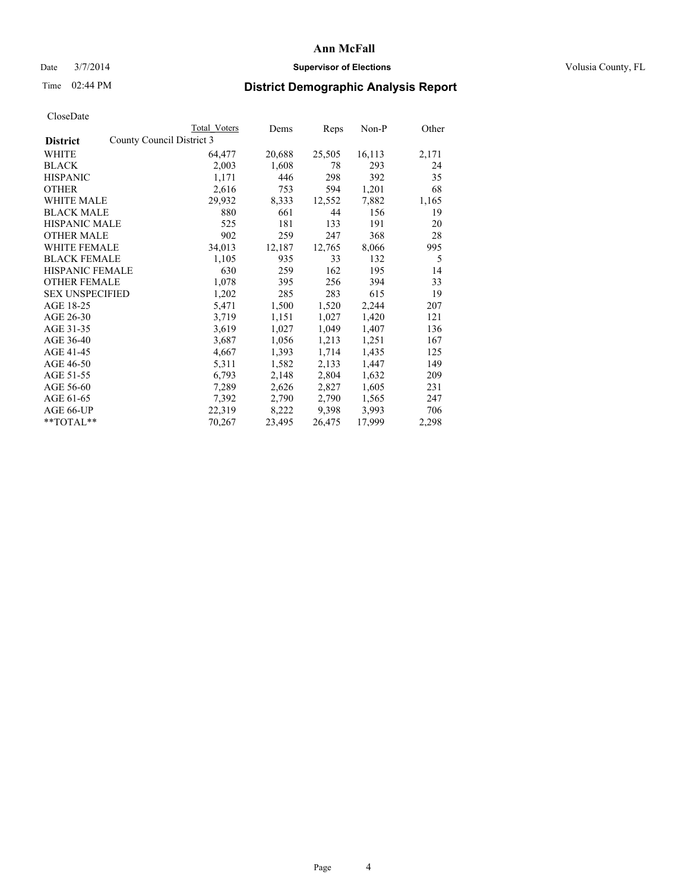### Date  $3/7/2014$  **Supervisor of Elections Supervisor of Elections** Volusia County, FL

## Time 02:44 PM **District Demographic Analysis Report**

|                                              | <b>Total Voters</b> | Dems   | Reps   | Non-P  | Other |
|----------------------------------------------|---------------------|--------|--------|--------|-------|
| County Council District 3<br><b>District</b> |                     |        |        |        |       |
| WHITE                                        | 64,477              | 20,688 | 25,505 | 16,113 | 2,171 |
| <b>BLACK</b>                                 | 2,003               | 1,608  | 78     | 293    | 24    |
| <b>HISPANIC</b>                              | 1,171               | 446    | 298    | 392    | 35    |
| <b>OTHER</b>                                 | 2,616               | 753    | 594    | 1,201  | 68    |
| WHITE MALE                                   | 29,932              | 8,333  | 12,552 | 7,882  | 1,165 |
| <b>BLACK MALE</b>                            | 880                 | 661    | 44     | 156    | 19    |
| <b>HISPANIC MALE</b>                         | 525                 | 181    | 133    | 191    | 20    |
| <b>OTHER MALE</b>                            | 902                 | 259    | 247    | 368    | 28    |
| <b>WHITE FEMALE</b>                          | 34,013              | 12,187 | 12,765 | 8,066  | 995   |
| <b>BLACK FEMALE</b>                          | 1,105               | 935    | 33     | 132    | 5     |
| <b>HISPANIC FEMALE</b>                       | 630                 | 259    | 162    | 195    | 14    |
| <b>OTHER FEMALE</b>                          | 1,078               | 395    | 256    | 394    | 33    |
| <b>SEX UNSPECIFIED</b>                       | 1,202               | 285    | 283    | 615    | 19    |
| AGE 18-25                                    | 5,471               | 1,500  | 1,520  | 2,244  | 207   |
| AGE 26-30                                    | 3,719               | 1,151  | 1,027  | 1,420  | 121   |
| AGE 31-35                                    | 3,619               | 1,027  | 1,049  | 1,407  | 136   |
| AGE 36-40                                    | 3,687               | 1,056  | 1,213  | 1,251  | 167   |
| AGE 41-45                                    | 4,667               | 1,393  | 1,714  | 1,435  | 125   |
| AGE 46-50                                    | 5,311               | 1,582  | 2,133  | 1,447  | 149   |
| AGE 51-55                                    | 6,793               | 2,148  | 2,804  | 1,632  | 209   |
| AGE 56-60                                    | 7,289               | 2,626  | 2,827  | 1,605  | 231   |
| AGE 61-65                                    | 7,392               | 2,790  | 2,790  | 1,565  | 247   |
| AGE 66-UP                                    | 22,319              | 8,222  | 9,398  | 3,993  | 706   |
| **TOTAL**                                    | 70,267              | 23,495 | 26,475 | 17,999 | 2,298 |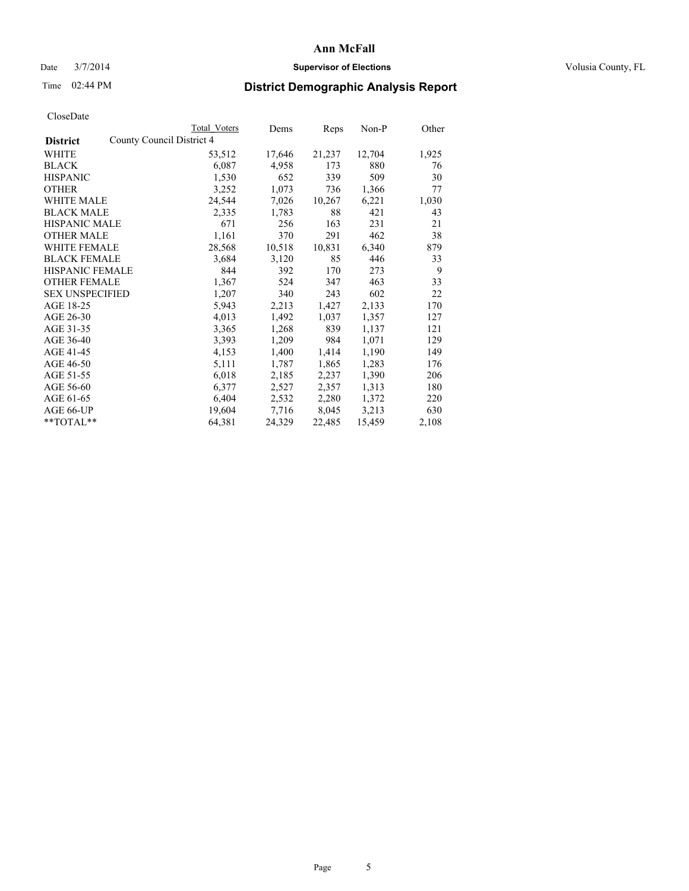### Date  $3/7/2014$  **Supervisor of Elections Supervisor of Elections** Volusia County, FL

## Time 02:44 PM **District Demographic Analysis Report**

|                                              | <b>Total Voters</b> | Dems   | Reps   | Non-P  | Other |
|----------------------------------------------|---------------------|--------|--------|--------|-------|
| County Council District 4<br><b>District</b> |                     |        |        |        |       |
| <b>WHITE</b>                                 | 53,512              | 17,646 | 21,237 | 12,704 | 1,925 |
| <b>BLACK</b>                                 | 6,087               | 4,958  | 173    | 880    | 76    |
| <b>HISPANIC</b>                              | 1,530               | 652    | 339    | 509    | 30    |
| <b>OTHER</b>                                 | 3,252               | 1,073  | 736    | 1,366  | 77    |
| <b>WHITE MALE</b>                            | 24,544              | 7,026  | 10,267 | 6,221  | 1,030 |
| <b>BLACK MALE</b>                            | 2,335               | 1,783  | 88     | 421    | 43    |
| <b>HISPANIC MALE</b>                         | 671                 | 256    | 163    | 231    | 21    |
| <b>OTHER MALE</b>                            | 1,161               | 370    | 291    | 462    | 38    |
| <b>WHITE FEMALE</b>                          | 28,568              | 10,518 | 10,831 | 6,340  | 879   |
| <b>BLACK FEMALE</b>                          | 3,684               | 3,120  | 85     | 446    | 33    |
| <b>HISPANIC FEMALE</b>                       | 844                 | 392    | 170    | 273    | 9     |
| <b>OTHER FEMALE</b>                          | 1,367               | 524    | 347    | 463    | 33    |
| <b>SEX UNSPECIFIED</b>                       | 1,207               | 340    | 243    | 602    | 22    |
| AGE 18-25                                    | 5,943               | 2,213  | 1,427  | 2,133  | 170   |
| AGE 26-30                                    | 4,013               | 1,492  | 1,037  | 1,357  | 127   |
| AGE 31-35                                    | 3,365               | 1,268  | 839    | 1,137  | 121   |
| AGE 36-40                                    | 3,393               | 1,209  | 984    | 1,071  | 129   |
| AGE 41-45                                    | 4,153               | 1,400  | 1,414  | 1,190  | 149   |
| AGE 46-50                                    | 5,111               | 1,787  | 1,865  | 1,283  | 176   |
| AGE 51-55                                    | 6,018               | 2,185  | 2,237  | 1,390  | 206   |
| AGE 56-60                                    | 6,377               | 2,527  | 2,357  | 1,313  | 180   |
| AGE 61-65                                    | 6,404               | 2,532  | 2,280  | 1,372  | 220   |
| AGE 66-UP                                    | 19,604              | 7,716  | 8,045  | 3,213  | 630   |
| $*$ $TOTAL**$                                | 64,381              | 24,329 | 22,485 | 15,459 | 2,108 |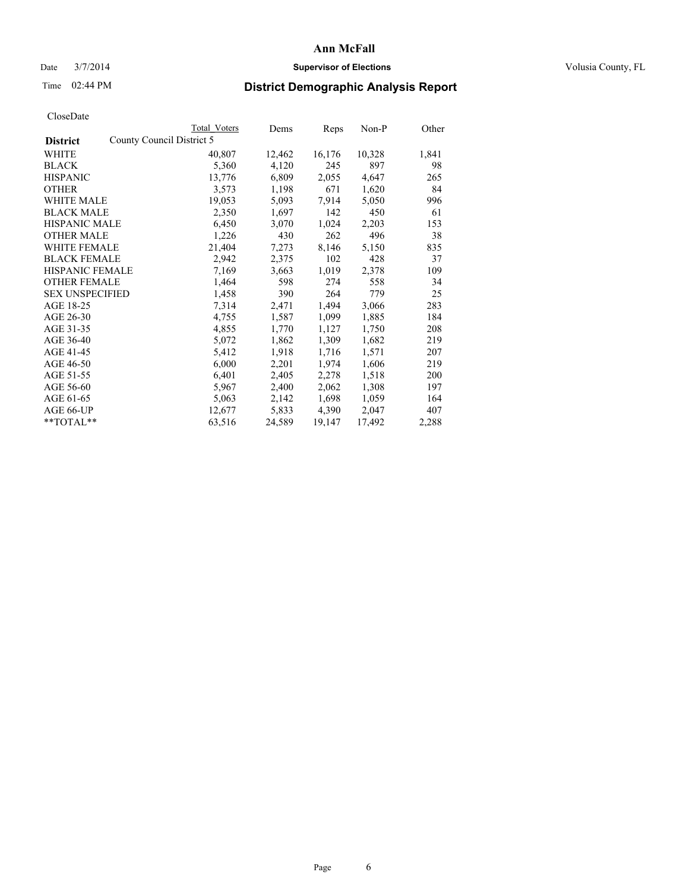### Date  $3/7/2014$  **Supervisor of Elections Supervisor of Elections** Volusia County, FL

## Time 02:44 PM **District Demographic Analysis Report**

|                                              | Total Voters | Dems   | Reps   | Non-P  | Other |
|----------------------------------------------|--------------|--------|--------|--------|-------|
| County Council District 5<br><b>District</b> |              |        |        |        |       |
| WHITE                                        | 40,807       | 12,462 | 16,176 | 10,328 | 1,841 |
| <b>BLACK</b>                                 | 5,360        | 4,120  | 245    | 897    | 98    |
| <b>HISPANIC</b>                              | 13,776       | 6,809  | 2,055  | 4,647  | 265   |
| <b>OTHER</b>                                 | 3,573        | 1,198  | 671    | 1,620  | 84    |
| WHITE MALE                                   | 19,053       | 5,093  | 7.914  | 5,050  | 996   |
| <b>BLACK MALE</b>                            | 2,350        | 1,697  | 142    | 450    | 61    |
| <b>HISPANIC MALE</b>                         | 6,450        | 3,070  | 1,024  | 2,203  | 153   |
| <b>OTHER MALE</b>                            | 1,226        | 430    | 262    | 496    | 38    |
| <b>WHITE FEMALE</b>                          | 21,404       | 7,273  | 8,146  | 5,150  | 835   |
| <b>BLACK FEMALE</b>                          | 2,942        | 2,375  | 102    | 428    | 37    |
| HISPANIC FEMALE                              | 7,169        | 3,663  | 1,019  | 2,378  | 109   |
| <b>OTHER FEMALE</b>                          | 1,464        | 598    | 274    | 558    | 34    |
| <b>SEX UNSPECIFIED</b>                       | 1,458        | 390    | 264    | 779    | 25    |
| AGE 18-25                                    | 7,314        | 2,471  | 1,494  | 3,066  | 283   |
| AGE 26-30                                    | 4,755        | 1,587  | 1,099  | 1,885  | 184   |
| AGE 31-35                                    | 4,855        | 1,770  | 1,127  | 1,750  | 208   |
| AGE 36-40                                    | 5,072        | 1,862  | 1,309  | 1,682  | 219   |
| AGE 41-45                                    | 5,412        | 1,918  | 1,716  | 1,571  | 207   |
| AGE 46-50                                    | 6,000        | 2,201  | 1,974  | 1,606  | 219   |
| AGE 51-55                                    | 6,401        | 2,405  | 2,278  | 1,518  | 200   |
| AGE 56-60                                    | 5,967        | 2,400  | 2,062  | 1,308  | 197   |
| AGE 61-65                                    | 5,063        | 2,142  | 1,698  | 1,059  | 164   |
| AGE 66-UP                                    | 12,677       | 5,833  | 4,390  | 2,047  | 407   |
| **TOTAL**                                    | 63,516       | 24,589 | 19,147 | 17,492 | 2,288 |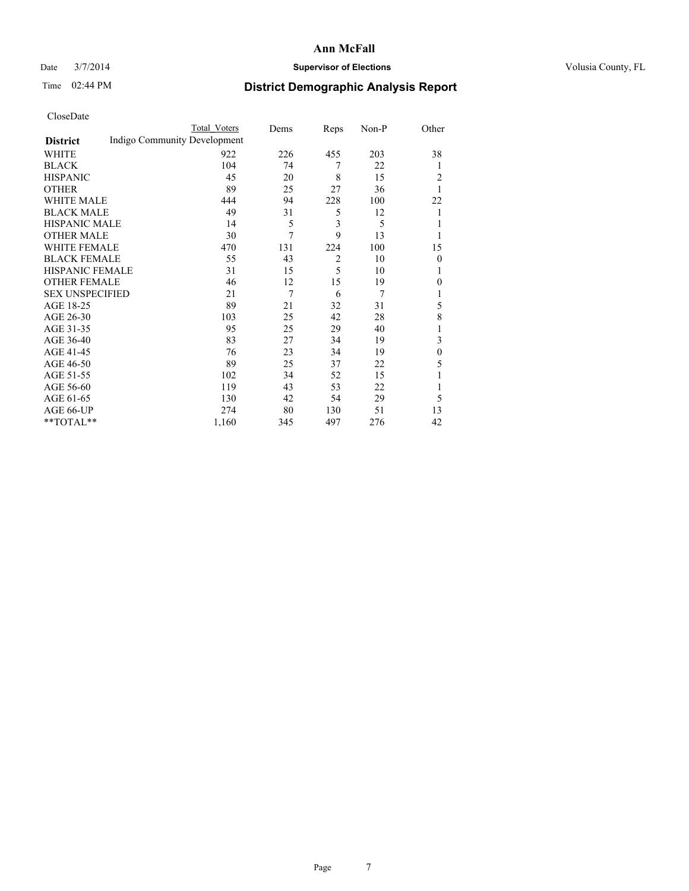### Date  $3/7/2014$  **Supervisor of Elections Supervisor of Elections** Volusia County, FL

# Time 02:44 PM **District Demographic Analysis Report**

|                        |                              | <b>Total Voters</b> | Dems | Reps           | Non-P | Other        |
|------------------------|------------------------------|---------------------|------|----------------|-------|--------------|
| <b>District</b>        | Indigo Community Development |                     |      |                |       |              |
| WHITE                  |                              | 922                 | 226  | 455            | 203   | 38           |
| <b>BLACK</b>           |                              | 104                 | 74   | 7              | 22    | 1            |
| <b>HISPANIC</b>        |                              | 45                  | 20   | 8              | 15    | 2            |
| <b>OTHER</b>           |                              | 89                  | 25   | 27             | 36    | 1            |
| WHITE MALE             |                              | 444                 | 94   | 228            | 100   | 22           |
| <b>BLACK MALE</b>      |                              | 49                  | 31   | 5              | 12    | 1            |
| <b>HISPANIC MALE</b>   |                              | 14                  | 5    | 3              | 5     |              |
| <b>OTHER MALE</b>      |                              | 30                  | 7    | 9              | 13    |              |
| <b>WHITE FEMALE</b>    |                              | 470                 | 131  | 224            | 100   | 15           |
| <b>BLACK FEMALE</b>    |                              | 55                  | 43   | $\overline{2}$ | 10    | $\theta$     |
| <b>HISPANIC FEMALE</b> |                              | 31                  | 15   | 5              | 10    |              |
| <b>OTHER FEMALE</b>    |                              | 46                  | 12   | 15             | 19    | 0            |
| <b>SEX UNSPECIFIED</b> |                              | 21                  | 7    | 6              | 7     |              |
| AGE 18-25              |                              | 89                  | 21   | 32             | 31    | 5            |
| AGE 26-30              |                              | 103                 | 25   | 42             | 28    | 8            |
| AGE 31-35              |                              | 95                  | 25   | 29             | 40    |              |
| AGE 36-40              |                              | 83                  | 27   | 34             | 19    | 3            |
| AGE 41-45              |                              | 76                  | 23   | 34             | 19    | $\mathbf{0}$ |
| AGE 46-50              |                              | 89                  | 25   | 37             | 22    | 5            |
| AGE 51-55              |                              | 102                 | 34   | 52             | 15    |              |
| AGE 56-60              |                              | 119                 | 43   | 53             | 22    |              |
| AGE 61-65              |                              | 130                 | 42   | 54             | 29    | 5            |
| AGE 66-UP              |                              | 274                 | 80   | 130            | 51    | 13           |
| **TOTAL**              |                              | 1,160               | 345  | 497            | 276   | 42           |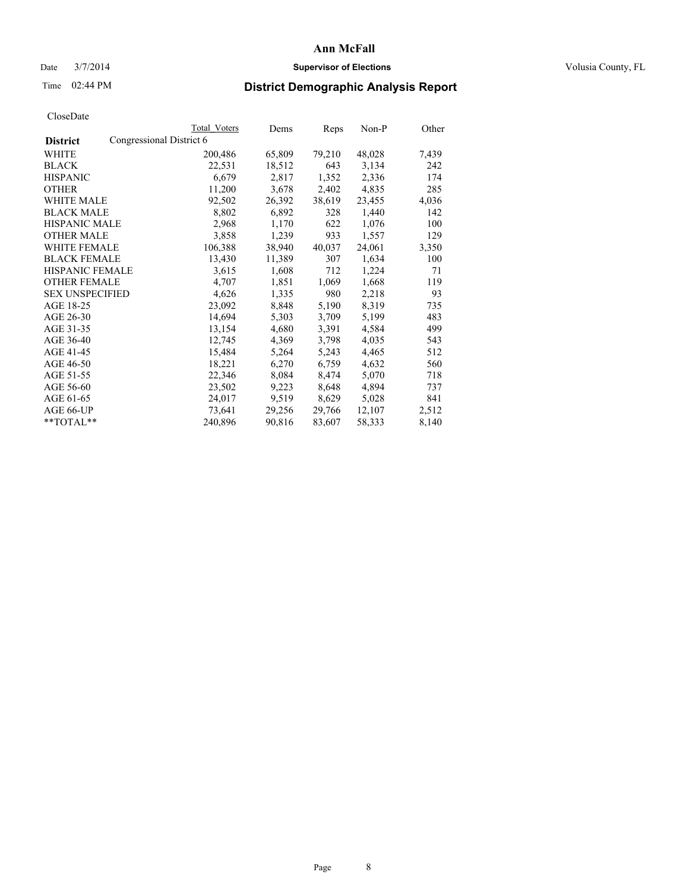### Date  $3/7/2014$  **Supervisor of Elections Supervisor of Elections** Volusia County, FL

## Time 02:44 PM **District Demographic Analysis Report**

|                        | <b>Total Voters</b>      | Dems   | Reps   | Non-P  | Other |
|------------------------|--------------------------|--------|--------|--------|-------|
| <b>District</b>        | Congressional District 6 |        |        |        |       |
| WHITE                  | 200,486                  | 65,809 | 79,210 | 48,028 | 7,439 |
| <b>BLACK</b>           | 22,531                   | 18,512 | 643    | 3,134  | 242   |
| <b>HISPANIC</b>        | 6,679                    | 2,817  | 1,352  | 2,336  | 174   |
| <b>OTHER</b>           | 11,200                   | 3,678  | 2,402  | 4,835  | 285   |
| WHITE MALE             | 92,502                   | 26,392 | 38,619 | 23,455 | 4,036 |
| <b>BLACK MALE</b>      | 8,802                    | 6,892  | 328    | 1,440  | 142   |
| <b>HISPANIC MALE</b>   | 2,968                    | 1,170  | 622    | 1,076  | 100   |
| <b>OTHER MALE</b>      | 3,858                    | 1,239  | 933    | 1,557  | 129   |
| WHITE FEMALE           | 106,388                  | 38,940 | 40,037 | 24,061 | 3,350 |
| <b>BLACK FEMALE</b>    | 13,430                   | 11,389 | 307    | 1,634  | 100   |
| <b>HISPANIC FEMALE</b> | 3,615                    | 1,608  | 712    | 1,224  | 71    |
| <b>OTHER FEMALE</b>    | 4,707                    | 1,851  | 1,069  | 1,668  | 119   |
| <b>SEX UNSPECIFIED</b> | 4,626                    | 1,335  | 980    | 2,218  | 93    |
| AGE 18-25              | 23,092                   | 8,848  | 5,190  | 8,319  | 735   |
| AGE 26-30              | 14,694                   | 5,303  | 3,709  | 5,199  | 483   |
| AGE 31-35              | 13,154                   | 4,680  | 3,391  | 4,584  | 499   |
| AGE 36-40              | 12,745                   | 4,369  | 3,798  | 4,035  | 543   |
| AGE 41-45              | 15,484                   | 5,264  | 5,243  | 4,465  | 512   |
| AGE 46-50              | 18,221                   | 6,270  | 6,759  | 4,632  | 560   |
| AGE 51-55              | 22,346                   | 8,084  | 8,474  | 5,070  | 718   |
| AGE 56-60              | 23,502                   | 9,223  | 8,648  | 4,894  | 737   |
| AGE 61-65              | 24,017                   | 9,519  | 8,629  | 5,028  | 841   |
| AGE 66-UP              | 73,641                   | 29,256 | 29,766 | 12,107 | 2,512 |
| **TOTAL**              | 240,896                  | 90,816 | 83,607 | 58,333 | 8,140 |
|                        |                          |        |        |        |       |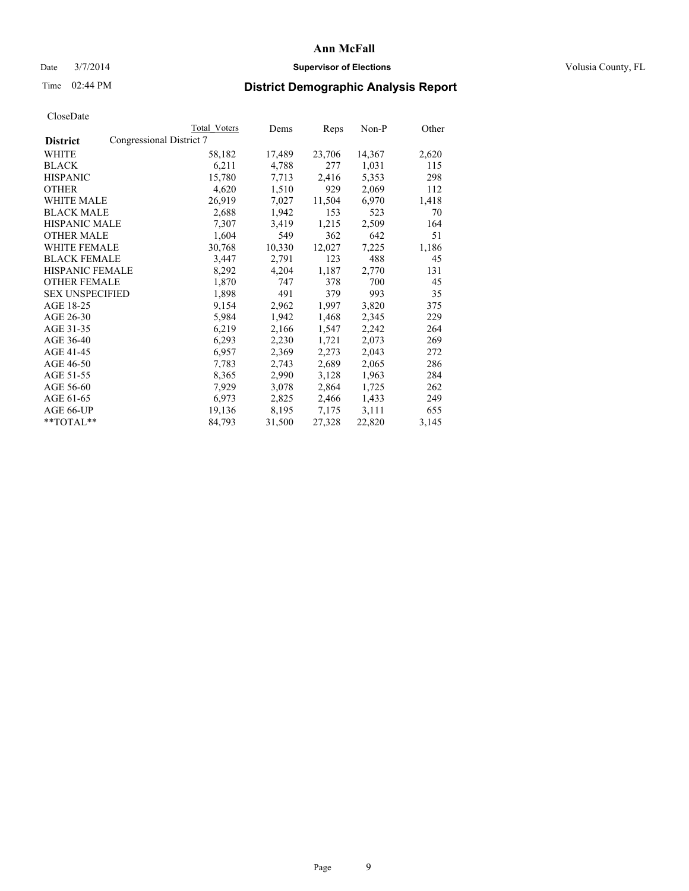### Date  $3/7/2014$  **Supervisor of Elections Supervisor of Elections** Volusia County, FL

## Time 02:44 PM **District Demographic Analysis Report**

|                        |                          | Total Voters | Dems   | Reps   | Non-P  | Other |
|------------------------|--------------------------|--------------|--------|--------|--------|-------|
| <b>District</b>        | Congressional District 7 |              |        |        |        |       |
| <b>WHITE</b>           |                          | 58,182       | 17,489 | 23,706 | 14,367 | 2,620 |
| <b>BLACK</b>           |                          | 6,211        | 4,788  | 277    | 1,031  | 115   |
| <b>HISPANIC</b>        |                          | 15,780       | 7,713  | 2,416  | 5,353  | 298   |
| <b>OTHER</b>           |                          | 4,620        | 1,510  | 929    | 2,069  | 112   |
| WHITE MALE             |                          | 26,919       | 7,027  | 11,504 | 6,970  | 1,418 |
| <b>BLACK MALE</b>      |                          | 2,688        | 1,942  | 153    | 523    | 70    |
| <b>HISPANIC MALE</b>   |                          | 7,307        | 3,419  | 1,215  | 2,509  | 164   |
| <b>OTHER MALE</b>      |                          | 1,604        | 549    | 362    | 642    | 51    |
| <b>WHITE FEMALE</b>    |                          | 30,768       | 10,330 | 12,027 | 7,225  | 1,186 |
| <b>BLACK FEMALE</b>    |                          | 3,447        | 2,791  | 123    | 488    | 45    |
| HISPANIC FEMALE        |                          | 8,292        | 4,204  | 1,187  | 2,770  | 131   |
| <b>OTHER FEMALE</b>    |                          | 1,870        | 747    | 378    | 700    | 45    |
| <b>SEX UNSPECIFIED</b> |                          | 1,898        | 491    | 379    | 993    | 35    |
| AGE 18-25              |                          | 9,154        | 2,962  | 1,997  | 3,820  | 375   |
| AGE 26-30              |                          | 5,984        | 1,942  | 1,468  | 2,345  | 229   |
| AGE 31-35              |                          | 6,219        | 2,166  | 1,547  | 2,242  | 264   |
| AGE 36-40              |                          | 6,293        | 2,230  | 1,721  | 2,073  | 269   |
| AGE 41-45              |                          | 6,957        | 2,369  | 2,273  | 2,043  | 272   |
| AGE 46-50              |                          | 7,783        | 2,743  | 2,689  | 2,065  | 286   |
| AGE 51-55              |                          | 8,365        | 2,990  | 3,128  | 1,963  | 284   |
| AGE 56-60              |                          | 7,929        | 3,078  | 2,864  | 1,725  | 262   |
| AGE 61-65              |                          | 6,973        | 2,825  | 2,466  | 1,433  | 249   |
| AGE 66-UP              |                          | 19,136       | 8,195  | 7,175  | 3,111  | 655   |
| $*$ $TOTAL**$          |                          | 84,793       | 31,500 | 27,328 | 22,820 | 3,145 |
|                        |                          |              |        |        |        |       |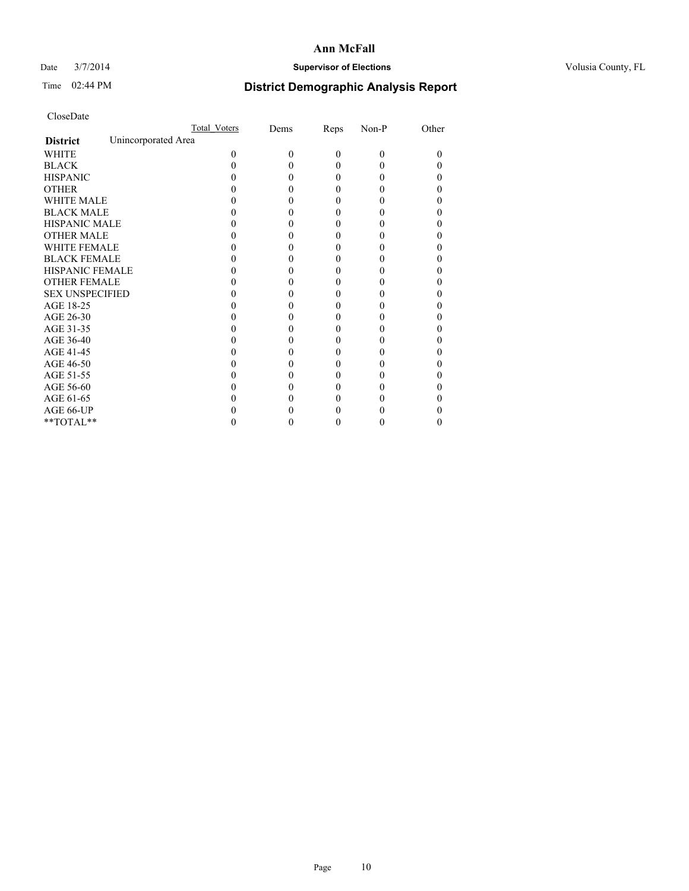### Date  $3/7/2014$  **Supervisor of Elections Supervisor of Elections** Volusia County, FL

# Time 02:44 PM **District Demographic Analysis Report**

|                        | Total Voters        | Dems | Reps     | Non-P    | Other |
|------------------------|---------------------|------|----------|----------|-------|
| <b>District</b>        | Unincorporated Area |      |          |          |       |
| <b>WHITE</b>           | 0                   | 0    | $\theta$ | $\theta$ | 0     |
| <b>BLACK</b>           |                     |      | 0        | 0        |       |
| <b>HISPANIC</b>        |                     |      | 0        | 0        |       |
| <b>OTHER</b>           |                     |      |          |          |       |
| <b>WHITE MALE</b>      |                     |      |          |          |       |
| <b>BLACK MALE</b>      |                     |      | 0        |          |       |
| <b>HISPANIC MALE</b>   |                     |      |          |          |       |
| <b>OTHER MALE</b>      |                     |      | 0        |          |       |
| <b>WHITE FEMALE</b>    |                     |      |          |          |       |
| <b>BLACK FEMALE</b>    |                     |      | 0        |          |       |
| <b>HISPANIC FEMALE</b> |                     |      |          |          |       |
| <b>OTHER FEMALE</b>    |                     |      |          |          |       |
| <b>SEX UNSPECIFIED</b> |                     |      |          |          |       |
| AGE 18-25              |                     |      |          |          |       |
| AGE 26-30              |                     |      | 0        |          |       |
| AGE 31-35              |                     |      |          |          |       |
| AGE 36-40              |                     |      | 0        |          |       |
| AGE 41-45              |                     |      |          |          |       |
| AGE 46-50              |                     |      | 0        |          |       |
| AGE 51-55              |                     |      |          |          |       |
| AGE 56-60              |                     |      |          |          |       |
| AGE 61-65              |                     |      |          |          |       |
| AGE 66-UP              |                     |      |          |          |       |
| $**TOTAL**$            |                     |      | 0        | 0        | 0     |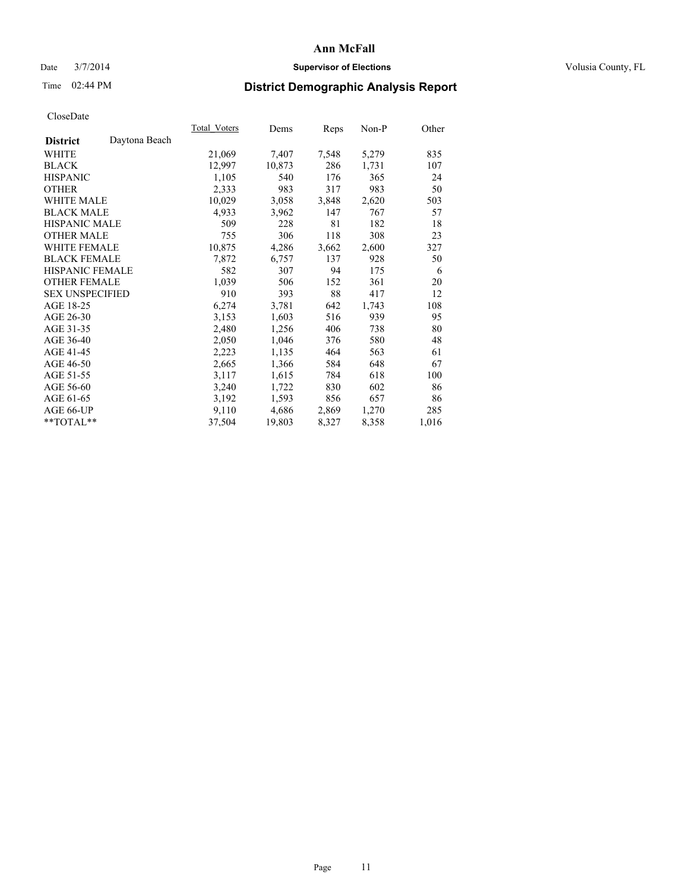### Date  $3/7/2014$  **Supervisor of Elections Supervisor of Elections** Volusia County, FL

# Time 02:44 PM **District Demographic Analysis Report**

|                        |               | Total Voters | Dems   | Reps  | Non-P | Other |
|------------------------|---------------|--------------|--------|-------|-------|-------|
| <b>District</b>        | Daytona Beach |              |        |       |       |       |
| <b>WHITE</b>           |               | 21,069       | 7,407  | 7,548 | 5,279 | 835   |
| <b>BLACK</b>           |               | 12,997       | 10,873 | 286   | 1,731 | 107   |
| <b>HISPANIC</b>        |               | 1,105        | 540    | 176   | 365   | 24    |
| <b>OTHER</b>           |               | 2,333        | 983    | 317   | 983   | 50    |
| <b>WHITE MALE</b>      |               | 10,029       | 3,058  | 3,848 | 2,620 | 503   |
| <b>BLACK MALE</b>      |               | 4,933        | 3,962  | 147   | 767   | 57    |
| <b>HISPANIC MALE</b>   |               | 509          | 228    | 81    | 182   | 18    |
| <b>OTHER MALE</b>      |               | 755          | 306    | 118   | 308   | 23    |
| <b>WHITE FEMALE</b>    |               | 10,875       | 4,286  | 3,662 | 2,600 | 327   |
| <b>BLACK FEMALE</b>    |               | 7,872        | 6,757  | 137   | 928   | 50    |
| HISPANIC FEMALE        |               | 582          | 307    | 94    | 175   | 6     |
| <b>OTHER FEMALE</b>    |               | 1,039        | 506    | 152   | 361   | 20    |
| <b>SEX UNSPECIFIED</b> |               | 910          | 393    | 88    | 417   | 12    |
| AGE 18-25              |               | 6,274        | 3,781  | 642   | 1,743 | 108   |
| AGE 26-30              |               | 3,153        | 1,603  | 516   | 939   | 95    |
| AGE 31-35              |               | 2,480        | 1,256  | 406   | 738   | 80    |
| AGE 36-40              |               | 2,050        | 1,046  | 376   | 580   | 48    |
| AGE 41-45              |               | 2,223        | 1,135  | 464   | 563   | 61    |
| AGE 46-50              |               | 2,665        | 1,366  | 584   | 648   | 67    |
| AGE 51-55              |               | 3,117        | 1,615  | 784   | 618   | 100   |
| AGE 56-60              |               | 3,240        | 1,722  | 830   | 602   | 86    |
| AGE 61-65              |               | 3,192        | 1,593  | 856   | 657   | 86    |
| AGE 66-UP              |               | 9,110        | 4,686  | 2,869 | 1,270 | 285   |
| $*$ $TOTAL**$          |               | 37,504       | 19,803 | 8,327 | 8,358 | 1,016 |
|                        |               |              |        |       |       |       |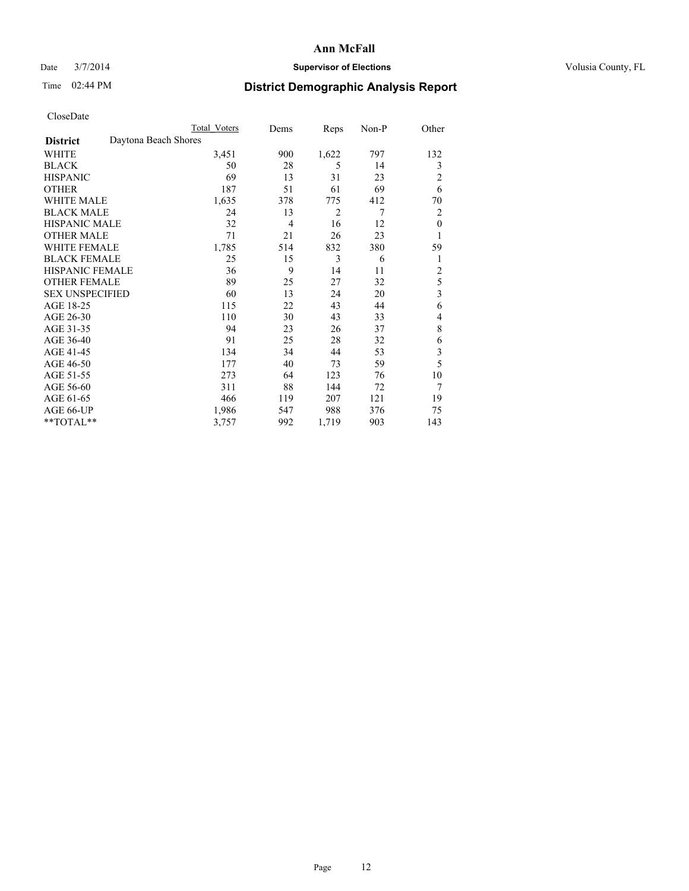### Date  $3/7/2014$  **Supervisor of Elections Supervisor of Elections** Volusia County, FL

# Time 02:44 PM **District Demographic Analysis Report**

|                                         | <b>Total Voters</b> | Dems           | Reps  | Non-P | Other          |
|-----------------------------------------|---------------------|----------------|-------|-------|----------------|
| Daytona Beach Shores<br><b>District</b> |                     |                |       |       |                |
| WHITE                                   | 3,451               | 900            | 1,622 | 797   | 132            |
| <b>BLACK</b>                            | 50                  | 28             | 5     | 14    | 3              |
| <b>HISPANIC</b>                         | 69                  | 13             | 31    | 23    | 2              |
| <b>OTHER</b>                            | 187                 | 51             | 61    | 69    | 6              |
| <b>WHITE MALE</b>                       | 1,635               | 378            | 775   | 412   | 70             |
| <b>BLACK MALE</b>                       | 24                  | 13             | 2     | 7     | 2              |
| <b>HISPANIC MALE</b>                    | 32                  | $\overline{4}$ | 16    | 12    | $\theta$       |
| <b>OTHER MALE</b>                       | 71                  | 21             | 26    | 23    | 1              |
| <b>WHITE FEMALE</b>                     | 1,785               | 514            | 832   | 380   | 59             |
| <b>BLACK FEMALE</b>                     | 25                  | 15             | 3     | 6     | 1              |
| <b>HISPANIC FEMALE</b>                  | 36                  | 9              | 14    | 11    | $\overline{c}$ |
| <b>OTHER FEMALE</b>                     | 89                  | 25             | 27    | 32    | 5              |
| <b>SEX UNSPECIFIED</b>                  | 60                  | 13             | 24    | 20    | 3              |
| AGE 18-25                               | 115                 | 22             | 43    | 44    | 6              |
| AGE 26-30                               | 110                 | 30             | 43    | 33    | 4              |
| AGE 31-35                               | 94                  | 23             | 26    | 37    | 8              |
| AGE 36-40                               | 91                  | 25             | 28    | 32    | 6              |
| AGE 41-45                               | 134                 | 34             | 44    | 53    | 3              |
| AGE 46-50                               | 177                 | 40             | 73    | 59    | 5              |
| AGE 51-55                               | 273                 | 64             | 123   | 76    | 10             |
| AGE 56-60                               | 311                 | 88             | 144   | 72    | 7              |
| AGE 61-65                               | 466                 | 119            | 207   | 121   | 19             |
| AGE 66-UP                               | 1,986               | 547            | 988   | 376   | 75             |
| **TOTAL**                               | 3,757               | 992            | 1,719 | 903   | 143            |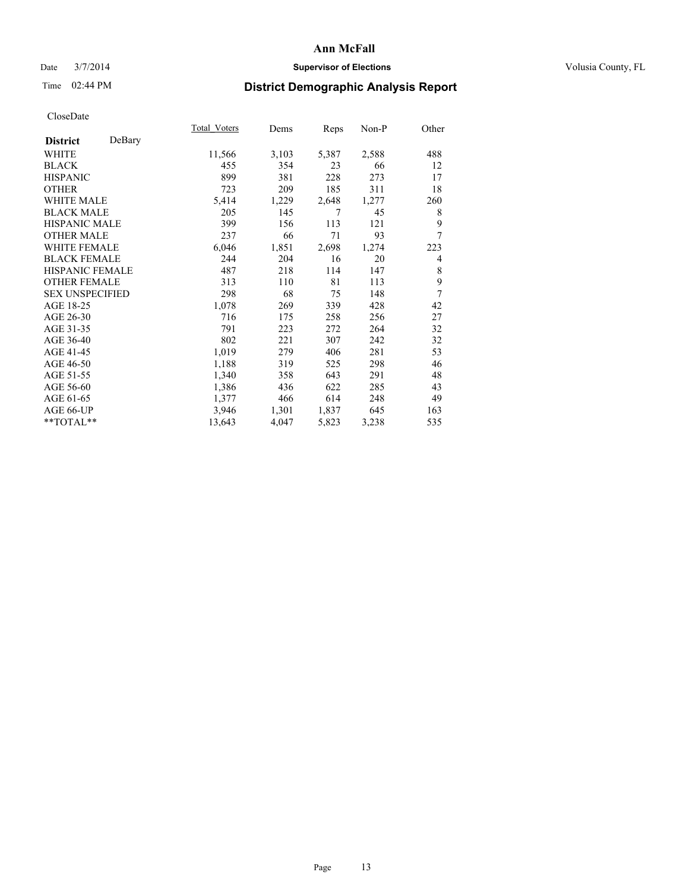### Date  $3/7/2014$  **Supervisor of Elections Supervisor of Elections** Volusia County, FL

# Time 02:44 PM **District Demographic Analysis Report**

|                        |        | Total Voters | Dems  | Reps  | Non-P | Other |
|------------------------|--------|--------------|-------|-------|-------|-------|
| <b>District</b>        | DeBary |              |       |       |       |       |
| WHITE                  |        | 11,566       | 3,103 | 5,387 | 2,588 | 488   |
| <b>BLACK</b>           |        | 455          | 354   | 23    | 66    | 12    |
| <b>HISPANIC</b>        |        | 899          | 381   | 228   | 273   | 17    |
| <b>OTHER</b>           |        | 723          | 209   | 185   | 311   | 18    |
| WHITE MALE             |        | 5,414        | 1,229 | 2,648 | 1,277 | 260   |
| <b>BLACK MALE</b>      |        | 205          | 145   | 7     | 45    | 8     |
| <b>HISPANIC MALE</b>   |        | 399          | 156   | 113   | 121   | 9     |
| <b>OTHER MALE</b>      |        | 237          | 66    | 71    | 93    | 7     |
| <b>WHITE FEMALE</b>    |        | 6,046        | 1,851 | 2,698 | 1,274 | 223   |
| <b>BLACK FEMALE</b>    |        | 244          | 204   | 16    | 20    | 4     |
| <b>HISPANIC FEMALE</b> |        | 487          | 218   | 114   | 147   | 8     |
| <b>OTHER FEMALE</b>    |        | 313          | 110   | 81    | 113   | 9     |
| <b>SEX UNSPECIFIED</b> |        | 298          | 68    | 75    | 148   | 7     |
| AGE 18-25              |        | 1,078        | 269   | 339   | 428   | 42    |
| AGE 26-30              |        | 716          | 175   | 258   | 256   | 27    |
| AGE 31-35              |        | 791          | 223   | 272   | 264   | 32    |
| AGE 36-40              |        | 802          | 221   | 307   | 242   | 32    |
| AGE 41-45              |        | 1,019        | 279   | 406   | 281   | 53    |
| AGE 46-50              |        | 1,188        | 319   | 525   | 298   | 46    |
| AGE 51-55              |        | 1,340        | 358   | 643   | 291   | 48    |
| AGE 56-60              |        | 1,386        | 436   | 622   | 285   | 43    |
| AGE 61-65              |        | 1,377        | 466   | 614   | 248   | 49    |
| AGE 66-UP              |        | 3,946        | 1,301 | 1,837 | 645   | 163   |
| $**TOTAL**$            |        | 13,643       | 4,047 | 5,823 | 3,238 | 535   |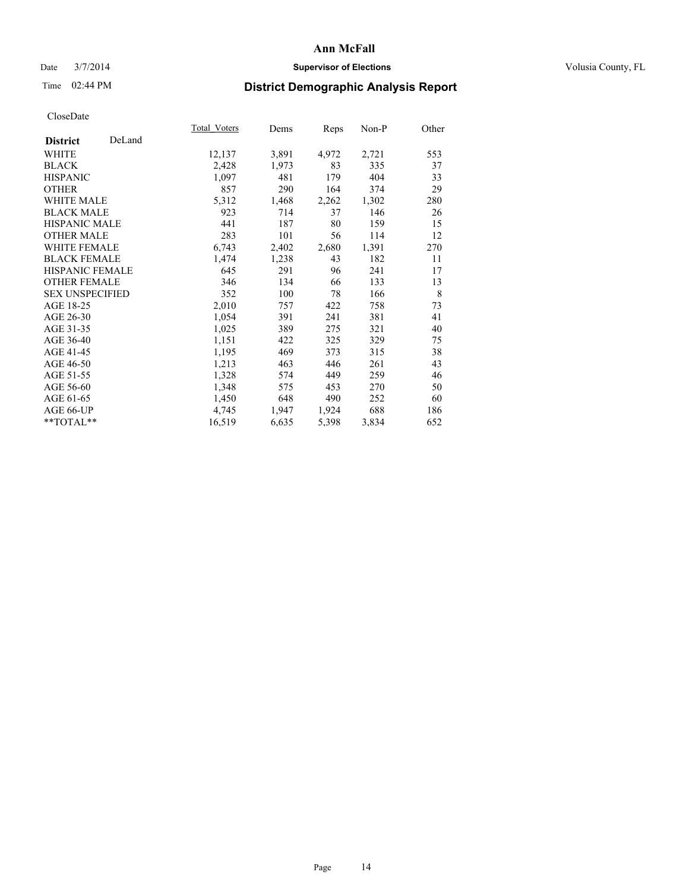### Date  $3/7/2014$  **Supervisor of Elections Supervisor of Elections** Volusia County, FL

# Time 02:44 PM **District Demographic Analysis Report**

|                        |        | Total Voters | Dems  | <b>Reps</b> | Non-P | Other |
|------------------------|--------|--------------|-------|-------------|-------|-------|
| <b>District</b>        | DeLand |              |       |             |       |       |
| <b>WHITE</b>           |        | 12,137       | 3,891 | 4,972       | 2,721 | 553   |
| <b>BLACK</b>           |        | 2,428        | 1,973 | 83          | 335   | 37    |
| <b>HISPANIC</b>        |        | 1,097        | 481   | 179         | 404   | 33    |
| <b>OTHER</b>           |        | 857          | 290   | 164         | 374   | 29    |
| WHITE MALE             |        | 5,312        | 1,468 | 2,262       | 1,302 | 280   |
| <b>BLACK MALE</b>      |        | 923          | 714   | 37          | 146   | 26    |
| <b>HISPANIC MALE</b>   |        | 441          | 187   | 80          | 159   | 15    |
| <b>OTHER MALE</b>      |        | 283          | 101   | 56          | 114   | 12    |
| <b>WHITE FEMALE</b>    |        | 6,743        | 2,402 | 2,680       | 1,391 | 270   |
| <b>BLACK FEMALE</b>    |        | 1,474        | 1,238 | 43          | 182   | 11    |
| HISPANIC FEMALE        |        | 645          | 291   | 96          | 241   | 17    |
| <b>OTHER FEMALE</b>    |        | 346          | 134   | 66          | 133   | 13    |
| <b>SEX UNSPECIFIED</b> |        | 352          | 100   | 78          | 166   | 8     |
| AGE 18-25              |        | 2,010        | 757   | 422         | 758   | 73    |
| AGE 26-30              |        | 1,054        | 391   | 241         | 381   | 41    |
| AGE 31-35              |        | 1,025        | 389   | 275         | 321   | 40    |
| AGE 36-40              |        | 1,151        | 422   | 325         | 329   | 75    |
| AGE 41-45              |        | 1,195        | 469   | 373         | 315   | 38    |
| AGE 46-50              |        | 1,213        | 463   | 446         | 261   | 43    |
| AGE 51-55              |        | 1,328        | 574   | 449         | 259   | 46    |
| AGE 56-60              |        | 1,348        | 575   | 453         | 270   | 50    |
| AGE 61-65              |        | 1,450        | 648   | 490         | 252   | 60    |
| AGE 66-UP              |        | 4,745        | 1,947 | 1,924       | 688   | 186   |
| **TOTAL**              |        | 16,519       | 6,635 | 5,398       | 3,834 | 652   |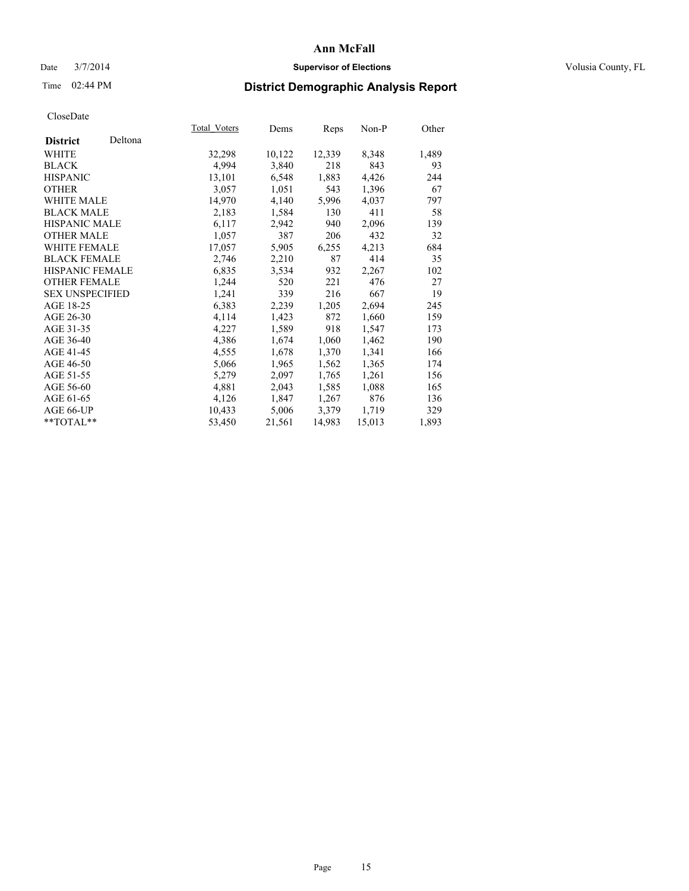### Date  $3/7/2014$  **Supervisor of Elections Supervisor of Elections** Volusia County, FL

# Time 02:44 PM **District Demographic Analysis Report**

|                        |         | Total Voters | Dems   | <b>Reps</b> | Non-P  | Other |
|------------------------|---------|--------------|--------|-------------|--------|-------|
| <b>District</b>        | Deltona |              |        |             |        |       |
| <b>WHITE</b>           |         | 32,298       | 10,122 | 12,339      | 8,348  | 1,489 |
| <b>BLACK</b>           |         | 4,994        | 3,840  | 218         | 843    | 93    |
| <b>HISPANIC</b>        |         | 13,101       | 6,548  | 1,883       | 4,426  | 244   |
| <b>OTHER</b>           |         | 3,057        | 1,051  | 543         | 1,396  | 67    |
| WHITE MALE             |         | 14,970       | 4,140  | 5,996       | 4,037  | 797   |
| <b>BLACK MALE</b>      |         | 2,183        | 1,584  | 130         | 411    | 58    |
| <b>HISPANIC MALE</b>   |         | 6,117        | 2,942  | 940         | 2,096  | 139   |
| <b>OTHER MALE</b>      |         | 1,057        | 387    | 206         | 432    | 32    |
| <b>WHITE FEMALE</b>    |         | 17,057       | 5,905  | 6,255       | 4,213  | 684   |
| <b>BLACK FEMALE</b>    |         | 2,746        | 2,210  | 87          | 414    | 35    |
| HISPANIC FEMALE        |         | 6,835        | 3,534  | 932         | 2,267  | 102   |
| <b>OTHER FEMALE</b>    |         | 1,244        | 520    | 221         | 476    | 27    |
| <b>SEX UNSPECIFIED</b> |         | 1,241        | 339    | 216         | 667    | 19    |
| AGE 18-25              |         | 6,383        | 2,239  | 1,205       | 2,694  | 245   |
| AGE 26-30              |         | 4,114        | 1,423  | 872         | 1,660  | 159   |
| AGE 31-35              |         | 4,227        | 1,589  | 918         | 1,547  | 173   |
| AGE 36-40              |         | 4,386        | 1,674  | 1,060       | 1,462  | 190   |
| AGE 41-45              |         | 4,555        | 1,678  | 1,370       | 1,341  | 166   |
| AGE 46-50              |         | 5,066        | 1,965  | 1,562       | 1,365  | 174   |
| AGE 51-55              |         | 5,279        | 2,097  | 1,765       | 1,261  | 156   |
| AGE 56-60              |         | 4,881        | 2,043  | 1,585       | 1,088  | 165   |
| AGE 61-65              |         | 4,126        | 1,847  | 1,267       | 876    | 136   |
| AGE 66-UP              |         | 10,433       | 5,006  | 3,379       | 1,719  | 329   |
| **TOTAL**              |         | 53,450       | 21,561 | 14,983      | 15,013 | 1,893 |
|                        |         |              |        |             |        |       |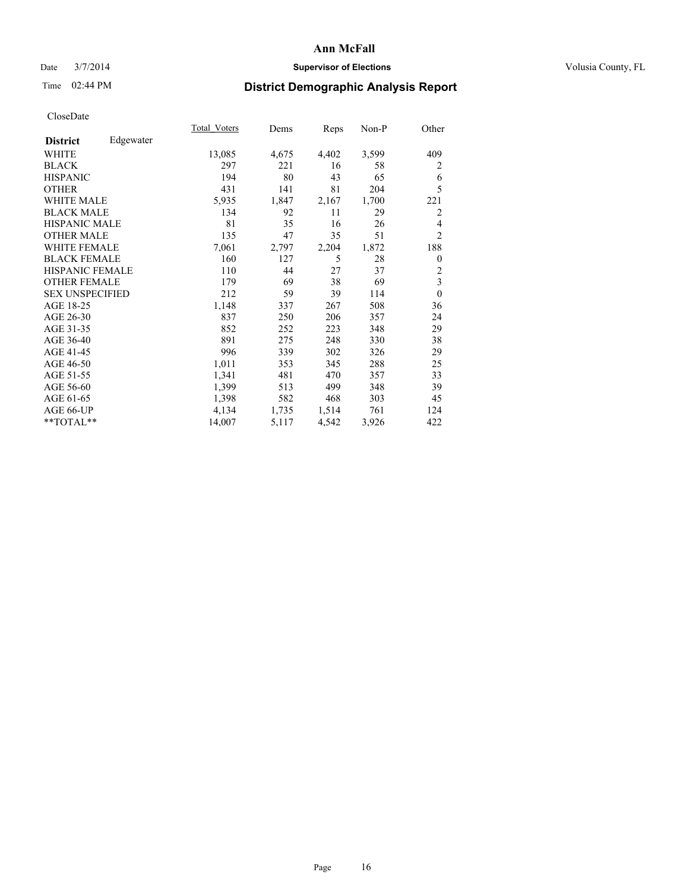### Date  $3/7/2014$  **Supervisor of Elections Supervisor of Elections** Volusia County, FL

# Time 02:44 PM **District Demographic Analysis Report**

|                        |           | Total Voters | Dems  | Reps  | Non-P | Other          |
|------------------------|-----------|--------------|-------|-------|-------|----------------|
| <b>District</b>        | Edgewater |              |       |       |       |                |
| WHITE                  |           | 13,085       | 4,675 | 4,402 | 3,599 | 409            |
| <b>BLACK</b>           |           | 297          | 221   | 16    | 58    | 2              |
| <b>HISPANIC</b>        |           | 194          | 80    | 43    | 65    | 6              |
| <b>OTHER</b>           |           | 431          | 141   | 81    | 204   | 5              |
| <b>WHITE MALE</b>      |           | 5,935        | 1,847 | 2,167 | 1,700 | 221            |
| <b>BLACK MALE</b>      |           | 134          | 92    | 11    | 29    | 2              |
| <b>HISPANIC MALE</b>   |           | 81           | 35    | 16    | 26    | 4              |
| <b>OTHER MALE</b>      |           | 135          | 47    | 35    | 51    | $\overline{2}$ |
| <b>WHITE FEMALE</b>    |           | 7,061        | 2,797 | 2,204 | 1,872 | 188            |
| <b>BLACK FEMALE</b>    |           | 160          | 127   | 5     | 28    | 0              |
| HISPANIC FEMALE        |           | 110          | 44    | 27    | 37    | 2              |
| <b>OTHER FEMALE</b>    |           | 179          | 69    | 38    | 69    | 3              |
| <b>SEX UNSPECIFIED</b> |           | 212          | 59    | 39    | 114   | $\mathbf{0}$   |
| AGE 18-25              |           | 1,148        | 337   | 267   | 508   | 36             |
| AGE 26-30              |           | 837          | 250   | 206   | 357   | 24             |
| AGE 31-35              |           | 852          | 252   | 223   | 348   | 29             |
| AGE 36-40              |           | 891          | 275   | 248   | 330   | 38             |
| AGE 41-45              |           | 996          | 339   | 302   | 326   | 29             |
| AGE 46-50              |           | 1,011        | 353   | 345   | 288   | 25             |
| AGE 51-55              |           | 1,341        | 481   | 470   | 357   | 33             |
| AGE 56-60              |           | 1,399        | 513   | 499   | 348   | 39             |
| AGE 61-65              |           | 1,398        | 582   | 468   | 303   | 45             |
| AGE 66-UP              |           | 4,134        | 1,735 | 1,514 | 761   | 124            |
| **TOTAL**              |           | 14,007       | 5,117 | 4,542 | 3,926 | 422            |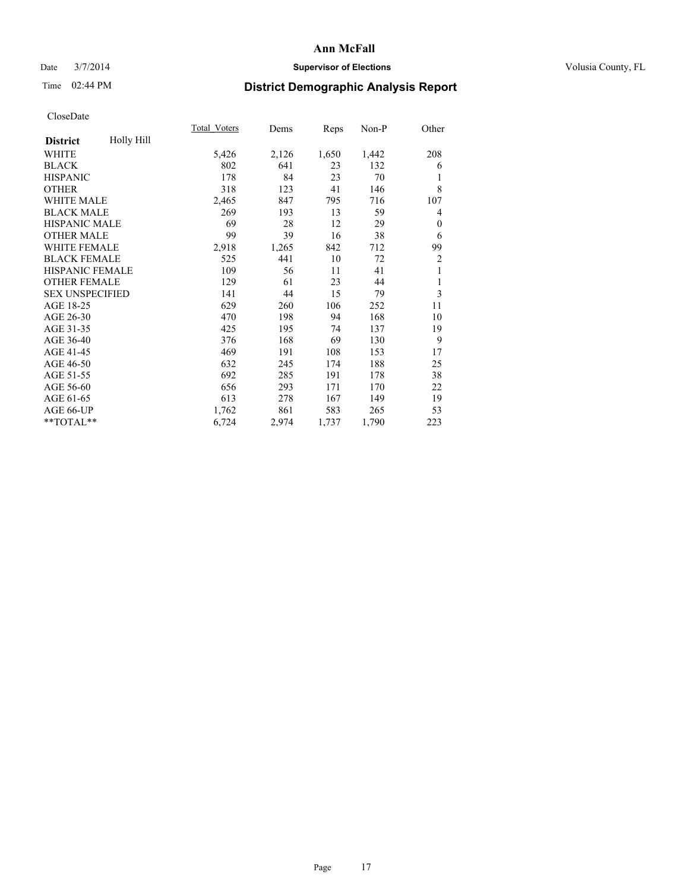### Date  $3/7/2014$  **Supervisor of Elections Supervisor of Elections** Volusia County, FL

# Time 02:44 PM **District Demographic Analysis Report**

|                        |            | <b>Total Voters</b> | Dems  | Reps  | Non-P | Other          |
|------------------------|------------|---------------------|-------|-------|-------|----------------|
| <b>District</b>        | Holly Hill |                     |       |       |       |                |
| WHITE                  |            | 5,426               | 2,126 | 1,650 | 1,442 | 208            |
| <b>BLACK</b>           |            | 802                 | 641   | 23    | 132   | 6              |
| <b>HISPANIC</b>        |            | 178                 | 84    | 23    | 70    | 1              |
| <b>OTHER</b>           |            | 318                 | 123   | 41    | 146   | 8              |
| <b>WHITE MALE</b>      |            | 2,465               | 847   | 795   | 716   | 107            |
| <b>BLACK MALE</b>      |            | 269                 | 193   | 13    | 59    | 4              |
| HISPANIC MALE          |            | 69                  | 28    | 12    | 29    | $\mathbf{0}$   |
| <b>OTHER MALE</b>      |            | 99                  | 39    | 16    | 38    | 6              |
| <b>WHITE FEMALE</b>    |            | 2,918               | 1,265 | 842   | 712   | 99             |
| <b>BLACK FEMALE</b>    |            | 525                 | 441   | 10    | 72    | $\overline{2}$ |
| <b>HISPANIC FEMALE</b> |            | 109                 | 56    | 11    | 41    | 1              |
| <b>OTHER FEMALE</b>    |            | 129                 | 61    | 23    | 44    | 1              |
| <b>SEX UNSPECIFIED</b> |            | 141                 | 44    | 15    | 79    | 3              |
| AGE 18-25              |            | 629                 | 260   | 106   | 252   | 11             |
| AGE 26-30              |            | 470                 | 198   | 94    | 168   | 10             |
| AGE 31-35              |            | 425                 | 195   | 74    | 137   | 19             |
| AGE 36-40              |            | 376                 | 168   | 69    | 130   | 9              |
| AGE 41-45              |            | 469                 | 191   | 108   | 153   | 17             |
| AGE 46-50              |            | 632                 | 245   | 174   | 188   | 25             |
| AGE 51-55              |            | 692                 | 285   | 191   | 178   | 38             |
| AGE 56-60              |            | 656                 | 293   | 171   | 170   | 22             |
| AGE 61-65              |            | 613                 | 278   | 167   | 149   | 19             |
| AGE 66-UP              |            | 1,762               | 861   | 583   | 265   | 53             |
| **TOTAL**              |            | 6,724               | 2,974 | 1,737 | 1,790 | 223            |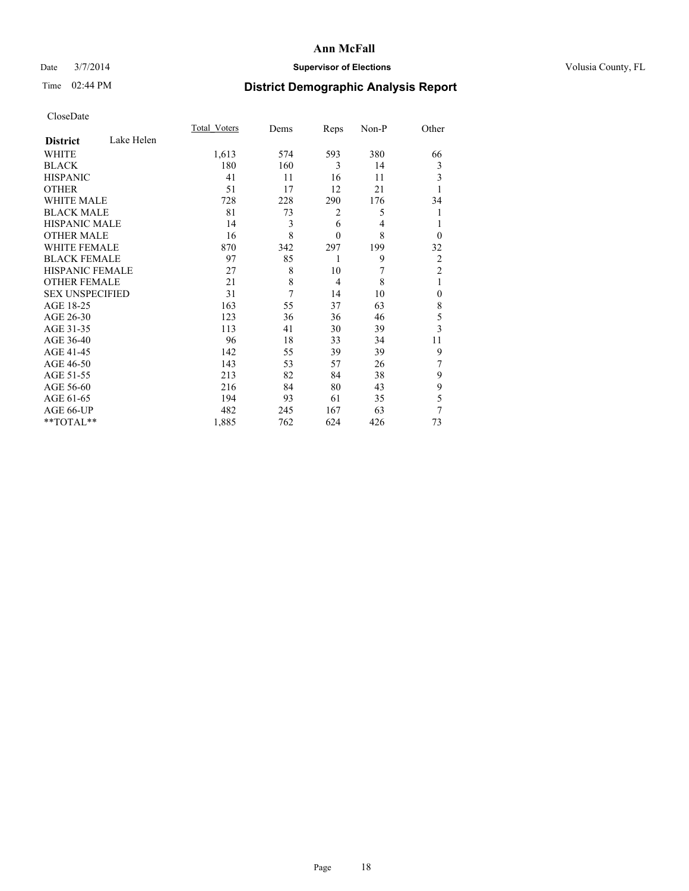### Date  $3/7/2014$  **Supervisor of Elections Supervisor of Elections** Volusia County, FL

# Time 02:44 PM **District Demographic Analysis Report**

|                        |            | Total Voters | Dems           | Reps           | Non-P | Other          |
|------------------------|------------|--------------|----------------|----------------|-------|----------------|
| <b>District</b>        | Lake Helen |              |                |                |       |                |
| WHITE                  |            | 1,613        | 574            | 593            | 380   | 66             |
| <b>BLACK</b>           |            | 180          | 160            | 3              | 14    | 3              |
| <b>HISPANIC</b>        |            | 41           | 11             | 16             | 11    | 3              |
| <b>OTHER</b>           |            | 51           | 17             | 12             | 21    |                |
| <b>WHITE MALE</b>      |            | 728          | 228            | 290            | 176   | 34             |
| <b>BLACK MALE</b>      |            | 81           | 73             | 2              | 5     |                |
| <b>HISPANIC MALE</b>   |            | 14           | 3              | 6              | 4     |                |
| <b>OTHER MALE</b>      |            | 16           | 8              | $\mathbf{0}$   | 8     | $\Omega$       |
| WHITE FEMALE           |            | 870          | 342            | 297            | 199   | 32             |
| <b>BLACK FEMALE</b>    |            | 97           | 85             | 1              | 9     | $\overline{2}$ |
| HISPANIC FEMALE        |            | 27           | 8              | 10             | 7     | $\overline{2}$ |
| <b>OTHER FEMALE</b>    |            | 21           | 8              | $\overline{4}$ | 8     | 1              |
| <b>SEX UNSPECIFIED</b> |            | 31           | $\overline{7}$ | 14             | 10    | $\mathbf{0}$   |
| AGE 18-25              |            | 163          | 55             | 37             | 63    | 8              |
| AGE 26-30              |            | 123          | 36             | 36             | 46    | 5              |
| AGE 31-35              |            | 113          | 41             | 30             | 39    | $\overline{3}$ |
| AGE 36-40              |            | 96           | 18             | 33             | 34    | 11             |
| AGE 41-45              |            | 142          | 55             | 39             | 39    | 9              |
| AGE 46-50              |            | 143          | 53             | 57             | 26    | 7              |
| AGE 51-55              |            | 213          | 82             | 84             | 38    | 9              |
| AGE 56-60              |            | 216          | 84             | 80             | 43    | 9              |
| AGE 61-65              |            | 194          | 93             | 61             | 35    | 5              |
| AGE 66-UP              |            | 482          | 245            | 167            | 63    | 7              |
| **TOTAL**              |            | 1,885        | 762            | 624            | 426   | 73             |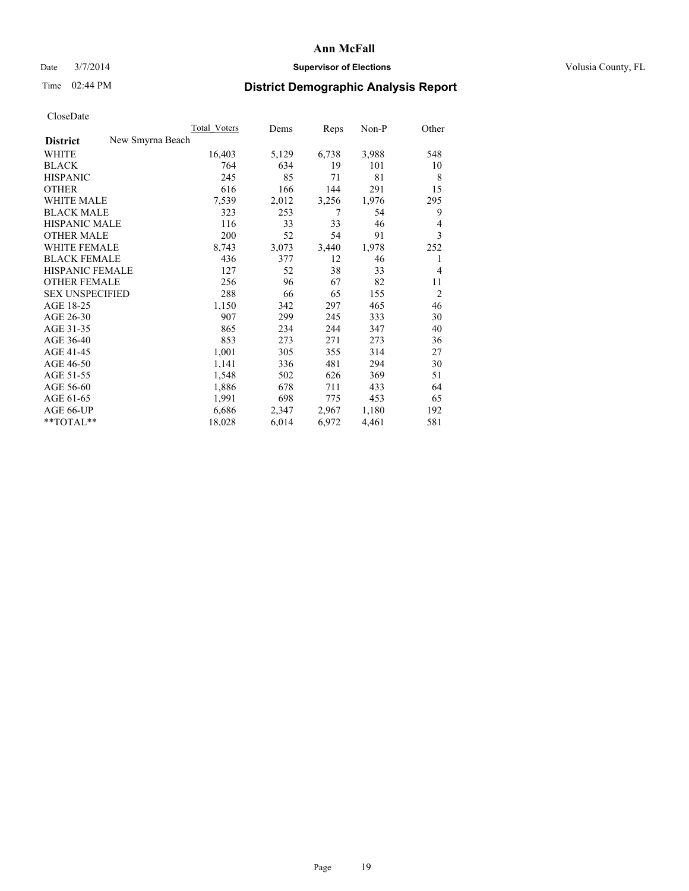### Date  $3/7/2014$  **Supervisor of Elections Supervisor of Elections** Volusia County, FL

## Time 02:44 PM **District Demographic Analysis Report**

|                                     | <b>Total Voters</b> | Dems  | Reps  | Non-P | Other          |
|-------------------------------------|---------------------|-------|-------|-------|----------------|
| New Smyrna Beach<br><b>District</b> |                     |       |       |       |                |
| <b>WHITE</b>                        | 16,403              | 5,129 | 6,738 | 3,988 | 548            |
| <b>BLACK</b>                        | 764                 | 634   | 19    | 101   | 10             |
| <b>HISPANIC</b>                     | 245                 | 85    | 71    | 81    | 8              |
| <b>OTHER</b>                        | 616                 | 166   | 144   | 291   | 15             |
| <b>WHITE MALE</b>                   | 7,539               | 2,012 | 3,256 | 1,976 | 295            |
| <b>BLACK MALE</b>                   | 323                 | 253   | 7     | 54    | 9              |
| <b>HISPANIC MALE</b>                | 116                 | 33    | 33    | 46    | 4              |
| <b>OTHER MALE</b>                   | 200                 | 52    | 54    | 91    | 3              |
| <b>WHITE FEMALE</b>                 | 8,743               | 3,073 | 3,440 | 1,978 | 252            |
| <b>BLACK FEMALE</b>                 | 436                 | 377   | 12    | 46    | 1              |
| <b>HISPANIC FEMALE</b>              | 127                 | 52    | 38    | 33    | 4              |
| <b>OTHER FEMALE</b>                 | 256                 | 96    | 67    | 82    | 11             |
| <b>SEX UNSPECIFIED</b>              | 288                 | 66    | 65    | 155   | $\overline{2}$ |
| AGE 18-25                           | 1,150               | 342   | 297   | 465   | 46             |
| AGE 26-30                           | 907                 | 299   | 245   | 333   | 30             |
| AGE 31-35                           | 865                 | 234   | 244   | 347   | 40             |
| AGE 36-40                           | 853                 | 273   | 271   | 273   | 36             |
| AGE 41-45                           | 1,001               | 305   | 355   | 314   | 27             |
| AGE 46-50                           | 1,141               | 336   | 481   | 294   | 30             |
| AGE 51-55                           | 1,548               | 502   | 626   | 369   | 51             |
| AGE 56-60                           | 1,886               | 678   | 711   | 433   | 64             |
| AGE 61-65                           | 1,991               | 698   | 775   | 453   | 65             |
| AGE 66-UP                           | 6,686               | 2,347 | 2,967 | 1,180 | 192            |
| **TOTAL**                           | 18,028              | 6,014 | 6,972 | 4,461 | 581            |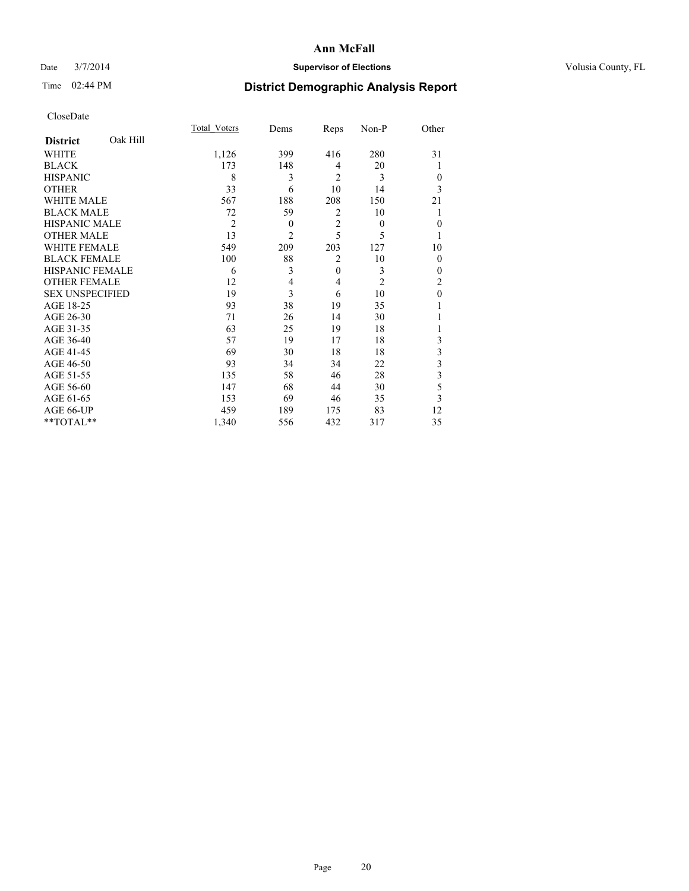### Date  $3/7/2014$  **Supervisor of Elections Supervisor of Elections** Volusia County, FL

# Time 02:44 PM **District Demographic Analysis Report**

|                        |          | Total Voters   | Dems           | Reps           | Non-P          | Other                   |
|------------------------|----------|----------------|----------------|----------------|----------------|-------------------------|
| <b>District</b>        | Oak Hill |                |                |                |                |                         |
| WHITE                  |          | 1,126          | 399            | 416            | 280            | 31                      |
| <b>BLACK</b>           |          | 173            | 148            | $\overline{4}$ | 20             | 1                       |
| <b>HISPANIC</b>        |          | 8              | 3              | $\overline{2}$ | 3              | $\theta$                |
| <b>OTHER</b>           |          | 33             | 6              | 10             | 14             | 3                       |
| <b>WHITE MALE</b>      |          | 567            | 188            | 208            | 150            | 21                      |
| <b>BLACK MALE</b>      |          | 72             | 59             | $\overline{2}$ | 10             | 1                       |
| <b>HISPANIC MALE</b>   |          | $\overline{2}$ | $\theta$       | $\overline{c}$ | $\theta$       | $\theta$                |
| <b>OTHER MALE</b>      |          | 13             | $\overline{c}$ | 5              | 5              |                         |
| <b>WHITE FEMALE</b>    |          | 549            | 209            | 203            | 127            | 10                      |
| <b>BLACK FEMALE</b>    |          | 100            | 88             | $\overline{2}$ | 10             | $\mathbf{0}$            |
| <b>HISPANIC FEMALE</b> |          | 6              | 3              | $\mathbf{0}$   | 3              | $\theta$                |
| <b>OTHER FEMALE</b>    |          | 12             | 4              | $\overline{4}$ | $\overline{2}$ | $\overline{c}$          |
| <b>SEX UNSPECIFIED</b> |          | 19             | 3              | 6              | 10             | $\mathbf{0}$            |
| AGE 18-25              |          | 93             | 38             | 19             | 35             |                         |
| AGE 26-30              |          | 71             | 26             | 14             | 30             |                         |
| AGE 31-35              |          | 63             | 25             | 19             | 18             |                         |
| AGE 36-40              |          | 57             | 19             | 17             | 18             | 3                       |
| AGE 41-45              |          | 69             | 30             | 18             | 18             | 3                       |
| AGE 46-50              |          | 93             | 34             | 34             | 22             | $\overline{\mathbf{3}}$ |
| AGE 51-55              |          | 135            | 58             | 46             | 28             | 3                       |
| AGE 56-60              |          | 147            | 68             | 44             | 30             | 5                       |
| AGE 61-65              |          | 153            | 69             | 46             | 35             | 3                       |
| AGE 66-UP              |          | 459            | 189            | 175            | 83             | 12                      |
| **TOTAL**              |          | 1,340          | 556            | 432            | 317            | 35                      |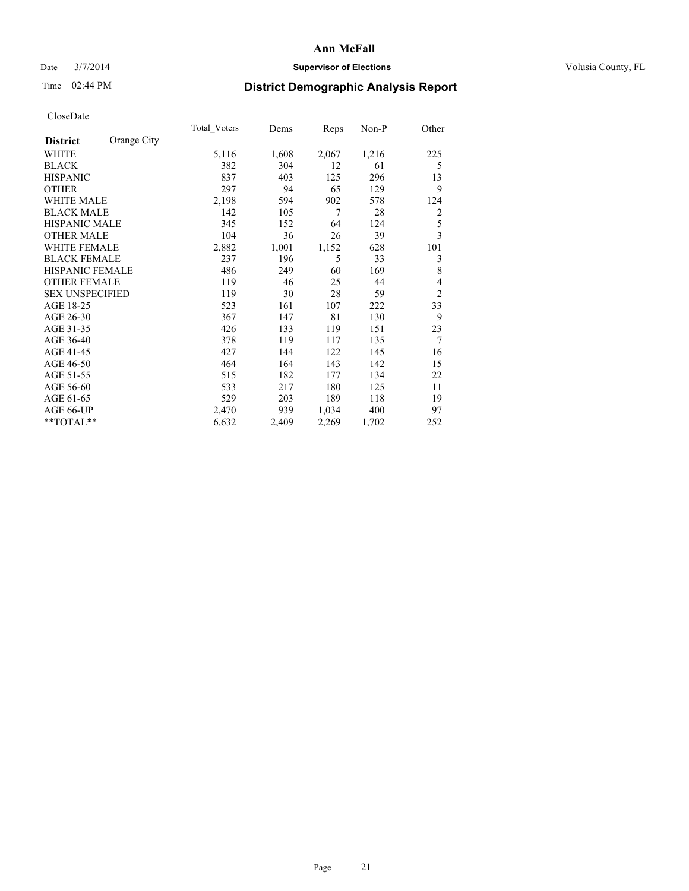### Date  $3/7/2014$  **Supervisor of Elections Supervisor of Elections** Volusia County, FL

# Time 02:44 PM **District Demographic Analysis Report**

|                        |             | <b>Total Voters</b> | Dems  | Reps  | Non-P | Other          |
|------------------------|-------------|---------------------|-------|-------|-------|----------------|
| <b>District</b>        | Orange City |                     |       |       |       |                |
| WHITE                  |             | 5,116               | 1,608 | 2,067 | 1,216 | 225            |
| <b>BLACK</b>           |             | 382                 | 304   | 12    | 61    | 5              |
| <b>HISPANIC</b>        |             | 837                 | 403   | 125   | 296   | 13             |
| <b>OTHER</b>           |             | 297                 | 94    | 65    | 129   | 9              |
| <b>WHITE MALE</b>      |             | 2,198               | 594   | 902   | 578   | 124            |
| <b>BLACK MALE</b>      |             | 142                 | 105   | 7     | 28    | 2              |
| <b>HISPANIC MALE</b>   |             | 345                 | 152   | 64    | 124   | 5              |
| <b>OTHER MALE</b>      |             | 104                 | 36    | 26    | 39    | 3              |
| <b>WHITE FEMALE</b>    |             | 2,882               | 1,001 | 1,152 | 628   | 101            |
| <b>BLACK FEMALE</b>    |             | 237                 | 196   | 5     | 33    | 3              |
| HISPANIC FEMALE        |             | 486                 | 249   | 60    | 169   | 8              |
| <b>OTHER FEMALE</b>    |             | 119                 | 46    | 25    | 44    | 4              |
| <b>SEX UNSPECIFIED</b> |             | 119                 | 30    | 28    | 59    | $\overline{2}$ |
| AGE 18-25              |             | 523                 | 161   | 107   | 222   | 33             |
| AGE 26-30              |             | 367                 | 147   | 81    | 130   | 9              |
| AGE 31-35              |             | 426                 | 133   | 119   | 151   | 23             |
| AGE 36-40              |             | 378                 | 119   | 117   | 135   | 7              |
| AGE 41-45              |             | 427                 | 144   | 122   | 145   | 16             |
| AGE 46-50              |             | 464                 | 164   | 143   | 142   | 15             |
| AGE 51-55              |             | 515                 | 182   | 177   | 134   | 22             |
| AGE 56-60              |             | 533                 | 217   | 180   | 125   | 11             |
| AGE 61-65              |             | 529                 | 203   | 189   | 118   | 19             |
| AGE 66-UP              |             | 2,470               | 939   | 1,034 | 400   | 97             |
| **TOTAL**              |             | 6,632               | 2,409 | 2,269 | 1,702 | 252            |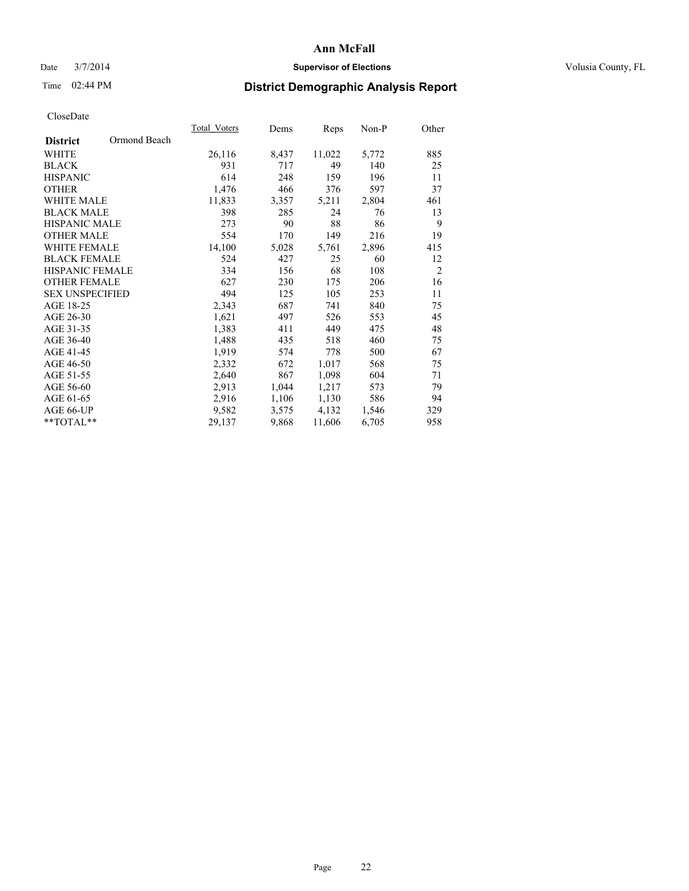### Date  $3/7/2014$  **Supervisor of Elections Supervisor of Elections** Volusia County, FL

## Time 02:44 PM **District Demographic Analysis Report**

|                                 | Total Voters | Dems  | Reps   | $Non-P$ | Other          |
|---------------------------------|--------------|-------|--------|---------|----------------|
| Ormond Beach<br><b>District</b> |              |       |        |         |                |
| WHITE                           | 26,116       | 8,437 | 11,022 | 5,772   | 885            |
| <b>BLACK</b>                    | 931          | 717   | 49     | 140     | 25             |
| <b>HISPANIC</b>                 | 614          | 248   | 159    | 196     | 11             |
| <b>OTHER</b>                    | 1,476        | 466   | 376    | 597     | 37             |
| WHITE MALE                      | 11,833       | 3,357 | 5,211  | 2,804   | 461            |
| <b>BLACK MALE</b>               | 398          | 285   | 24     | 76      | 13             |
| <b>HISPANIC MALE</b>            | 273          | 90    | 88     | 86      | 9              |
| <b>OTHER MALE</b>               | 554          | 170   | 149    | 216     | 19             |
| <b>WHITE FEMALE</b>             | 14,100       | 5,028 | 5,761  | 2,896   | 415            |
| <b>BLACK FEMALE</b>             | 524          | 427   | 25     | 60      | 12             |
| HISPANIC FEMALE                 | 334          | 156   | 68     | 108     | $\overline{2}$ |
| <b>OTHER FEMALE</b>             | 627          | 230   | 175    | 206     | 16             |
| <b>SEX UNSPECIFIED</b>          | 494          | 125   | 105    | 253     | 11             |
| AGE 18-25                       | 2,343        | 687   | 741    | 840     | 75             |
| AGE 26-30                       | 1,621        | 497   | 526    | 553     | 45             |
| AGE 31-35                       | 1,383        | 411   | 449    | 475     | 48             |
| AGE 36-40                       | 1,488        | 435   | 518    | 460     | 75             |
| AGE 41-45                       | 1,919        | 574   | 778    | 500     | 67             |
| AGE 46-50                       | 2,332        | 672   | 1,017  | 568     | 75             |
| AGE 51-55                       | 2,640        | 867   | 1,098  | 604     | 71             |
| AGE 56-60                       | 2,913        | 1,044 | 1,217  | 573     | 79             |
| AGE 61-65                       | 2,916        | 1,106 | 1,130  | 586     | 94             |
| AGE 66-UP                       | 9,582        | 3,575 | 4,132  | 1,546   | 329            |
| **TOTAL**                       | 29,137       | 9,868 | 11,606 | 6,705   | 958            |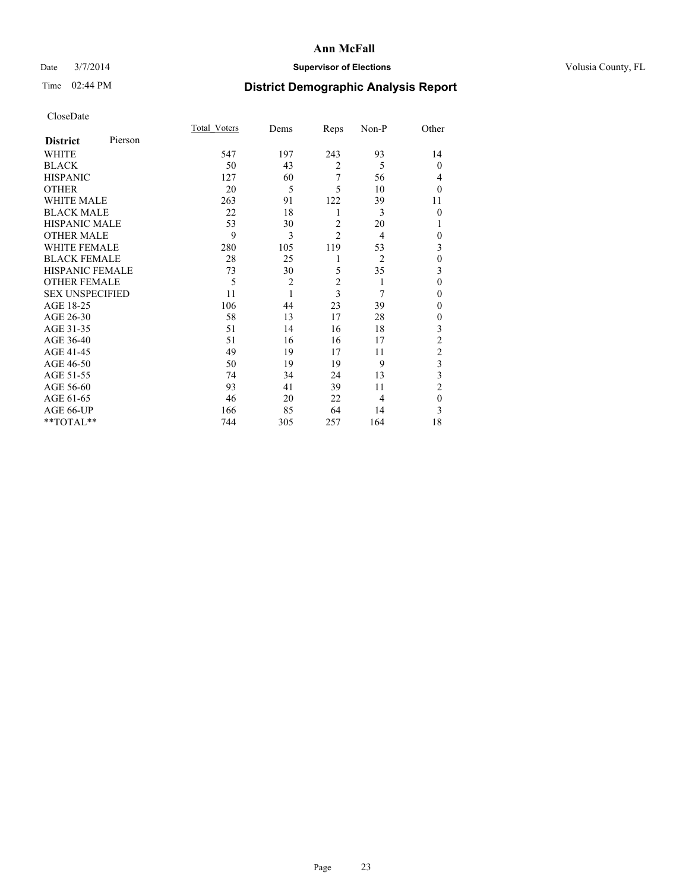### Date  $3/7/2014$  **Supervisor of Elections Supervisor of Elections** Volusia County, FL

# Time 02:44 PM **District Demographic Analysis Report**

|                        |         | <b>Total Voters</b> | Dems           | Reps           | Non-P          | Other                   |
|------------------------|---------|---------------------|----------------|----------------|----------------|-------------------------|
| <b>District</b>        | Pierson |                     |                |                |                |                         |
| WHITE                  |         | 547                 | 197            | 243            | 93             | 14                      |
| <b>BLACK</b>           |         | 50                  | 43             | $\overline{2}$ | 5              | $\theta$                |
| <b>HISPANIC</b>        |         | 127                 | 60             | 7              | 56             | 4                       |
| <b>OTHER</b>           |         | 20                  | 5              | 5              | 10             | $\theta$                |
| <b>WHITE MALE</b>      |         | 263                 | 91             | 122            | 39             | 11                      |
| <b>BLACK MALE</b>      |         | 22                  | 18             | 1              | 3              | $\theta$                |
| <b>HISPANIC MALE</b>   |         | 53                  | 30             | $\overline{c}$ | 20             | 1                       |
| <b>OTHER MALE</b>      |         | 9                   | 3              | $\overline{c}$ | $\overline{4}$ | $\theta$                |
| <b>WHITE FEMALE</b>    |         | 280                 | 105            | 119            | 53             | 3                       |
| <b>BLACK FEMALE</b>    |         | 28                  | 25             | 1              | $\overline{2}$ | $\mathbf{0}$            |
| <b>HISPANIC FEMALE</b> |         | 73                  | 30             | 5              | 35             | 3                       |
| <b>OTHER FEMALE</b>    |         | 5                   | $\overline{c}$ | $\overline{c}$ | 1              | $\theta$                |
| <b>SEX UNSPECIFIED</b> |         | 11                  | $\mathbf{1}$   | 3              | 7              | $\theta$                |
| AGE 18-25              |         | 106                 | 44             | 23             | 39             | $\theta$                |
| AGE 26-30              |         | 58                  | 13             | 17             | 28             | $\theta$                |
| AGE 31-35              |         | 51                  | 14             | 16             | 18             | 3                       |
| AGE 36-40              |         | 51                  | 16             | 16             | 17             | $\overline{c}$          |
| AGE 41-45              |         | 49                  | 19             | 17             | 11             | $\overline{c}$          |
| AGE 46-50              |         | 50                  | 19             | 19             | 9              | $\overline{\mathbf{3}}$ |
| AGE 51-55              |         | 74                  | 34             | 24             | 13             | 3                       |
| AGE 56-60              |         | 93                  | 41             | 39             | 11             | $\overline{2}$          |
| AGE 61-65              |         | 46                  | 20             | 22             | 4              | $\mathbf{0}$            |
| AGE 66-UP              |         | 166                 | 85             | 64             | 14             | 3                       |
| $**TOTAL**$            |         | 744                 | 305            | 257            | 164            | 18                      |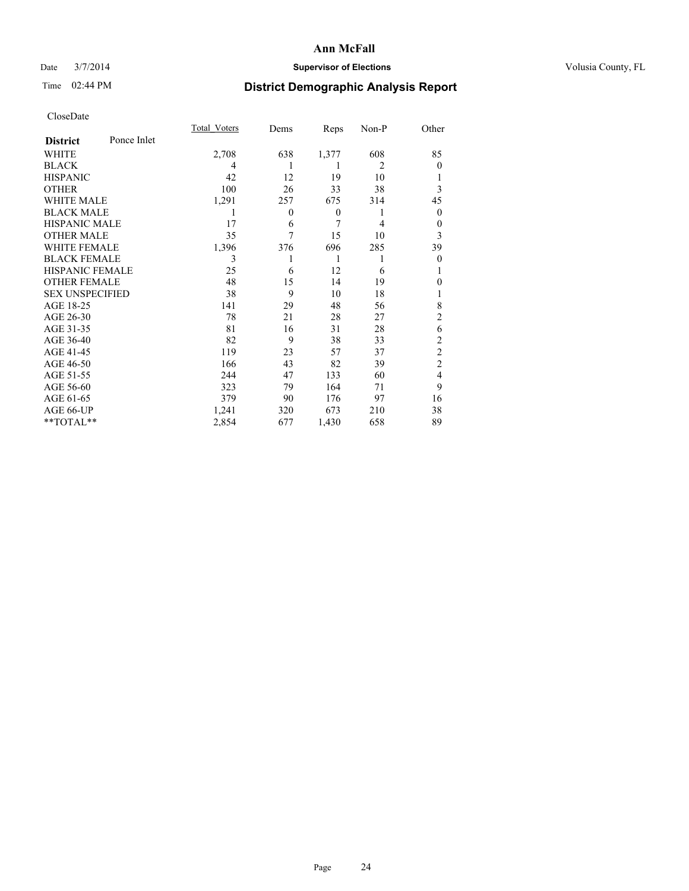### Date  $3/7/2014$  **Supervisor of Elections Supervisor of Elections** Volusia County, FL

# Time 02:44 PM **District Demographic Analysis Report**

|                        |             | <b>Total Voters</b> | Dems     | Reps             | Non-P          | Other          |
|------------------------|-------------|---------------------|----------|------------------|----------------|----------------|
| <b>District</b>        | Ponce Inlet |                     |          |                  |                |                |
| <b>WHITE</b>           |             | 2,708               | 638      | 1,377            | 608            | 85             |
| <b>BLACK</b>           |             | 4                   |          | 1                | $\overline{2}$ | $\Omega$       |
| <b>HISPANIC</b>        |             | 42                  | 12       | 19               | 10             |                |
| <b>OTHER</b>           |             | 100                 | 26       | 33               | 38             | 3              |
| WHITE MALE             |             | 1,291               | 257      | 675              | 314            | 45             |
| <b>BLACK MALE</b>      |             | 1                   | $\theta$ | $\boldsymbol{0}$ | 1              | $\overline{0}$ |
| <b>HISPANIC MALE</b>   |             | 17                  | 6        | 7                | 4              | 0              |
| <b>OTHER MALE</b>      |             | 35                  | 7        | 15               | 10             | 3              |
| <b>WHITE FEMALE</b>    |             | 1,396               | 376      | 696              | 285            | 39             |
| <b>BLACK FEMALE</b>    |             | 3                   |          | 1                | 1              | $\overline{0}$ |
| <b>HISPANIC FEMALE</b> |             | 25                  | 6        | 12               | 6              |                |
| <b>OTHER FEMALE</b>    |             | 48                  | 15       | 14               | 19             | $\theta$       |
| <b>SEX UNSPECIFIED</b> |             | 38                  | 9        | 10               | 18             |                |
| AGE 18-25              |             | 141                 | 29       | 48               | 56             | 8              |
| AGE 26-30              |             | 78                  | 21       | 28               | 27             | $\overline{2}$ |
| AGE 31-35              |             | 81                  | 16       | 31               | 28             | 6              |
| AGE 36-40              |             | 82                  | 9        | 38               | 33             | $\overline{c}$ |
| AGE 41-45              |             | 119                 | 23       | 57               | 37             | $\overline{c}$ |
| AGE 46-50              |             | 166                 | 43       | 82               | 39             | $\overline{2}$ |
| AGE 51-55              |             | 244                 | 47       | 133              | 60             | $\overline{4}$ |
| AGE 56-60              |             | 323                 | 79       | 164              | 71             | 9              |
| AGE 61-65              |             | 379                 | 90       | 176              | 97             | 16             |
| AGE 66-UP              |             | 1,241               | 320      | 673              | 210            | 38             |
| **TOTAL**              |             | 2,854               | 677      | 1,430            | 658            | 89             |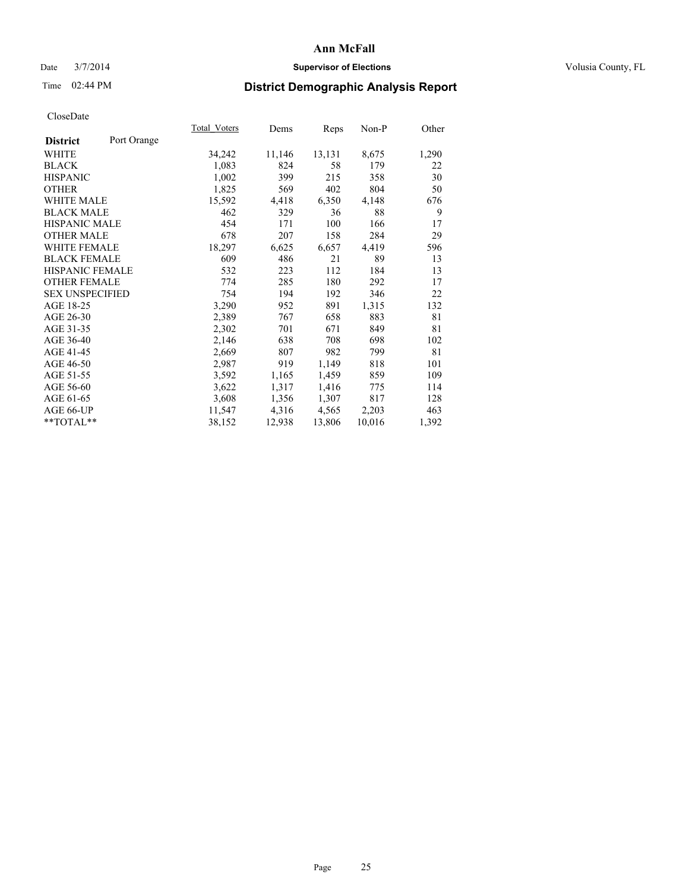### Date  $3/7/2014$  **Supervisor of Elections Supervisor of Elections** Volusia County, FL

# Time 02:44 PM **District Demographic Analysis Report**

|                                | Total Voters | Dems   | Reps   | $Non-P$ | Other |
|--------------------------------|--------------|--------|--------|---------|-------|
| Port Orange<br><b>District</b> |              |        |        |         |       |
| WHITE                          | 34,242       | 11,146 | 13,131 | 8,675   | 1,290 |
| <b>BLACK</b>                   | 1,083        | 824    | 58     | 179     | 22    |
| <b>HISPANIC</b>                | 1,002        | 399    | 215    | 358     | 30    |
| OTHER                          | 1,825        | 569    | 402    | 804     | 50    |
| WHITE MALE                     | 15,592       | 4,418  | 6,350  | 4,148   | 676   |
| <b>BLACK MALE</b>              | 462          | 329    | 36     | 88      | 9     |
| HISPANIC MALE                  | 454          | 171    | 100    | 166     | 17    |
| OTHER MALE                     | 678          | 207    | 158    | 284     | 29    |
| <b>WHITE FEMALE</b>            | 18,297       | 6,625  | 6,657  | 4,419   | 596   |
| <b>BLACK FEMALE</b>            | 609          | 486    | 21     | 89      | 13    |
| HISPANIC FEMALE                | 532          | 223    | 112    | 184     | 13    |
| <b>OTHER FEMALE</b>            | 774          | 285    | 180    | 292     | 17    |
| <b>SEX UNSPECIFIED</b>         | 754          | 194    | 192    | 346     | 22    |
| AGE 18-25                      | 3,290        | 952    | 891    | 1,315   | 132   |
| AGE 26-30                      | 2,389        | 767    | 658    | 883     | 81    |
| AGE 31-35                      | 2,302        | 701    | 671    | 849     | 81    |
| AGE 36-40                      | 2,146        | 638    | 708    | 698     | 102   |
| AGE 41-45                      | 2,669        | 807    | 982    | 799     | 81    |
| AGE 46-50                      | 2,987        | 919    | 1,149  | 818     | 101   |
| AGE 51-55                      | 3,592        | 1,165  | 1,459  | 859     | 109   |
| AGE 56-60                      | 3,622        | 1,317  | 1,416  | 775     | 114   |
| AGE 61-65                      | 3,608        | 1,356  | 1,307  | 817     | 128   |
| AGE 66-UP                      | 11,547       | 4,316  | 4,565  | 2,203   | 463   |
| **TOTAL**                      | 38,152       | 12,938 | 13,806 | 10,016  | 1,392 |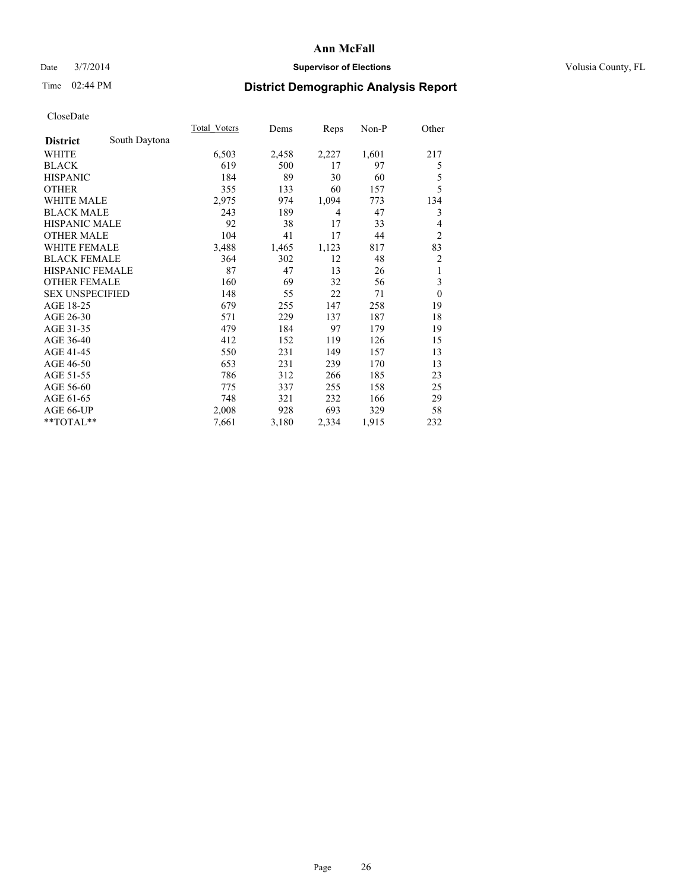### Date  $3/7/2014$  **Supervisor of Elections Supervisor of Elections** Volusia County, FL

# Time 02:44 PM **District Demographic Analysis Report**

|                        |               | Total Voters | Dems  | Reps  | $Non-P$ | Other          |
|------------------------|---------------|--------------|-------|-------|---------|----------------|
| <b>District</b>        | South Daytona |              |       |       |         |                |
| WHITE                  |               | 6,503        | 2,458 | 2,227 | 1,601   | 217            |
| <b>BLACK</b>           |               | 619          | 500   | 17    | 97      | 5              |
| <b>HISPANIC</b>        |               | 184          | 89    | 30    | 60      | 5              |
| <b>OTHER</b>           |               | 355          | 133   | 60    | 157     | 5              |
| <b>WHITE MALE</b>      |               | 2,975        | 974   | 1,094 | 773     | 134            |
| <b>BLACK MALE</b>      |               | 243          | 189   | 4     | 47      | 3              |
| <b>HISPANIC MALE</b>   |               | 92           | 38    | 17    | 33      | 4              |
| <b>OTHER MALE</b>      |               | 104          | 41    | 17    | 44      | $\overline{c}$ |
| <b>WHITE FEMALE</b>    |               | 3,488        | 1,465 | 1,123 | 817     | 83             |
| <b>BLACK FEMALE</b>    |               | 364          | 302   | 12    | 48      | $\overline{c}$ |
| <b>HISPANIC FEMALE</b> |               | 87           | 47    | 13    | 26      | 1              |
| <b>OTHER FEMALE</b>    |               | 160          | 69    | 32    | 56      | 3              |
| <b>SEX UNSPECIFIED</b> |               | 148          | 55    | 22    | 71      | $\mathbf{0}$   |
| AGE 18-25              |               | 679          | 255   | 147   | 258     | 19             |
| AGE 26-30              |               | 571          | 229   | 137   | 187     | 18             |
| AGE 31-35              |               | 479          | 184   | 97    | 179     | 19             |
| AGE 36-40              |               | 412          | 152   | 119   | 126     | 15             |
| AGE 41-45              |               | 550          | 231   | 149   | 157     | 13             |
| AGE 46-50              |               | 653          | 231   | 239   | 170     | 13             |
| AGE 51-55              |               | 786          | 312   | 266   | 185     | 23             |
| AGE 56-60              |               | 775          | 337   | 255   | 158     | 25             |
| AGE 61-65              |               | 748          | 321   | 232   | 166     | 29             |
| AGE 66-UP              |               | 2,008        | 928   | 693   | 329     | 58             |
| **TOTAL**              |               | 7,661        | 3,180 | 2,334 | 1,915   | 232            |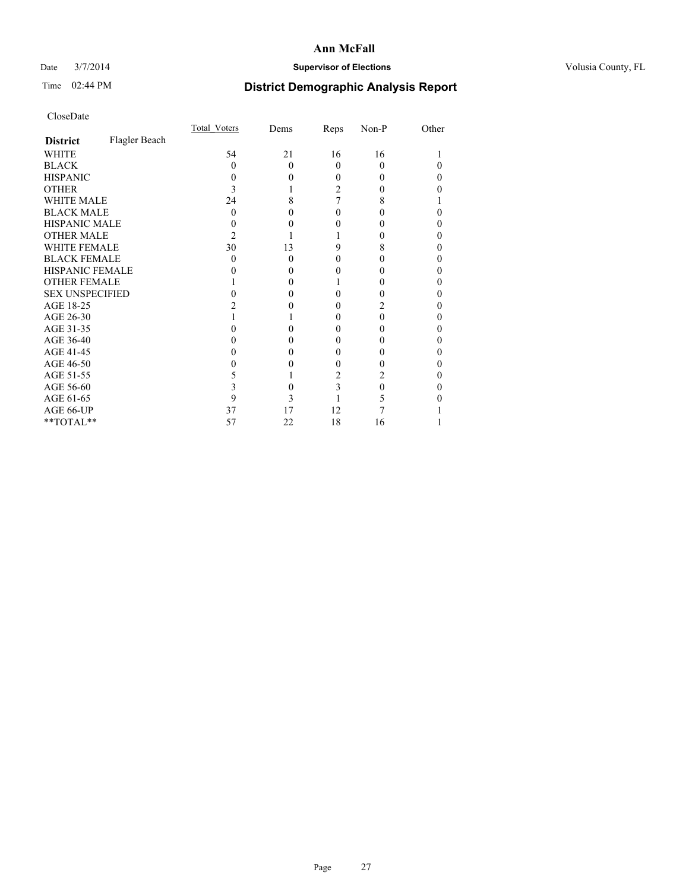### Date  $3/7/2014$  **Supervisor of Elections Supervisor of Elections** Volusia County, FL

# Time 02:44 PM **District Demographic Analysis Report**

|                        |               | Total Voters | Dems     | Reps | Non-P | Other |
|------------------------|---------------|--------------|----------|------|-------|-------|
| <b>District</b>        | Flagler Beach |              |          |      |       |       |
| <b>WHITE</b>           |               | 54           | 21       | 16   | 16    |       |
| <b>BLACK</b>           |               | 0            | $\Omega$ | 0    | 0     | 0     |
| <b>HISPANIC</b>        |               | $\mathbf{0}$ | $\theta$ | 0    | 0     | 0     |
| <b>OTHER</b>           |               |              |          | 2    |       | 0     |
| <b>WHITE MALE</b>      |               | 24           | 8        |      | 8     |       |
| <b>BLACK MALE</b>      |               | 0            | 0        | 0    |       | 0     |
| <b>HISPANIC MALE</b>   |               |              |          |      |       | 0     |
| <b>OTHER MALE</b>      |               | 2            |          |      |       | 0     |
| <b>WHITE FEMALE</b>    |               | 30           | 13       | 9    | 8     | 0     |
| <b>BLACK FEMALE</b>    |               | $\theta$     | $\Omega$ | 0    | 0     | 0     |
| HISPANIC FEMALE        |               |              | 0        |      |       | 0     |
| <b>OTHER FEMALE</b>    |               |              | 0        |      |       | 0     |
| <b>SEX UNSPECIFIED</b> |               |              | 0        |      |       | 0     |
| AGE 18-25              |               |              |          |      | 2     | 0     |
| AGE 26-30              |               |              |          | 0    | 0     | 0     |
| AGE 31-35              |               |              | 0        | 0    |       | 0     |
| AGE 36-40              |               | 0            | 0        | 0    | 0     | 0     |
| AGE 41-45              |               |              | 0        |      |       | 0     |
| AGE 46-50              |               |              |          | 0    |       | 0     |
| AGE 51-55              |               |              |          | 2    | 2     | 0     |
| AGE 56-60              |               |              | 0        | 3    | 0     | 0     |
| AGE 61-65              |               | 9            | 3        |      | 5     | 0     |
| AGE 66-UP              |               | 37           | 17       | 12   |       |       |
| $**TOTAL**$            |               | 57           | 22       | 18   | 16    |       |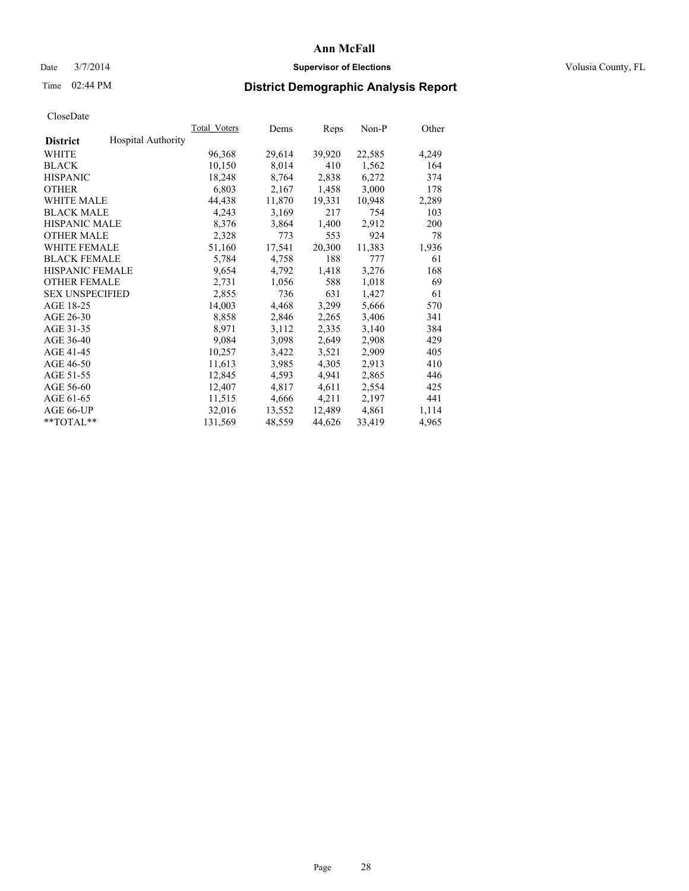### Date  $3/7/2014$  **Supervisor of Elections Supervisor of Elections** Volusia County, FL

## Time 02:44 PM **District Demographic Analysis Report**

|                        |                           | Total Voters | Dems   | <b>Reps</b> | Non-P  | Other |
|------------------------|---------------------------|--------------|--------|-------------|--------|-------|
| <b>District</b>        | <b>Hospital Authority</b> |              |        |             |        |       |
| WHITE                  |                           | 96,368       | 29,614 | 39,920      | 22,585 | 4,249 |
| <b>BLACK</b>           |                           | 10,150       | 8,014  | 410         | 1,562  | 164   |
| <b>HISPANIC</b>        |                           | 18,248       | 8,764  | 2,838       | 6,272  | 374   |
| <b>OTHER</b>           |                           | 6,803        | 2,167  | 1,458       | 3,000  | 178   |
| <b>WHITE MALE</b>      |                           | 44,438       | 11,870 | 19,331      | 10,948 | 2,289 |
| <b>BLACK MALE</b>      |                           | 4,243        | 3,169  | 217         | 754    | 103   |
| <b>HISPANIC MALE</b>   |                           | 8,376        | 3,864  | 1,400       | 2,912  | 200   |
| <b>OTHER MALE</b>      |                           | 2,328        | 773    | 553         | 924    | 78    |
| <b>WHITE FEMALE</b>    |                           | 51,160       | 17,541 | 20,300      | 11,383 | 1,936 |
| <b>BLACK FEMALE</b>    |                           | 5,784        | 4,758  | 188         | 777    | 61    |
| <b>HISPANIC FEMALE</b> |                           | 9,654        | 4,792  | 1,418       | 3,276  | 168   |
| <b>OTHER FEMALE</b>    |                           | 2,731        | 1,056  | 588         | 1,018  | 69    |
| <b>SEX UNSPECIFIED</b> |                           | 2,855        | 736    | 631         | 1,427  | 61    |
| AGE 18-25              |                           | 14,003       | 4,468  | 3,299       | 5,666  | 570   |
| AGE 26-30              |                           | 8,858        | 2,846  | 2,265       | 3,406  | 341   |
| AGE 31-35              |                           | 8,971        | 3,112  | 2,335       | 3,140  | 384   |
| AGE 36-40              |                           | 9,084        | 3,098  | 2,649       | 2,908  | 429   |
| AGE 41-45              |                           | 10,257       | 3,422  | 3,521       | 2,909  | 405   |
| AGE 46-50              |                           | 11,613       | 3,985  | 4,305       | 2,913  | 410   |
| AGE 51-55              |                           | 12,845       | 4,593  | 4,941       | 2,865  | 446   |
| AGE 56-60              |                           | 12,407       | 4,817  | 4,611       | 2,554  | 425   |
| AGE 61-65              |                           | 11,515       | 4,666  | 4,211       | 2,197  | 441   |
| AGE 66-UP              |                           | 32,016       | 13,552 | 12,489      | 4,861  | 1,114 |
| $*$ $TOTAL**$          |                           | 131,569      | 48,559 | 44,626      | 33,419 | 4,965 |
|                        |                           |              |        |             |        |       |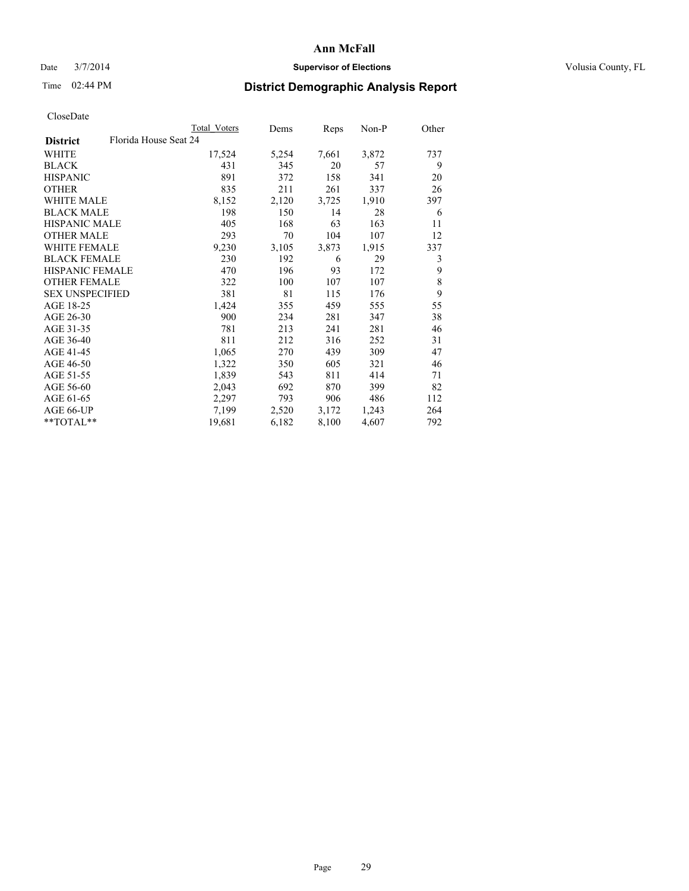### Date  $3/7/2014$  **Supervisor of Elections Supervisor of Elections** Volusia County, FL

## Time 02:44 PM **District Demographic Analysis Report**

|                                          | <b>Total Voters</b> | Dems  | Reps  | Non-P | Other |
|------------------------------------------|---------------------|-------|-------|-------|-------|
| Florida House Seat 24<br><b>District</b> |                     |       |       |       |       |
| WHITE                                    | 17,524              | 5,254 | 7,661 | 3,872 | 737   |
| <b>BLACK</b>                             | 431                 | 345   | 20    | 57    | 9     |
| <b>HISPANIC</b>                          | 891                 | 372   | 158   | 341   | 20    |
| <b>OTHER</b>                             | 835                 | 211   | 261   | 337   | 26    |
| <b>WHITE MALE</b>                        | 8,152               | 2,120 | 3,725 | 1,910 | 397   |
| <b>BLACK MALE</b>                        | 198                 | 150   | 14    | 28    | 6     |
| <b>HISPANIC MALE</b>                     | 405                 | 168   | 63    | 163   | 11    |
| <b>OTHER MALE</b>                        | 293                 | 70    | 104   | 107   | 12    |
| <b>WHITE FEMALE</b>                      | 9,230               | 3,105 | 3,873 | 1,915 | 337   |
| <b>BLACK FEMALE</b>                      | 230                 | 192   | 6     | 29    | 3     |
| HISPANIC FEMALE                          | 470                 | 196   | 93    | 172   | 9     |
| <b>OTHER FEMALE</b>                      | 322                 | 100   | 107   | 107   | 8     |
| <b>SEX UNSPECIFIED</b>                   | 381                 | 81    | 115   | 176   | 9     |
| AGE 18-25                                | 1,424               | 355   | 459   | 555   | 55    |
| AGE 26-30                                | 900                 | 234   | 281   | 347   | 38    |
| AGE 31-35                                | 781                 | 213   | 241   | 281   | 46    |
| AGE 36-40                                | 811                 | 212   | 316   | 252   | 31    |
| AGE 41-45                                | 1,065               | 270   | 439   | 309   | 47    |
| AGE 46-50                                | 1,322               | 350   | 605   | 321   | 46    |
| AGE 51-55                                | 1,839               | 543   | 811   | 414   | 71    |
| AGE 56-60                                | 2,043               | 692   | 870   | 399   | 82    |
| AGE 61-65                                | 2,297               | 793   | 906   | 486   | 112   |
| AGE 66-UP                                | 7,199               | 2,520 | 3,172 | 1,243 | 264   |
| **TOTAL**                                | 19,681              | 6,182 | 8,100 | 4,607 | 792   |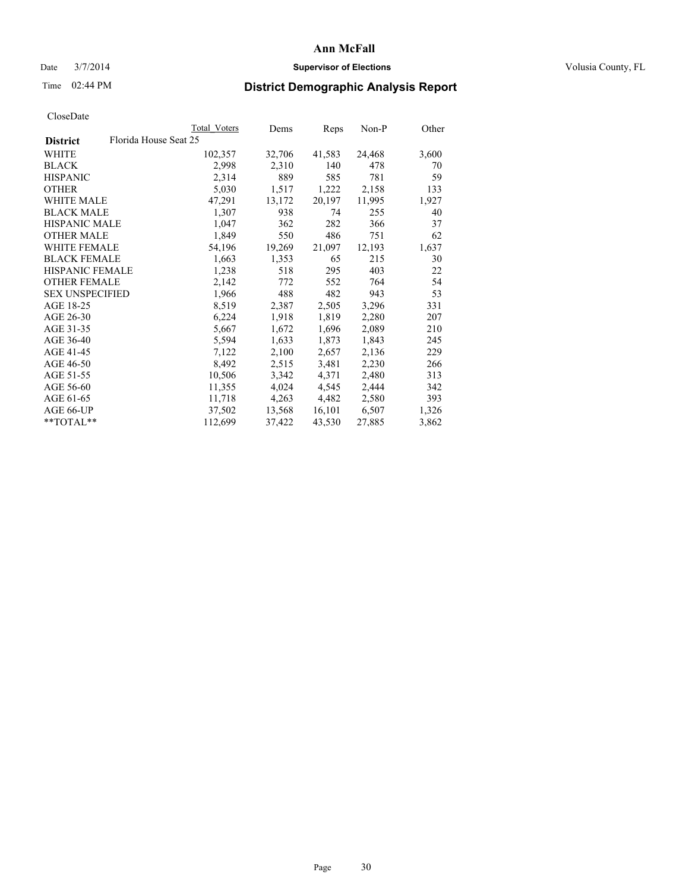### Date  $3/7/2014$  **Supervisor of Elections Supervisor of Elections** Volusia County, FL

## Time 02:44 PM **District Demographic Analysis Report**

|                                          | Total Voters | Dems   | Reps   | Non-P  | Other |
|------------------------------------------|--------------|--------|--------|--------|-------|
| Florida House Seat 25<br><b>District</b> |              |        |        |        |       |
| WHITE                                    | 102,357      | 32,706 | 41,583 | 24,468 | 3,600 |
| <b>BLACK</b>                             | 2,998        | 2,310  | 140    | 478    | 70    |
| <b>HISPANIC</b>                          | 2,314        | 889    | 585    | 781    | 59    |
| <b>OTHER</b>                             | 5,030        | 1,517  | 1,222  | 2,158  | 133   |
| WHITE MALE                               | 47,291       | 13,172 | 20,197 | 11,995 | 1,927 |
| <b>BLACK MALE</b>                        | 1,307        | 938    | 74     | 255    | 40    |
| <b>HISPANIC MALE</b>                     | 1,047        | 362    | 282    | 366    | 37    |
| <b>OTHER MALE</b>                        | 1,849        | 550    | 486    | 751    | 62    |
| <b>WHITE FEMALE</b>                      | 54,196       | 19,269 | 21,097 | 12,193 | 1,637 |
| <b>BLACK FEMALE</b>                      | 1,663        | 1,353  | 65     | 215    | 30    |
| HISPANIC FEMALE                          | 1,238        | 518    | 295    | 403    | 22    |
| <b>OTHER FEMALE</b>                      | 2,142        | 772    | 552    | 764    | 54    |
| <b>SEX UNSPECIFIED</b>                   | 1,966        | 488    | 482    | 943    | 53    |
| AGE 18-25                                | 8,519        | 2,387  | 2,505  | 3,296  | 331   |
| AGE 26-30                                | 6,224        | 1,918  | 1,819  | 2,280  | 207   |
| AGE 31-35                                | 5,667        | 1,672  | 1,696  | 2,089  | 210   |
| AGE 36-40                                | 5,594        | 1,633  | 1,873  | 1,843  | 245   |
| AGE 41-45                                | 7,122        | 2,100  | 2,657  | 2,136  | 229   |
| AGE 46-50                                | 8,492        | 2,515  | 3,481  | 2,230  | 266   |
| AGE 51-55                                | 10,506       | 3,342  | 4,371  | 2,480  | 313   |
| AGE 56-60                                | 11,355       | 4,024  | 4,545  | 2,444  | 342   |
| AGE 61-65                                | 11,718       | 4,263  | 4,482  | 2,580  | 393   |
| AGE 66-UP                                | 37,502       | 13,568 | 16,101 | 6,507  | 1,326 |
| $*$ TOTAL $*$                            | 112,699      | 37,422 | 43,530 | 27,885 | 3,862 |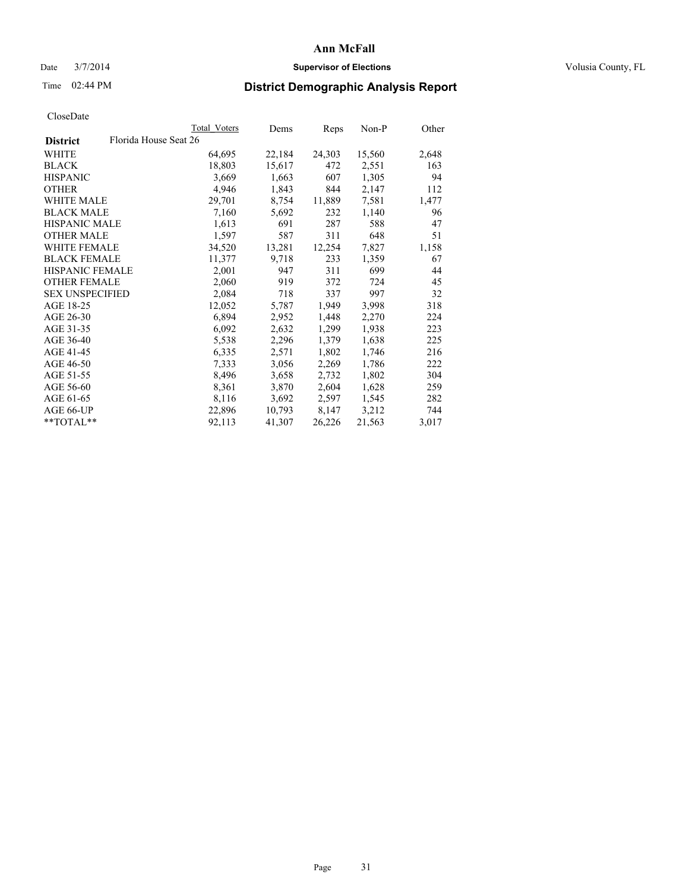### Date  $3/7/2014$  **Supervisor of Elections Supervisor of Elections** Volusia County, FL

## Time 02:44 PM **District Demographic Analysis Report**

|                        |                       | Total Voters | Dems   | <b>Reps</b> | Non-P  | Other |
|------------------------|-----------------------|--------------|--------|-------------|--------|-------|
| <b>District</b>        | Florida House Seat 26 |              |        |             |        |       |
| WHITE                  |                       | 64,695       | 22,184 | 24,303      | 15,560 | 2,648 |
| <b>BLACK</b>           |                       | 18,803       | 15,617 | 472         | 2,551  | 163   |
| <b>HISPANIC</b>        |                       | 3,669        | 1,663  | 607         | 1,305  | 94    |
| <b>OTHER</b>           |                       | 4,946        | 1,843  | 844         | 2,147  | 112   |
| WHITE MALE             |                       | 29,701       | 8,754  | 11,889      | 7,581  | 1,477 |
| <b>BLACK MALE</b>      |                       | 7,160        | 5,692  | 232         | 1,140  | 96    |
| <b>HISPANIC MALE</b>   |                       | 1,613        | 691    | 287         | 588    | 47    |
| <b>OTHER MALE</b>      |                       | 1,597        | 587    | 311         | 648    | 51    |
| <b>WHITE FEMALE</b>    |                       | 34,520       | 13,281 | 12,254      | 7,827  | 1,158 |
| <b>BLACK FEMALE</b>    |                       | 11,377       | 9,718  | 233         | 1,359  | 67    |
| HISPANIC FEMALE        |                       | 2,001        | 947    | 311         | 699    | 44    |
| <b>OTHER FEMALE</b>    |                       | 2,060        | 919    | 372         | 724    | 45    |
| <b>SEX UNSPECIFIED</b> |                       | 2,084        | 718    | 337         | 997    | 32    |
| AGE 18-25              |                       | 12,052       | 5,787  | 1,949       | 3,998  | 318   |
| AGE 26-30              |                       | 6,894        | 2,952  | 1,448       | 2,270  | 224   |
| AGE 31-35              |                       | 6,092        | 2,632  | 1,299       | 1,938  | 223   |
| AGE 36-40              |                       | 5,538        | 2,296  | 1,379       | 1,638  | 225   |
| AGE 41-45              |                       | 6,335        | 2,571  | 1,802       | 1,746  | 216   |
| AGE 46-50              |                       | 7,333        | 3,056  | 2,269       | 1,786  | 222   |
| AGE 51-55              |                       | 8,496        | 3,658  | 2,732       | 1,802  | 304   |
| AGE 56-60              |                       | 8,361        | 3,870  | 2,604       | 1,628  | 259   |
| AGE 61-65              |                       | 8,116        | 3,692  | 2,597       | 1,545  | 282   |
| AGE 66-UP              |                       | 22,896       | 10,793 | 8,147       | 3,212  | 744   |
| $*$ $TOTAL**$          |                       | 92,113       | 41,307 | 26,226      | 21,563 | 3,017 |
|                        |                       |              |        |             |        |       |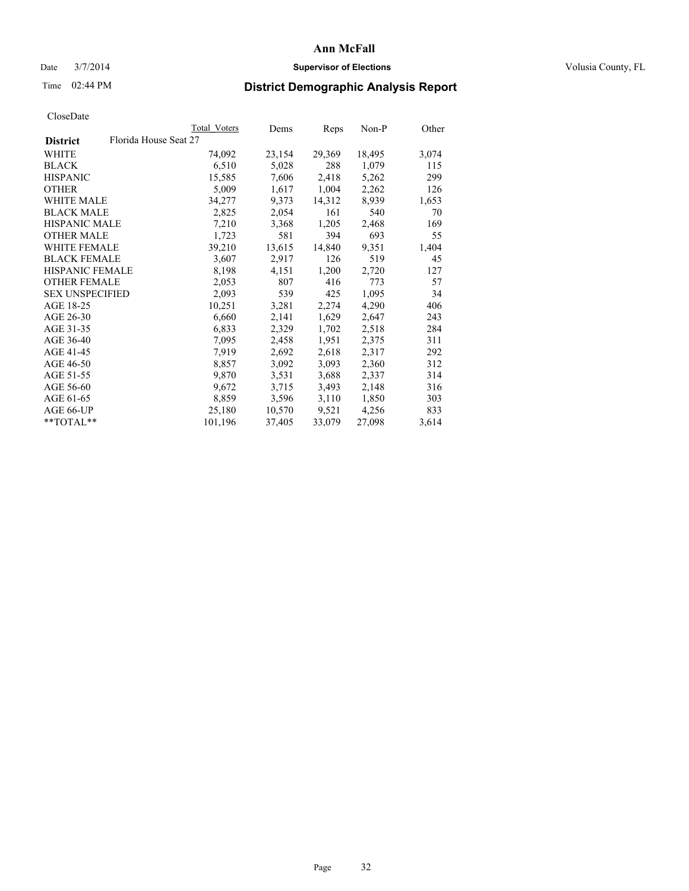### Date  $3/7/2014$  **Supervisor of Elections Supervisor of Elections** Volusia County, FL

## Time 02:44 PM **District Demographic Analysis Report**

|                        |                       | Total Voters | Dems   | Reps   | Non-P  | Other |
|------------------------|-----------------------|--------------|--------|--------|--------|-------|
| <b>District</b>        | Florida House Seat 27 |              |        |        |        |       |
| WHITE                  |                       | 74,092       | 23,154 | 29,369 | 18,495 | 3,074 |
| <b>BLACK</b>           |                       | 6,510        | 5,028  | 288    | 1,079  | 115   |
| <b>HISPANIC</b>        |                       | 15,585       | 7,606  | 2,418  | 5,262  | 299   |
| <b>OTHER</b>           |                       | 5,009        | 1,617  | 1,004  | 2,262  | 126   |
| <b>WHITE MALE</b>      |                       | 34,277       | 9,373  | 14,312 | 8,939  | 1,653 |
| <b>BLACK MALE</b>      |                       | 2,825        | 2,054  | 161    | 540    | 70    |
| <b>HISPANIC MALE</b>   |                       | 7,210        | 3,368  | 1,205  | 2,468  | 169   |
| <b>OTHER MALE</b>      |                       | 1,723        | 581    | 394    | 693    | 55    |
| <b>WHITE FEMALE</b>    |                       | 39,210       | 13,615 | 14,840 | 9,351  | 1,404 |
| <b>BLACK FEMALE</b>    |                       | 3,607        | 2,917  | 126    | 519    | 45    |
| HISPANIC FEMALE        |                       | 8,198        | 4,151  | 1,200  | 2,720  | 127   |
| <b>OTHER FEMALE</b>    |                       | 2,053        | 807    | 416    | 773    | 57    |
| <b>SEX UNSPECIFIED</b> |                       | 2,093        | 539    | 425    | 1,095  | 34    |
| AGE 18-25              |                       | 10,251       | 3,281  | 2,274  | 4,290  | 406   |
| AGE 26-30              |                       | 6,660        | 2,141  | 1,629  | 2,647  | 243   |
| AGE 31-35              |                       | 6,833        | 2,329  | 1,702  | 2,518  | 284   |
| AGE 36-40              |                       | 7,095        | 2,458  | 1,951  | 2,375  | 311   |
| AGE 41-45              |                       | 7.919        | 2,692  | 2,618  | 2,317  | 292   |
| AGE 46-50              |                       | 8,857        | 3,092  | 3,093  | 2,360  | 312   |
| AGE 51-55              |                       | 9,870        | 3,531  | 3,688  | 2,337  | 314   |
| AGE 56-60              |                       | 9,672        | 3,715  | 3,493  | 2,148  | 316   |
| AGE 61-65              |                       | 8,859        | 3,596  | 3,110  | 1,850  | 303   |
| AGE 66-UP              |                       | 25,180       | 10,570 | 9,521  | 4,256  | 833   |
| **TOTAL**              |                       | 101,196      | 37,405 | 33,079 | 27,098 | 3,614 |
|                        |                       |              |        |        |        |       |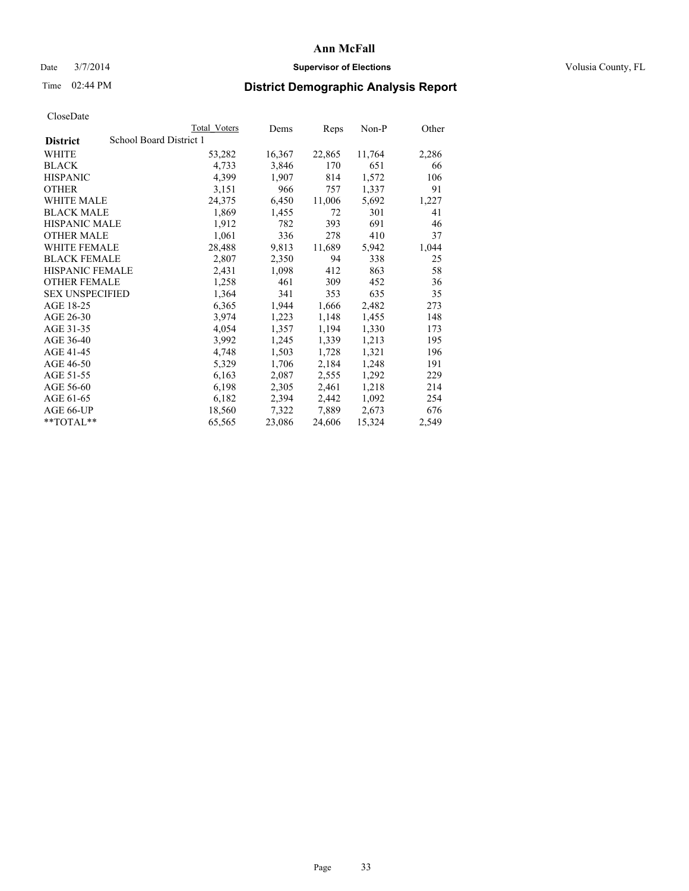### Date  $3/7/2014$  **Supervisor of Elections Supervisor of Elections** Volusia County, FL

## Time 02:44 PM **District Demographic Analysis Report**

|                        | Total Voters            | Dems             | <b>Reps</b> | Non-P  | Other |
|------------------------|-------------------------|------------------|-------------|--------|-------|
| <b>District</b>        | School Board District 1 |                  |             |        |       |
| WHITE                  |                         | 16,367<br>53,282 | 22,865      | 11,764 | 2,286 |
| <b>BLACK</b>           |                         | 4,733<br>3,846   | 170         | 651    | 66    |
| <b>HISPANIC</b>        |                         | 4,399<br>1,907   | 814         | 1,572  | 106   |
| <b>OTHER</b>           |                         | 3,151<br>966     | 757         | 1,337  | 91    |
| <b>WHITE MALE</b>      |                         | 6,450<br>24,375  | 11,006      | 5,692  | 1,227 |
| <b>BLACK MALE</b>      |                         | 1,869<br>1,455   | 72          | 301    | 41    |
| <b>HISPANIC MALE</b>   |                         | 1,912<br>782     | 393         | 691    | 46    |
| <b>OTHER MALE</b>      |                         | 1,061<br>336     | 278         | 410    | 37    |
| WHITE FEMALE           |                         | 28,488<br>9,813  | 11,689      | 5,942  | 1,044 |
| <b>BLACK FEMALE</b>    |                         | 2,807<br>2,350   | 94          | 338    | 25    |
| <b>HISPANIC FEMALE</b> |                         | 2,431<br>1,098   | 412         | 863    | 58    |
| <b>OTHER FEMALE</b>    |                         | 1,258<br>461     | 309         | 452    | 36    |
| <b>SEX UNSPECIFIED</b> |                         | 1,364<br>341     | 353         | 635    | 35    |
| AGE 18-25              |                         | 6,365<br>1,944   | 1,666       | 2,482  | 273   |
| AGE 26-30              |                         | 3,974<br>1,223   | 1,148       | 1,455  | 148   |
| AGE 31-35              |                         | 4,054<br>1,357   | 1,194       | 1,330  | 173   |
| AGE 36-40              |                         | 3,992<br>1,245   | 1,339       | 1,213  | 195   |
| AGE 41-45              |                         | 1,503<br>4,748   | 1,728       | 1,321  | 196   |
| AGE 46-50              |                         | 5,329<br>1,706   | 2,184       | 1,248  | 191   |
| AGE 51-55              |                         | 6,163<br>2,087   | 2,555       | 1,292  | 229   |
| AGE 56-60              |                         | 6,198<br>2,305   | 2,461       | 1,218  | 214   |
| AGE 61-65              |                         | 6,182<br>2,394   | 2,442       | 1,092  | 254   |
| AGE 66-UP              |                         | 18,560<br>7,322  | 7,889       | 2,673  | 676   |
| $*$ $TOTAI.**$         |                         | 23,086<br>65,565 | 24,606      | 15,324 | 2,549 |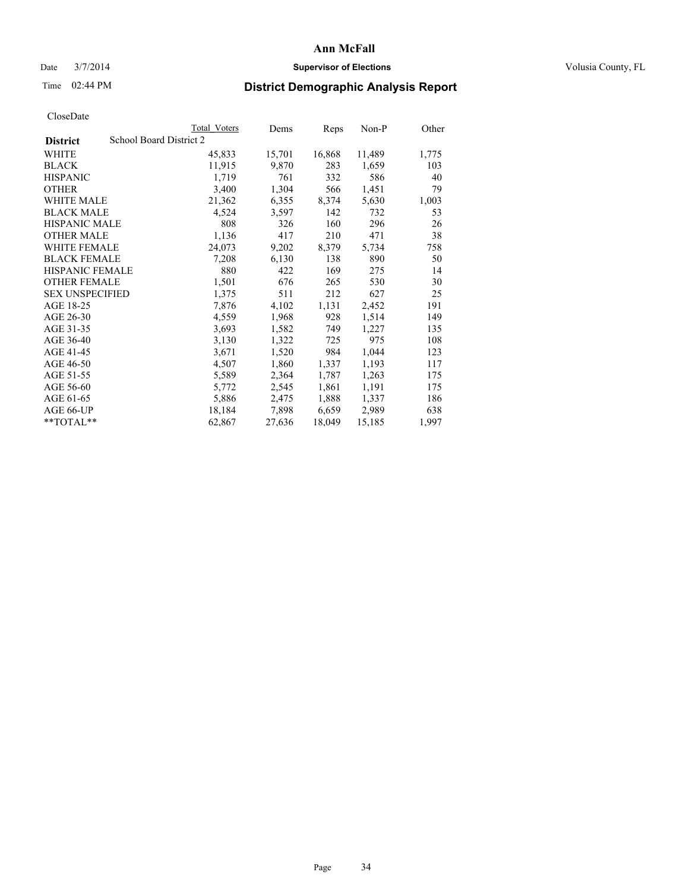### Date  $3/7/2014$  **Supervisor of Elections Supervisor of Elections** Volusia County, FL

## Time 02:44 PM **District Demographic Analysis Report**

|                        |                         | <b>Total Voters</b> | Dems   | Reps   | $Non-P$ | Other |
|------------------------|-------------------------|---------------------|--------|--------|---------|-------|
| <b>District</b>        | School Board District 2 |                     |        |        |         |       |
| WHITE                  |                         | 45,833              | 15,701 | 16,868 | 11,489  | 1,775 |
| <b>BLACK</b>           |                         | 11,915              | 9,870  | 283    | 1,659   | 103   |
| <b>HISPANIC</b>        |                         | 1,719               | 761    | 332    | 586     | 40    |
| <b>OTHER</b>           |                         | 3,400               | 1,304  | 566    | 1,451   | 79    |
| WHITE MALE             |                         | 21,362              | 6,355  | 8,374  | 5,630   | 1,003 |
| <b>BLACK MALE</b>      |                         | 4,524               | 3,597  | 142    | 732     | 53    |
| <b>HISPANIC MALE</b>   |                         | 808                 | 326    | 160    | 296     | 26    |
| <b>OTHER MALE</b>      |                         | 1,136               | 417    | 210    | 471     | 38    |
| <b>WHITE FEMALE</b>    |                         | 24,073              | 9,202  | 8,379  | 5,734   | 758   |
| <b>BLACK FEMALE</b>    |                         | 7,208               | 6,130  | 138    | 890     | 50    |
| <b>HISPANIC FEMALE</b> |                         | 880                 | 422    | 169    | 275     | 14    |
| <b>OTHER FEMALE</b>    |                         | 1,501               | 676    | 265    | 530     | 30    |
| <b>SEX UNSPECIFIED</b> |                         | 1,375               | 511    | 212    | 627     | 25    |
| AGE 18-25              |                         | 7,876               | 4,102  | 1,131  | 2,452   | 191   |
| AGE 26-30              |                         | 4,559               | 1,968  | 928    | 1,514   | 149   |
| AGE 31-35              |                         | 3,693               | 1,582  | 749    | 1,227   | 135   |
| AGE 36-40              |                         | 3,130               | 1,322  | 725    | 975     | 108   |
| AGE 41-45              |                         | 3,671               | 1,520  | 984    | 1,044   | 123   |
| AGE 46-50              |                         | 4,507               | 1,860  | 1,337  | 1,193   | 117   |
| AGE 51-55              |                         | 5,589               | 2,364  | 1,787  | 1,263   | 175   |
| AGE 56-60              |                         | 5,772               | 2,545  | 1,861  | 1,191   | 175   |
| AGE 61-65              |                         | 5,886               | 2,475  | 1,888  | 1,337   | 186   |
| AGE 66-UP              |                         | 18,184              | 7,898  | 6,659  | 2,989   | 638   |
| $*$ $TOTAL**$          |                         | 62,867              | 27,636 | 18,049 | 15,185  | 1,997 |
|                        |                         |                     |        |        |         |       |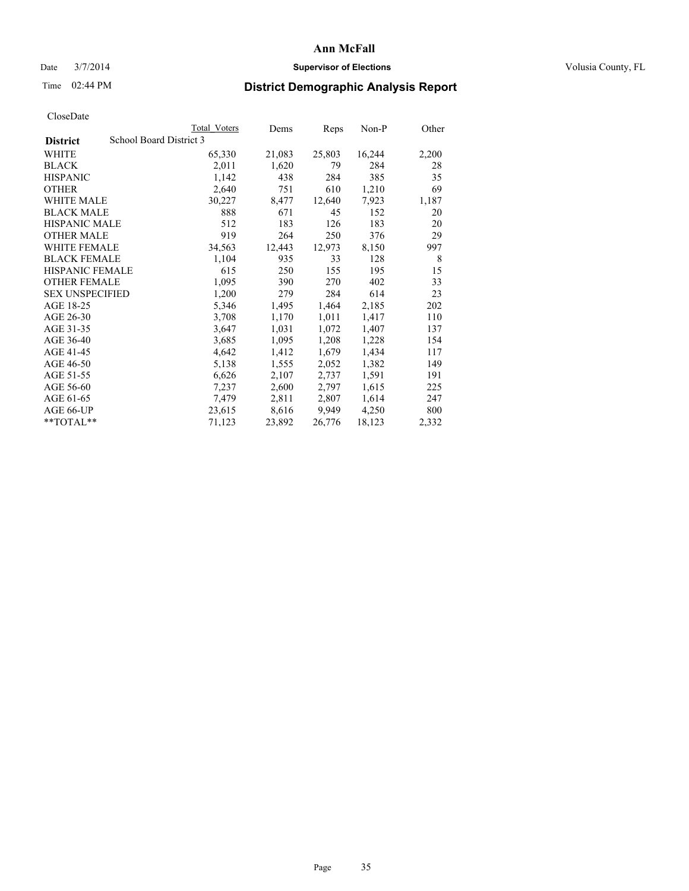### Date  $3/7/2014$  **Supervisor of Elections Supervisor of Elections** Volusia County, FL

## Time 02:44 PM **District Demographic Analysis Report**

|                        |                         | <b>Total Voters</b> | Dems   | Reps   | Non-P  | Other |
|------------------------|-------------------------|---------------------|--------|--------|--------|-------|
| <b>District</b>        | School Board District 3 |                     |        |        |        |       |
| <b>WHITE</b>           |                         | 65,330              | 21,083 | 25,803 | 16,244 | 2,200 |
| <b>BLACK</b>           |                         | 2,011               | 1,620  | 79     | 284    | 28    |
| <b>HISPANIC</b>        |                         | 1,142               | 438    | 284    | 385    | 35    |
| <b>OTHER</b>           |                         | 2,640               | 751    | 610    | 1,210  | 69    |
| <b>WHITE MALE</b>      |                         | 30,227              | 8,477  | 12,640 | 7,923  | 1,187 |
| <b>BLACK MALE</b>      |                         | 888                 | 671    | 45     | 152    | 20    |
| <b>HISPANIC MALE</b>   |                         | 512                 | 183    | 126    | 183    | 20    |
| <b>OTHER MALE</b>      |                         | 919                 | 264    | 250    | 376    | 29    |
| <b>WHITE FEMALE</b>    |                         | 34,563              | 12,443 | 12,973 | 8,150  | 997   |
| <b>BLACK FEMALE</b>    |                         | 1,104               | 935    | 33     | 128    | 8     |
| <b>HISPANIC FEMALE</b> |                         | 615                 | 250    | 155    | 195    | 15    |
| <b>OTHER FEMALE</b>    |                         | 1,095               | 390    | 270    | 402    | 33    |
| <b>SEX UNSPECIFIED</b> |                         | 1,200               | 279    | 284    | 614    | 23    |
| AGE 18-25              |                         | 5,346               | 1,495  | 1,464  | 2,185  | 202   |
| AGE 26-30              |                         | 3,708               | 1,170  | 1,011  | 1,417  | 110   |
| AGE 31-35              |                         | 3,647               | 1,031  | 1,072  | 1,407  | 137   |
| AGE 36-40              |                         | 3,685               | 1,095  | 1,208  | 1,228  | 154   |
| AGE 41-45              |                         | 4,642               | 1,412  | 1,679  | 1,434  | 117   |
| AGE 46-50              |                         | 5,138               | 1,555  | 2,052  | 1,382  | 149   |
| AGE 51-55              |                         | 6,626               | 2,107  | 2,737  | 1,591  | 191   |
| AGE 56-60              |                         | 7,237               | 2,600  | 2,797  | 1,615  | 225   |
| AGE 61-65              |                         | 7,479               | 2,811  | 2,807  | 1,614  | 247   |
| AGE 66-UP              |                         | 23,615              | 8,616  | 9.949  | 4,250  | 800   |
| $*$ $TOTAL**$          |                         | 71,123              | 23,892 | 26,776 | 18,123 | 2,332 |
|                        |                         |                     |        |        |        |       |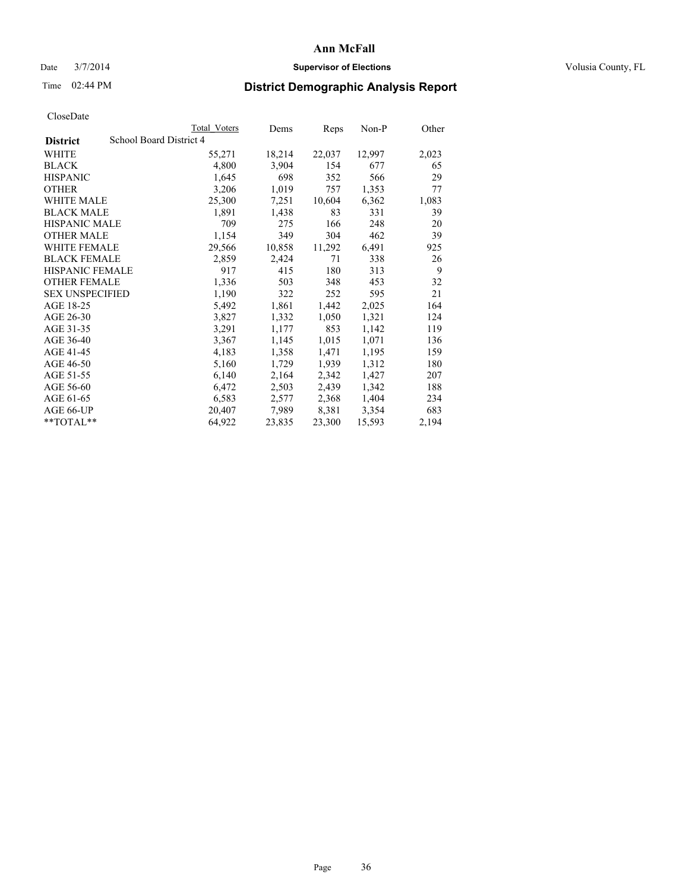### Date  $3/7/2014$  **Supervisor of Elections Supervisor of Elections** Volusia County, FL

## Time 02:44 PM **District Demographic Analysis Report**

|                                            | Total Voters | Dems   | <b>Reps</b> | Non-P  | Other |
|--------------------------------------------|--------------|--------|-------------|--------|-------|
| School Board District 4<br><b>District</b> |              |        |             |        |       |
| <b>WHITE</b>                               | 55,271       | 18,214 | 22,037      | 12,997 | 2,023 |
| <b>BLACK</b>                               | 4,800        | 3,904  | 154         | 677    | 65    |
| <b>HISPANIC</b>                            | 1,645        | 698    | 352         | 566    | 29    |
| <b>OTHER</b>                               | 3,206        | 1,019  | 757         | 1,353  | 77    |
| <b>WHITE MALE</b>                          | 25,300       | 7,251  | 10,604      | 6,362  | 1,083 |
| <b>BLACK MALE</b>                          | 1,891        | 1,438  | 83          | 331    | 39    |
| <b>HISPANIC MALE</b>                       | 709          | 275    | 166         | 248    | 20    |
| <b>OTHER MALE</b>                          | 1,154        | 349    | 304         | 462    | 39    |
| WHITE FEMALE                               | 29,566       | 10,858 | 11,292      | 6,491  | 925   |
| <b>BLACK FEMALE</b>                        | 2,859        | 2,424  | 71          | 338    | 26    |
| HISPANIC FEMALE                            | 917          | 415    | 180         | 313    | 9     |
| <b>OTHER FEMALE</b>                        | 1,336        | 503    | 348         | 453    | 32    |
| <b>SEX UNSPECIFIED</b>                     | 1,190        | 322    | 252         | 595    | 21    |
| AGE 18-25                                  | 5,492        | 1,861  | 1,442       | 2,025  | 164   |
| AGE 26-30                                  | 3,827        | 1,332  | 1,050       | 1,321  | 124   |
| AGE 31-35                                  | 3,291        | 1,177  | 853         | 1,142  | 119   |
| AGE 36-40                                  | 3,367        | 1,145  | 1,015       | 1,071  | 136   |
| AGE 41-45                                  | 4,183        | 1,358  | 1,471       | 1,195  | 159   |
| AGE 46-50                                  | 5,160        | 1,729  | 1,939       | 1,312  | 180   |
| AGE 51-55                                  | 6,140        | 2,164  | 2,342       | 1,427  | 207   |
| AGE 56-60                                  | 6,472        | 2,503  | 2,439       | 1,342  | 188   |
| AGE 61-65                                  | 6,583        | 2,577  | 2,368       | 1,404  | 234   |
| AGE 66-UP                                  | 20,407       | 7,989  | 8,381       | 3,354  | 683   |
| $*$ TOTAL $*$                              | 64,922       | 23,835 | 23,300      | 15,593 | 2,194 |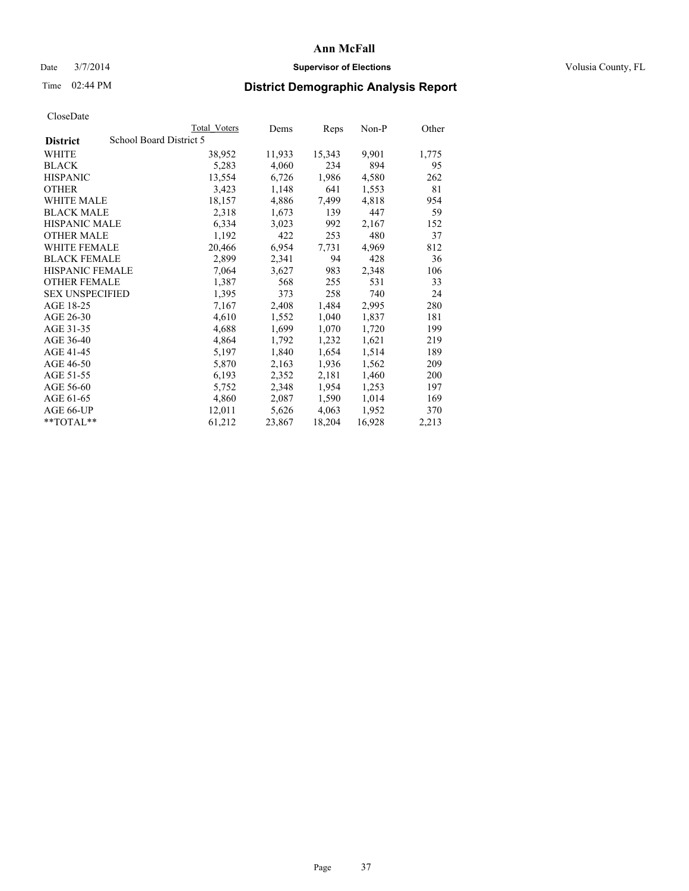### Date  $3/7/2014$  **Supervisor of Elections Supervisor of Elections** Volusia County, FL

## Time 02:44 PM **District Demographic Analysis Report**

| <b>Total Voters</b>     | Dems   | Reps   | Non-P  | Other |
|-------------------------|--------|--------|--------|-------|
| School Board District 5 |        |        |        |       |
| 38,952                  | 11,933 | 15,343 | 9,901  | 1,775 |
| 5,283                   | 4,060  | 234    | 894    | 95    |
| 13,554                  | 6,726  | 1,986  | 4,580  | 262   |
| 3,423                   | 1,148  | 641    | 1,553  | 81    |
| 18,157                  | 4,886  | 7,499  | 4,818  | 954   |
| 2,318                   | 1,673  | 139    | 447    | 59    |
| 6,334                   | 3,023  | 992    | 2,167  | 152   |
| 1,192                   | 422    | 253    | 480    | 37    |
| 20,466                  | 6,954  | 7.731  | 4,969  | 812   |
| 2,899                   | 2,341  | 94     | 428    | 36    |
| 7,064                   | 3,627  | 983    | 2,348  | 106   |
| 1,387                   | 568    | 255    | 531    | 33    |
| 1,395                   | 373    | 258    | 740    | 24    |
| 7,167                   | 2,408  | 1,484  | 2,995  | 280   |
| 4,610                   | 1,552  | 1,040  | 1,837  | 181   |
| 4,688                   | 1,699  | 1,070  | 1,720  | 199   |
| 4,864                   | 1,792  | 1,232  | 1,621  | 219   |
| 5,197                   | 1,840  | 1,654  | 1,514  | 189   |
| 5,870                   | 2,163  | 1,936  | 1,562  | 209   |
| 6,193                   | 2,352  | 2,181  | 1,460  | 200   |
| 5,752                   | 2,348  | 1,954  | 1,253  | 197   |
| 4,860                   | 2,087  | 1,590  | 1,014  | 169   |
| 12,011                  | 5,626  | 4,063  | 1,952  | 370   |
| 61,212                  | 23,867 | 18,204 | 16,928 | 2,213 |
|                         |        |        |        |       |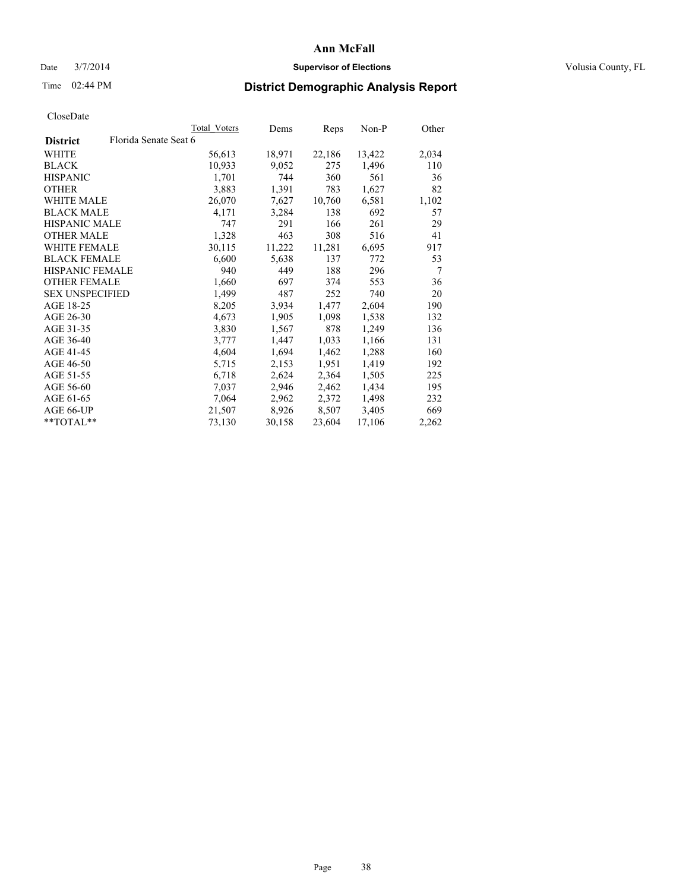### Date  $3/7/2014$  **Supervisor of Elections Supervisor of Elections** Volusia County, FL

## Time 02:44 PM **District Demographic Analysis Report**

|                        | Total Voters          | Dems   | <b>Reps</b> | Non-P  | Other |
|------------------------|-----------------------|--------|-------------|--------|-------|
| <b>District</b>        | Florida Senate Seat 6 |        |             |        |       |
| <b>WHITE</b>           | 56,613                | 18,971 | 22,186      | 13,422 | 2,034 |
| <b>BLACK</b>           | 10,933                | 9,052  | 275         | 1,496  | 110   |
| <b>HISPANIC</b>        | 1,701                 | 744    | 360         | 561    | 36    |
| <b>OTHER</b>           | 3,883                 | 1,391  | 783         | 1,627  | 82    |
| <b>WHITE MALE</b>      | 26,070                | 7,627  | 10,760      | 6,581  | 1,102 |
| <b>BLACK MALE</b>      | 4,171                 | 3,284  | 138         | 692    | 57    |
| <b>HISPANIC MALE</b>   | 747                   | 291    | 166         | 261    | 29    |
| <b>OTHER MALE</b>      | 1,328                 | 463    | 308         | 516    | 41    |
| WHITE FEMALE           | 30,115                | 11,222 | 11,281      | 6,695  | 917   |
| <b>BLACK FEMALE</b>    | 6,600                 | 5,638  | 137         | 772    | 53    |
| HISPANIC FEMALE        | 940                   | 449    | 188         | 296    | 7     |
| <b>OTHER FEMALE</b>    | 1,660                 | 697    | 374         | 553    | 36    |
| <b>SEX UNSPECIFIED</b> | 1,499                 | 487    | 252         | 740    | 20    |
| AGE 18-25              | 8,205                 | 3,934  | 1,477       | 2,604  | 190   |
| AGE 26-30              | 4,673                 | 1,905  | 1,098       | 1,538  | 132   |
| AGE 31-35              | 3,830                 | 1,567  | 878         | 1,249  | 136   |
| AGE 36-40              | 3,777                 | 1,447  | 1,033       | 1,166  | 131   |
| AGE 41-45              | 4,604                 | 1,694  | 1,462       | 1,288  | 160   |
| AGE 46-50              | 5,715                 | 2,153  | 1,951       | 1,419  | 192   |
| AGE 51-55              | 6,718                 | 2,624  | 2,364       | 1,505  | 225   |
| AGE 56-60              | 7,037                 | 2,946  | 2,462       | 1,434  | 195   |
| AGE 61-65              | 7,064                 | 2,962  | 2,372       | 1,498  | 232   |
| AGE 66-UP              | 21,507                | 8,926  | 8,507       | 3,405  | 669   |
| $*$ $TOTAL**$          | 73,130                | 30,158 | 23,604      | 17,106 | 2,262 |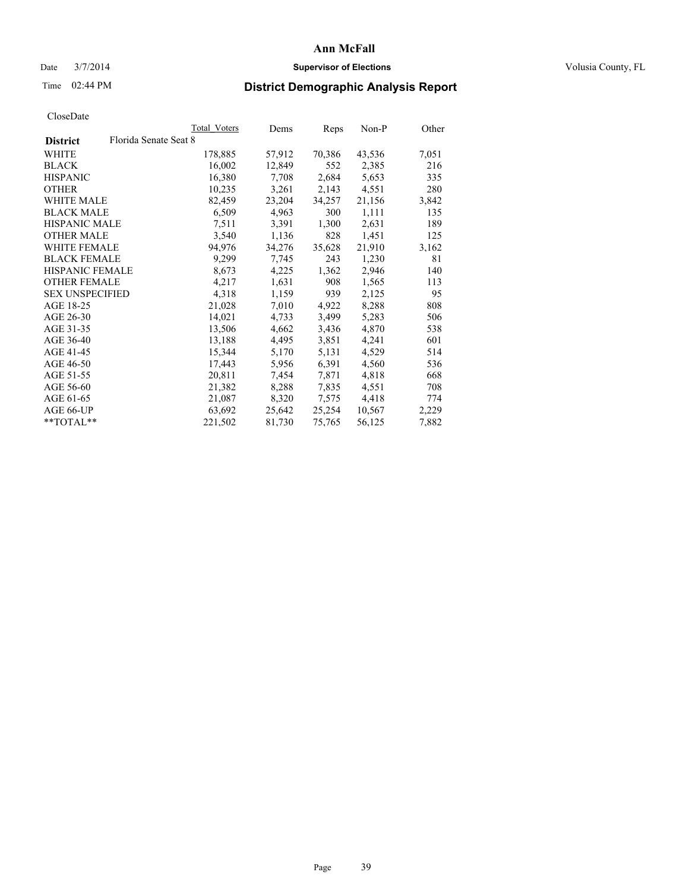### Date  $3/7/2014$  **Supervisor of Elections** Volusia County, FL

## Time 02:44 PM **District Demographic Analysis Report**

| Total Voters | Dems                  | <b>Reps</b> | Non-P  | Other |
|--------------|-----------------------|-------------|--------|-------|
|              |                       |             |        |       |
| 178,885      | 57,912                | 70,386      | 43,536 | 7,051 |
| 16,002       | 12,849                | 552         | 2,385  | 216   |
| 16,380       | 7,708                 | 2,684       | 5,653  | 335   |
| 10,235       | 3,261                 | 2,143       | 4,551  | 280   |
| 82,459       | 23,204                | 34,257      | 21,156 | 3,842 |
| 6,509        | 4,963                 | 300         | 1,111  | 135   |
| 7,511        | 3,391                 | 1,300       | 2,631  | 189   |
| 3,540        | 1,136                 | 828         | 1,451  | 125   |
| 94,976       | 34,276                | 35,628      | 21,910 | 3,162 |
| 9,299        | 7,745                 | 243         | 1,230  | 81    |
| 8,673        | 4,225                 | 1,362       | 2,946  | 140   |
| 4,217        | 1,631                 | 908         | 1,565  | 113   |
| 4,318        | 1,159                 | 939         | 2,125  | 95    |
| 21,028       | 7,010                 | 4,922       | 8,288  | 808   |
| 14,021       | 4,733                 | 3,499       | 5,283  | 506   |
| 13,506       | 4,662                 | 3,436       | 4,870  | 538   |
| 13,188       | 4,495                 | 3,851       | 4,241  | 601   |
| 15,344       | 5,170                 | 5,131       | 4,529  | 514   |
| 17,443       | 5,956                 | 6,391       | 4,560  | 536   |
| 20,811       | 7,454                 | 7,871       | 4,818  | 668   |
| 21,382       | 8,288                 | 7,835       | 4,551  | 708   |
| 21,087       | 8,320                 | 7,575       | 4,418  | 774   |
| 63,692       | 25,642                | 25,254      | 10,567 | 2,229 |
| 221,502      | 81,730                | 75,765      | 56,125 | 7,882 |
|              | Florida Senate Seat 8 |             |        |       |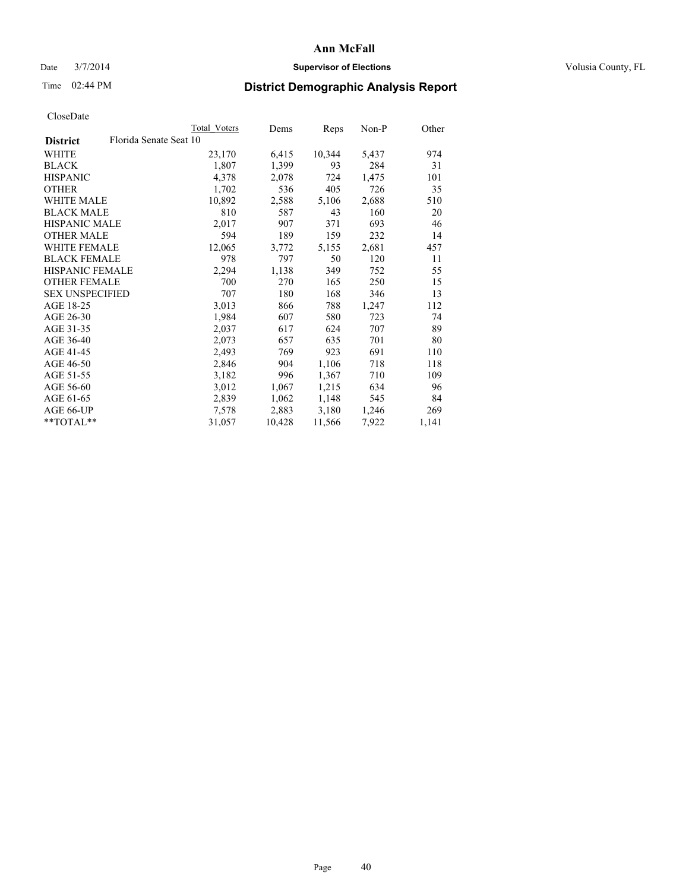### Date  $3/7/2014$  **Supervisor of Elections Supervisor of Elections** Volusia County, FL

## Time 02:44 PM **District Demographic Analysis Report**

|                                           | Total Voters | Dems   | Reps   | $Non-P$ | Other |
|-------------------------------------------|--------------|--------|--------|---------|-------|
| Florida Senate Seat 10<br><b>District</b> |              |        |        |         |       |
| <b>WHITE</b>                              | 23,170       | 6,415  | 10,344 | 5,437   | 974   |
| <b>BLACK</b>                              | 1,807        | 1,399  | 93     | 284     | 31    |
| <b>HISPANIC</b>                           | 4,378        | 2,078  | 724    | 1,475   | 101   |
| <b>OTHER</b>                              | 1,702        | 536    | 405    | 726     | 35    |
| WHITE MALE                                | 10,892       | 2,588  | 5,106  | 2,688   | 510   |
| <b>BLACK MALE</b>                         | 810          | 587    | 43     | 160     | 20    |
| <b>HISPANIC MALE</b>                      | 2,017        | 907    | 371    | 693     | 46    |
| <b>OTHER MALE</b>                         | 594          | 189    | 159    | 232     | 14    |
| WHITE FEMALE                              | 12,065       | 3,772  | 5,155  | 2,681   | 457   |
| <b>BLACK FEMALE</b>                       | 978          | 797    | 50     | 120     | 11    |
| HISPANIC FEMALE                           | 2,294        | 1,138  | 349    | 752     | 55    |
| <b>OTHER FEMALE</b>                       | 700          | 270    | 165    | 250     | 15    |
| <b>SEX UNSPECIFIED</b>                    | 707          | 180    | 168    | 346     | 13    |
| AGE 18-25                                 | 3,013        | 866    | 788    | 1,247   | 112   |
| AGE 26-30                                 | 1,984        | 607    | 580    | 723     | 74    |
| AGE 31-35                                 | 2,037        | 617    | 624    | 707     | 89    |
| AGE 36-40                                 | 2,073        | 657    | 635    | 701     | 80    |
| AGE 41-45                                 | 2,493        | 769    | 923    | 691     | 110   |
| AGE 46-50                                 | 2,846        | 904    | 1,106  | 718     | 118   |
| AGE 51-55                                 | 3,182        | 996    | 1,367  | 710     | 109   |
| AGE 56-60                                 | 3,012        | 1,067  | 1,215  | 634     | 96    |
| AGE 61-65                                 | 2,839        | 1,062  | 1,148  | 545     | 84    |
| AGE 66-UP                                 | 7,578        | 2,883  | 3,180  | 1,246   | 269   |
| $*$ TOTAL $*$                             | 31,057       | 10,428 | 11,566 | 7,922   | 1,141 |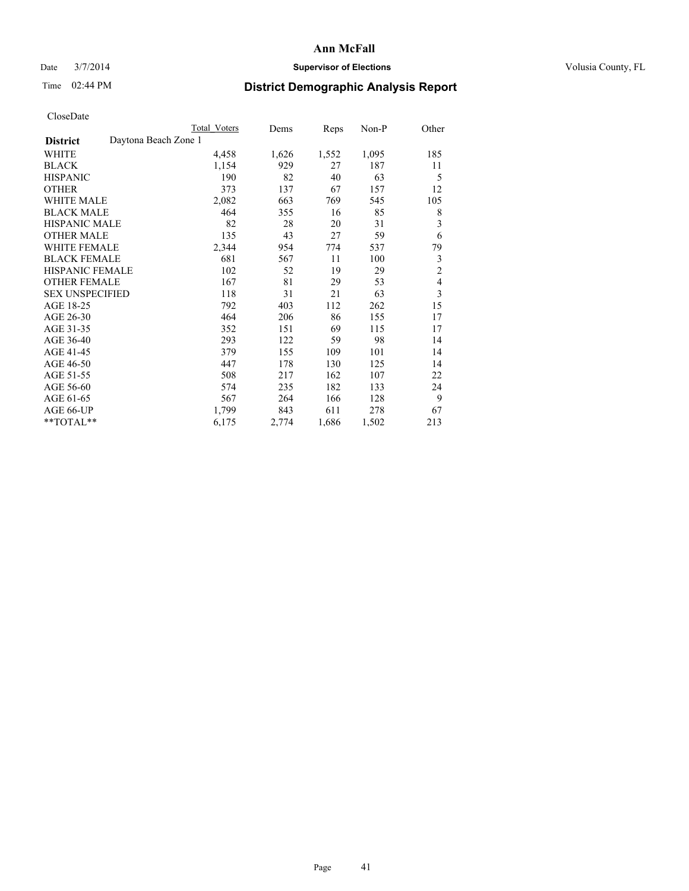### Date  $3/7/2014$  **Supervisor of Elections Supervisor of Elections** Volusia County, FL

## Time 02:44 PM **District Demographic Analysis Report**

|                                         | <b>Total Voters</b> | Dems  | Reps  | Non-P | Other          |
|-----------------------------------------|---------------------|-------|-------|-------|----------------|
| Daytona Beach Zone 1<br><b>District</b> |                     |       |       |       |                |
| WHITE                                   | 4,458               | 1,626 | 1,552 | 1,095 | 185            |
| <b>BLACK</b>                            | 1,154               | 929   | 27    | 187   | 11             |
| <b>HISPANIC</b>                         | 190                 | 82    | 40    | 63    | 5              |
| <b>OTHER</b>                            | 373                 | 137   | 67    | 157   | 12             |
| <b>WHITE MALE</b>                       | 2,082               | 663   | 769   | 545   | 105            |
| <b>BLACK MALE</b>                       | 464                 | 355   | 16    | 85    | 8              |
| HISPANIC MALE                           | 82                  | 28    | 20    | 31    | 3              |
| <b>OTHER MALE</b>                       | 135                 | 43    | 27    | 59    | 6              |
| <b>WHITE FEMALE</b>                     | 2,344               | 954   | 774   | 537   | 79             |
| <b>BLACK FEMALE</b>                     | 681                 | 567   | 11    | 100   | 3              |
| <b>HISPANIC FEMALE</b>                  | 102                 | 52    | 19    | 29    | $\overline{c}$ |
| <b>OTHER FEMALE</b>                     | 167                 | 81    | 29    | 53    | $\overline{4}$ |
| <b>SEX UNSPECIFIED</b>                  | 118                 | 31    | 21    | 63    | 3              |
| AGE 18-25                               | 792                 | 403   | 112   | 262   | 15             |
| AGE 26-30                               | 464                 | 206   | 86    | 155   | 17             |
| AGE 31-35                               | 352                 | 151   | 69    | 115   | 17             |
| AGE 36-40                               | 293                 | 122   | 59    | 98    | 14             |
| AGE 41-45                               | 379                 | 155   | 109   | 101   | 14             |
| AGE 46-50                               | 447                 | 178   | 130   | 125   | 14             |
| AGE 51-55                               | 508                 | 217   | 162   | 107   | 22             |
| AGE 56-60                               | 574                 | 235   | 182   | 133   | 24             |
| AGE 61-65                               | 567                 | 264   | 166   | 128   | 9              |
| AGE 66-UP                               | 1,799               | 843   | 611   | 278   | 67             |
| **TOTAL**                               | 6,175               | 2,774 | 1,686 | 1,502 | 213            |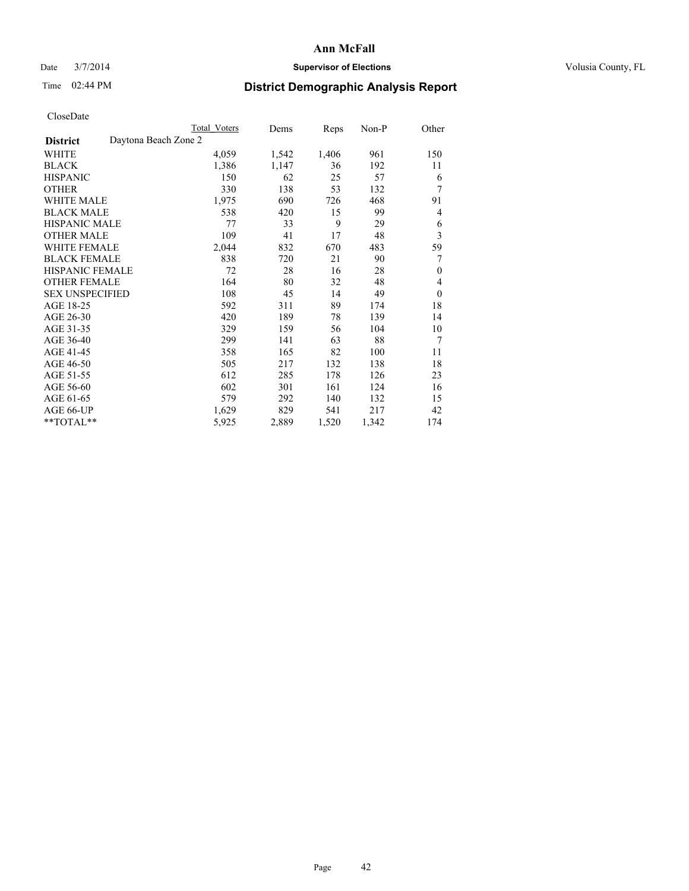### Date  $3/7/2014$  **Supervisor of Elections Supervisor of Elections** Volusia County, FL

## Time 02:44 PM **District Demographic Analysis Report**

|                                         | Total Voters | Dems  | <b>Reps</b> | Non-P | Other    |
|-----------------------------------------|--------------|-------|-------------|-------|----------|
| Daytona Beach Zone 2<br><b>District</b> |              |       |             |       |          |
| WHITE                                   | 4,059        | 1,542 | 1,406       | 961   | 150      |
| <b>BLACK</b>                            | 1,386        | 1,147 | 36          | 192   | 11       |
| <b>HISPANIC</b>                         | 150          | 62    | 25          | 57    | 6        |
| <b>OTHER</b>                            | 330          | 138   | 53          | 132   | 7        |
| <b>WHITE MALE</b>                       | 1,975        | 690   | 726         | 468   | 91       |
| <b>BLACK MALE</b>                       | 538          | 420   | 15          | 99    | 4        |
| <b>HISPANIC MALE</b>                    | 77           | 33    | 9           | 29    | 6        |
| <b>OTHER MALE</b>                       | 109          | 41    | 17          | 48    | 3        |
| <b>WHITE FEMALE</b>                     | 2,044        | 832   | 670         | 483   | 59       |
| <b>BLACK FEMALE</b>                     | 838          | 720   | 21          | 90    | 7        |
| <b>HISPANIC FEMALE</b>                  | 72           | 28    | 16          | 28    | $\theta$ |
| <b>OTHER FEMALE</b>                     | 164          | 80    | 32          | 48    | 4        |
| <b>SEX UNSPECIFIED</b>                  | 108          | 45    | 14          | 49    | $\theta$ |
| AGE 18-25                               | 592          | 311   | 89          | 174   | 18       |
| AGE 26-30                               | 420          | 189   | 78          | 139   | 14       |
| AGE 31-35                               | 329          | 159   | 56          | 104   | 10       |
| AGE 36-40                               | 299          | 141   | 63          | 88    | 7        |
| AGE 41-45                               | 358          | 165   | 82          | 100   | 11       |
| AGE 46-50                               | 505          | 217   | 132         | 138   | 18       |
| AGE 51-55                               | 612          | 285   | 178         | 126   | 23       |
| AGE 56-60                               | 602          | 301   | 161         | 124   | 16       |
| AGE 61-65                               | 579          | 292   | 140         | 132   | 15       |
| AGE 66-UP                               | 1,629        | 829   | 541         | 217   | 42       |
| **TOTAL**                               | 5,925        | 2,889 | 1,520       | 1,342 | 174      |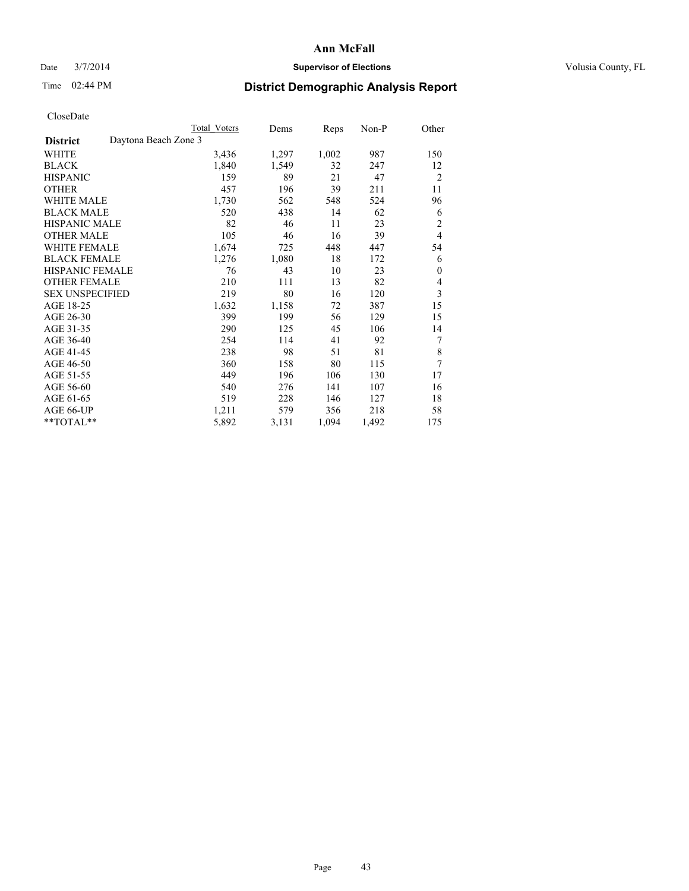### Date  $3/7/2014$  **Supervisor of Elections Supervisor of Elections** Volusia County, FL

## Time 02:44 PM **District Demographic Analysis Report**

|                                         | Total Voters | Dems  | <b>Reps</b> | Non-P | Other          |
|-----------------------------------------|--------------|-------|-------------|-------|----------------|
| Daytona Beach Zone 3<br><b>District</b> |              |       |             |       |                |
| WHITE                                   | 3,436        | 1,297 | 1,002       | 987   | 150            |
| <b>BLACK</b>                            | 1,840        | 1,549 | 32          | 247   | 12             |
| <b>HISPANIC</b>                         | 159          | 89    | 21          | 47    | $\overline{2}$ |
| <b>OTHER</b>                            | 457          | 196   | 39          | 211   | 11             |
| <b>WHITE MALE</b>                       | 1,730        | 562   | 548         | 524   | 96             |
| <b>BLACK MALE</b>                       | 520          | 438   | 14          | 62    | 6              |
| <b>HISPANIC MALE</b>                    | 82           | 46    | 11          | 23    | $\overline{2}$ |
| <b>OTHER MALE</b>                       | 105          | 46    | 16          | 39    | $\overline{4}$ |
| <b>WHITE FEMALE</b>                     | 1,674        | 725   | 448         | 447   | 54             |
| <b>BLACK FEMALE</b>                     | 1,276        | 1,080 | 18          | 172   | 6              |
| HISPANIC FEMALE                         | 76           | 43    | 10          | 23    | $\mathbf{0}$   |
| <b>OTHER FEMALE</b>                     | 210          | 111   | 13          | 82    | 4              |
| <b>SEX UNSPECIFIED</b>                  | 219          | 80    | 16          | 120   | 3              |
| AGE 18-25                               | 1,632        | 1,158 | 72          | 387   | 15             |
| AGE 26-30                               | 399          | 199   | 56          | 129   | 15             |
| AGE 31-35                               | 290          | 125   | 45          | 106   | 14             |
| AGE 36-40                               | 254          | 114   | 41          | 92    | 7              |
| AGE 41-45                               | 238          | 98    | 51          | 81    | 8              |
| AGE 46-50                               | 360          | 158   | 80          | 115   | 7              |
| AGE 51-55                               | 449          | 196   | 106         | 130   | 17             |
| AGE 56-60                               | 540          | 276   | 141         | 107   | 16             |
| AGE 61-65                               | 519          | 228   | 146         | 127   | 18             |
| AGE 66-UP                               | 1,211        | 579   | 356         | 218   | 58             |
| **TOTAL**                               | 5,892        | 3,131 | 1,094       | 1,492 | 175            |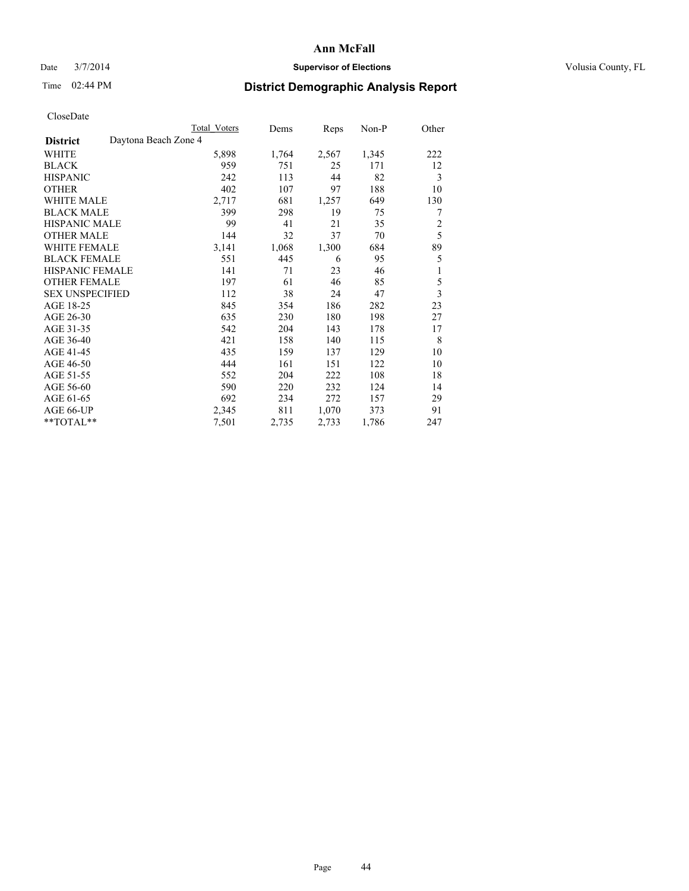### Date  $3/7/2014$  **Supervisor of Elections Supervisor of Elections** Volusia County, FL

## Time 02:44 PM **District Demographic Analysis Report**

|                                         | <b>Total Voters</b> | Dems  | Reps  | Non-P | Other          |
|-----------------------------------------|---------------------|-------|-------|-------|----------------|
| Daytona Beach Zone 4<br><b>District</b> |                     |       |       |       |                |
| WHITE                                   | 5,898               | 1,764 | 2,567 | 1,345 | 222            |
| <b>BLACK</b>                            | 959                 | 751   | 25    | 171   | 12             |
| <b>HISPANIC</b>                         | 242                 | 113   | 44    | 82    | 3              |
| <b>OTHER</b>                            | 402                 | 107   | 97    | 188   | 10             |
| <b>WHITE MALE</b>                       | 2,717               | 681   | 1,257 | 649   | 130            |
| <b>BLACK MALE</b>                       | 399                 | 298   | 19    | 75    | 7              |
| HISPANIC MALE                           | 99                  | 41    | 21    | 35    | $\overline{c}$ |
| <b>OTHER MALE</b>                       | 144                 | 32    | 37    | 70    | 5              |
| <b>WHITE FEMALE</b>                     | 3,141               | 1,068 | 1,300 | 684   | 89             |
| <b>BLACK FEMALE</b>                     | 551                 | 445   | 6     | 95    | 5              |
| <b>HISPANIC FEMALE</b>                  | 141                 | 71    | 23    | 46    | 1              |
| <b>OTHER FEMALE</b>                     | 197                 | 61    | 46    | 85    | 5              |
| <b>SEX UNSPECIFIED</b>                  | 112                 | 38    | 24    | 47    | $\overline{3}$ |
| AGE 18-25                               | 845                 | 354   | 186   | 282   | 23             |
| AGE 26-30                               | 635                 | 230   | 180   | 198   | 27             |
| AGE 31-35                               | 542                 | 204   | 143   | 178   | 17             |
| AGE 36-40                               | 421                 | 158   | 140   | 115   | 8              |
| AGE 41-45                               | 435                 | 159   | 137   | 129   | 10             |
| AGE 46-50                               | 444                 | 161   | 151   | 122   | 10             |
| AGE 51-55                               | 552                 | 204   | 222   | 108   | 18             |
| AGE 56-60                               | 590                 | 220   | 232   | 124   | 14             |
| AGE 61-65                               | 692                 | 234   | 272   | 157   | 29             |
| AGE 66-UP                               | 2,345               | 811   | 1,070 | 373   | 91             |
| **TOTAL**                               | 7,501               | 2,735 | 2,733 | 1,786 | 247            |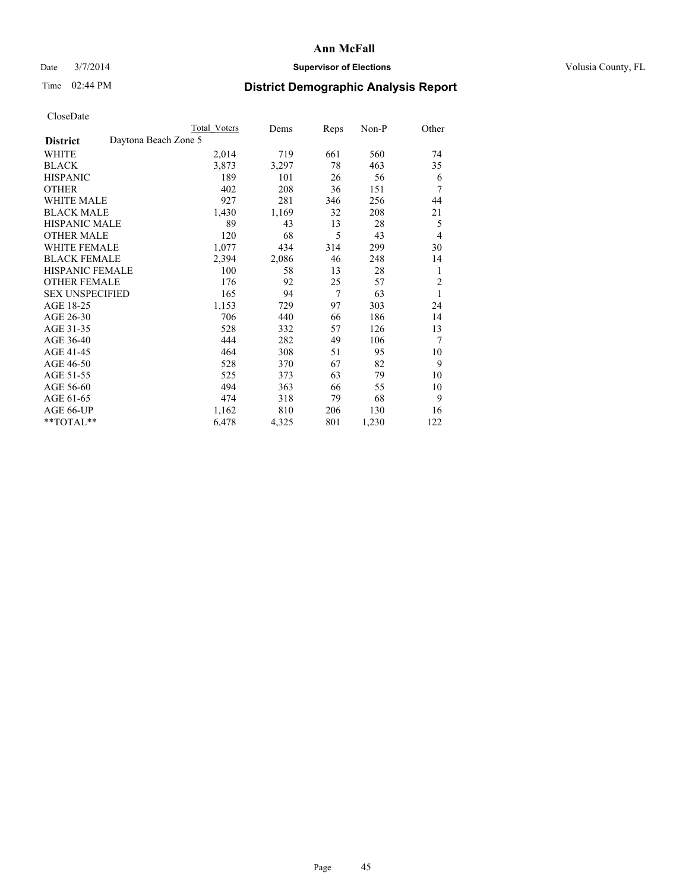### Date  $3/7/2014$  **Supervisor of Elections Supervisor of Elections** Volusia County, FL

# Time 02:44 PM **District Demographic Analysis Report**

|                        | <b>Total Voters</b>  | Dems  | Reps           | Non-P | Other          |
|------------------------|----------------------|-------|----------------|-------|----------------|
| <b>District</b>        | Daytona Beach Zone 5 |       |                |       |                |
| WHITE                  | 2,014                | 719   | 661            | 560   | 74             |
| <b>BLACK</b>           | 3,873                | 3,297 | 78             | 463   | 35             |
| <b>HISPANIC</b>        | 189                  | 101   | 26             | 56    | 6              |
| <b>OTHER</b>           | 402                  | 208   | 36             | 151   | 7              |
| <b>WHITE MALE</b>      | 927                  | 281   | 346            | 256   | 44             |
| <b>BLACK MALE</b>      | 1,430                | 1,169 | 32             | 208   | 21             |
| <b>HISPANIC MALE</b>   | 89                   | 43    | 13             | 28    | 5              |
| <b>OTHER MALE</b>      | 120                  | 68    | 5              | 43    | $\overline{4}$ |
| <b>WHITE FEMALE</b>    | 1,077                | 434   | 314            | 299   | 30             |
| <b>BLACK FEMALE</b>    | 2,394                | 2,086 | 46             | 248   | 14             |
| <b>HISPANIC FEMALE</b> | 100                  | 58    | 13             | 28    | 1              |
| <b>OTHER FEMALE</b>    | 176                  | 92    | 25             | 57    | $\overline{c}$ |
| <b>SEX UNSPECIFIED</b> | 165                  | 94    | $\overline{7}$ | 63    | 1              |
| AGE 18-25              | 1,153                | 729   | 97             | 303   | 24             |
| AGE 26-30              | 706                  | 440   | 66             | 186   | 14             |
| AGE 31-35              | 528                  | 332   | 57             | 126   | 13             |
| AGE 36-40              | 444                  | 282   | 49             | 106   | 7              |
| AGE 41-45              | 464                  | 308   | 51             | 95    | 10             |
| AGE 46-50              | 528                  | 370   | 67             | 82    | 9              |
| AGE 51-55              | 525                  | 373   | 63             | 79    | 10             |
| AGE 56-60              | 494                  | 363   | 66             | 55    | 10             |
| AGE 61-65              | 474                  | 318   | 79             | 68    | 9              |
| AGE 66-UP              | 1,162                | 810   | 206            | 130   | 16             |
| **TOTAL**              | 6,478                | 4,325 | 801            | 1,230 | 122            |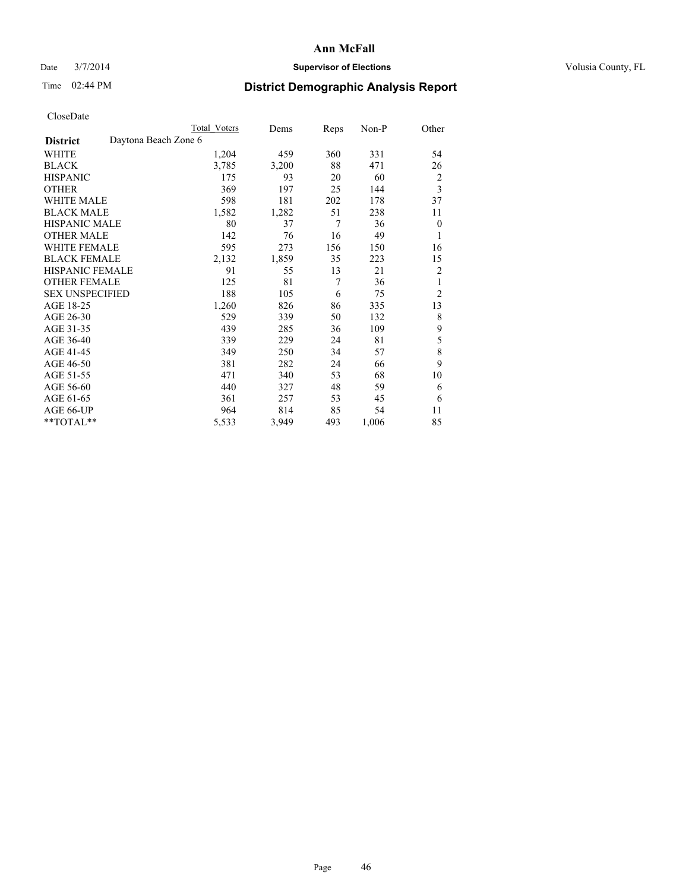### Date  $3/7/2014$  **Supervisor of Elections Supervisor of Elections** Volusia County, FL

## Time 02:44 PM **District Demographic Analysis Report**

|                        | Total Voters         | Dems  | <b>Reps</b> | Non-P | Other          |
|------------------------|----------------------|-------|-------------|-------|----------------|
| <b>District</b>        | Daytona Beach Zone 6 |       |             |       |                |
| <b>WHITE</b>           | 1,204                | 459   | 360         | 331   | 54             |
| <b>BLACK</b>           | 3,785                | 3,200 | 88          | 471   | 26             |
| <b>HISPANIC</b>        | 175                  | 93    | 20          | 60    | 2              |
| <b>OTHER</b>           | 369                  | 197   | 25          | 144   | 3              |
| WHITE MALE             | 598                  | 181   | 202         | 178   | 37             |
| <b>BLACK MALE</b>      | 1,582                | 1,282 | 51          | 238   | 11             |
| <b>HISPANIC MALE</b>   | 80                   | 37    | 7           | 36    | $\mathbf{0}$   |
| <b>OTHER MALE</b>      | 142                  | 76    | 16          | 49    | 1              |
| <b>WHITE FEMALE</b>    | 595                  | 273   | 156         | 150   | 16             |
| <b>BLACK FEMALE</b>    | 2,132                | 1,859 | 35          | 223   | 15             |
| HISPANIC FEMALE        | 91                   | 55    | 13          | 21    | $\overline{c}$ |
| <b>OTHER FEMALE</b>    | 125                  | 81    | 7           | 36    | 1              |
| <b>SEX UNSPECIFIED</b> | 188                  | 105   | 6           | 75    | $\overline{2}$ |
| AGE 18-25              | 1,260                | 826   | 86          | 335   | 13             |
| AGE 26-30              | 529                  | 339   | 50          | 132   | 8              |
| AGE 31-35              | 439                  | 285   | 36          | 109   | 9              |
| AGE 36-40              | 339                  | 229   | 24          | 81    | 5              |
| AGE 41-45              | 349                  | 250   | 34          | 57    | 8              |
| AGE 46-50              | 381                  | 282   | 24          | 66    | 9              |
| AGE 51-55              | 471                  | 340   | 53          | 68    | 10             |
| AGE 56-60              | 440                  | 327   | 48          | 59    | 6              |
| AGE 61-65              | 361                  | 257   | 53          | 45    | 6              |
| AGE 66-UP              | 964                  | 814   | 85          | 54    | 11             |
| **TOTAL**              | 5,533                | 3,949 | 493         | 1,006 | 85             |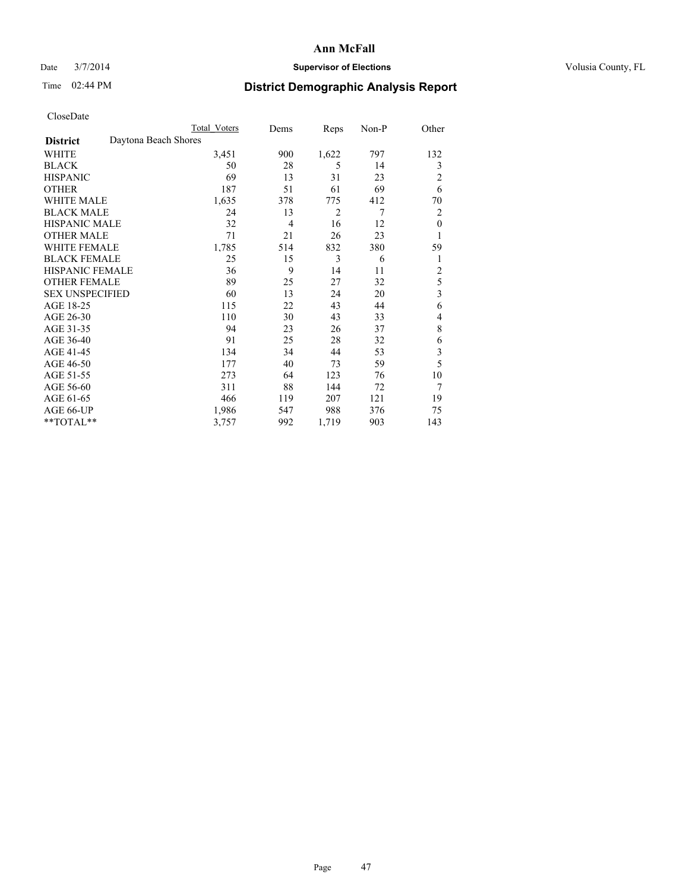### Date  $3/7/2014$  **Supervisor of Elections Supervisor of Elections** Volusia County, FL

# Time 02:44 PM **District Demographic Analysis Report**

|                                         | <b>Total Voters</b> | Dems           | Reps  | Non-P | Other          |
|-----------------------------------------|---------------------|----------------|-------|-------|----------------|
| Daytona Beach Shores<br><b>District</b> |                     |                |       |       |                |
| WHITE                                   | 3,451               | 900            | 1,622 | 797   | 132            |
| <b>BLACK</b>                            | 50                  | 28             | 5     | 14    | 3              |
| <b>HISPANIC</b>                         | 69                  | 13             | 31    | 23    | 2              |
| <b>OTHER</b>                            | 187                 | 51             | 61    | 69    | 6              |
| <b>WHITE MALE</b>                       | 1,635               | 378            | 775   | 412   | 70             |
| <b>BLACK MALE</b>                       | 24                  | 13             | 2     | 7     | 2              |
| <b>HISPANIC MALE</b>                    | 32                  | $\overline{4}$ | 16    | 12    | $\theta$       |
| <b>OTHER MALE</b>                       | 71                  | 21             | 26    | 23    | 1              |
| <b>WHITE FEMALE</b>                     | 1,785               | 514            | 832   | 380   | 59             |
| <b>BLACK FEMALE</b>                     | 25                  | 15             | 3     | 6     | 1              |
| <b>HISPANIC FEMALE</b>                  | 36                  | 9              | 14    | 11    | $\overline{c}$ |
| <b>OTHER FEMALE</b>                     | 89                  | 25             | 27    | 32    | 5              |
| <b>SEX UNSPECIFIED</b>                  | 60                  | 13             | 24    | 20    | 3              |
| AGE 18-25                               | 115                 | 22             | 43    | 44    | 6              |
| AGE 26-30                               | 110                 | 30             | 43    | 33    | 4              |
| AGE 31-35                               | 94                  | 23             | 26    | 37    | 8              |
| AGE 36-40                               | 91                  | 25             | 28    | 32    | 6              |
| AGE 41-45                               | 134                 | 34             | 44    | 53    | 3              |
| AGE 46-50                               | 177                 | 40             | 73    | 59    | 5              |
| AGE 51-55                               | 273                 | 64             | 123   | 76    | 10             |
| AGE 56-60                               | 311                 | 88             | 144   | 72    | 7              |
| AGE 61-65                               | 466                 | 119            | 207   | 121   | 19             |
| AGE 66-UP                               | 1,986               | 547            | 988   | 376   | 75             |
| **TOTAL**                               | 3,757               | 992            | 1,719 | 903   | 143            |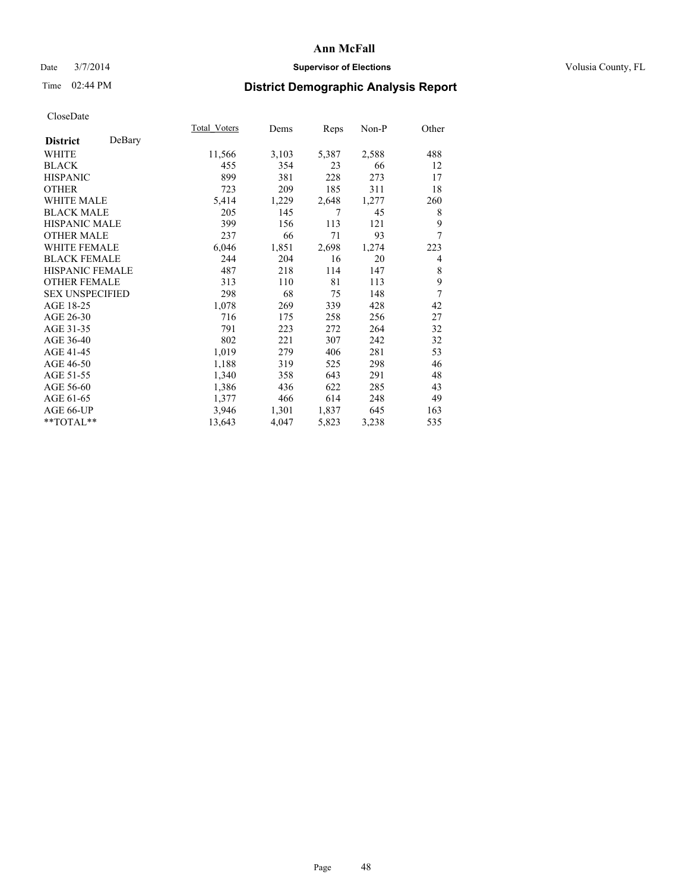### Date  $3/7/2014$  **Supervisor of Elections Supervisor of Elections** Volusia County, FL

## Time 02:44 PM **District Demographic Analysis Report**

|                           | Total Voters | Dems  | Reps  | Non-P | Other |
|---------------------------|--------------|-------|-------|-------|-------|
| DeBary<br><b>District</b> |              |       |       |       |       |
| WHITE                     | 11,566       | 3,103 | 5,387 | 2,588 | 488   |
| <b>BLACK</b>              | 455          | 354   | 23    | 66    | 12    |
| <b>HISPANIC</b>           | 899          | 381   | 228   | 273   | 17    |
| <b>OTHER</b>              | 723          | 209   | 185   | 311   | 18    |
| <b>WHITE MALE</b>         | 5,414        | 1,229 | 2,648 | 1,277 | 260   |
| <b>BLACK MALE</b>         | 205          | 145   | 7     | 45    | 8     |
| HISPANIC MALE             | 399          | 156   | 113   | 121   | 9     |
| <b>OTHER MALE</b>         | 237          | 66    | 71    | 93    | 7     |
| <b>WHITE FEMALE</b>       | 6,046        | 1,851 | 2,698 | 1,274 | 223   |
| <b>BLACK FEMALE</b>       | 244          | 204   | 16    | 20    | 4     |
| <b>HISPANIC FEMALE</b>    | 487          | 218   | 114   | 147   | 8     |
| <b>OTHER FEMALE</b>       | 313          | 110   | 81    | 113   | 9     |
| <b>SEX UNSPECIFIED</b>    | 298          | 68    | 75    | 148   | 7     |
| AGE 18-25                 | 1,078        | 269   | 339   | 428   | 42    |
| AGE 26-30                 | 716          | 175   | 258   | 256   | 27    |
| AGE 31-35                 | 791          | 223   | 272   | 264   | 32    |
| AGE 36-40                 | 802          | 221   | 307   | 242   | 32    |
| AGE 41-45                 | 1,019        | 279   | 406   | 281   | 53    |
| AGE 46-50                 | 1,188        | 319   | 525   | 298   | 46    |
| AGE 51-55                 | 1,340        | 358   | 643   | 291   | 48    |
| AGE 56-60                 | 1,386        | 436   | 622   | 285   | 43    |
| AGE 61-65                 | 1,377        | 466   | 614   | 248   | 49    |
| AGE 66-UP                 | 3,946        | 1,301 | 1,837 | 645   | 163   |
| **TOTAL**                 | 13,643       | 4,047 | 5,823 | 3,238 | 535   |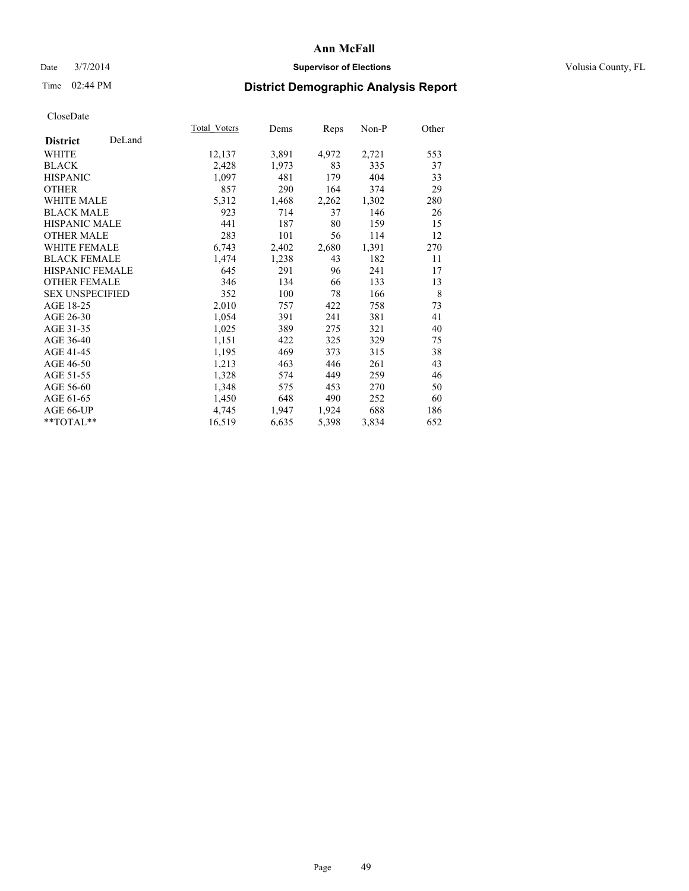### Date  $3/7/2014$  **Supervisor of Elections Supervisor of Elections** Volusia County, FL

## Time 02:44 PM **District Demographic Analysis Report**

|                           | Total Voters | Dems  | <b>Reps</b> | Non-P | Other |
|---------------------------|--------------|-------|-------------|-------|-------|
| DeLand<br><b>District</b> |              |       |             |       |       |
| <b>WHITE</b>              | 12,137       | 3,891 | 4,972       | 2,721 | 553   |
| <b>BLACK</b>              | 2,428        | 1,973 | 83          | 335   | 37    |
| <b>HISPANIC</b>           | 1,097        | 481   | 179         | 404   | 33    |
| <b>OTHER</b>              | 857          | 290   | 164         | 374   | 29    |
| <b>WHITE MALE</b>         | 5,312        | 1,468 | 2,262       | 1,302 | 280   |
| <b>BLACK MALE</b>         | 923          | 714   | 37          | 146   | 26    |
| HISPANIC MALE             | 441          | 187   | 80          | 159   | 15    |
| <b>OTHER MALE</b>         | 283          | 101   | 56          | 114   | 12    |
| <b>WHITE FEMALE</b>       | 6,743        | 2,402 | 2,680       | 1,391 | 270   |
| <b>BLACK FEMALE</b>       | 1,474        | 1,238 | 43          | 182   | 11    |
| <b>HISPANIC FEMALE</b>    | 645          | 291   | 96          | 241   | 17    |
| <b>OTHER FEMALE</b>       | 346          | 134   | 66          | 133   | 13    |
| <b>SEX UNSPECIFIED</b>    | 352          | 100   | 78          | 166   | 8     |
| AGE 18-25                 | 2,010        | 757   | 422         | 758   | 73    |
| AGE 26-30                 | 1,054        | 391   | 241         | 381   | 41    |
| AGE 31-35                 | 1,025        | 389   | 275         | 321   | 40    |
| AGE 36-40                 | 1,151        | 422   | 325         | 329   | 75    |
| AGE 41-45                 | 1,195        | 469   | 373         | 315   | 38    |
| AGE 46-50                 | 1,213        | 463   | 446         | 261   | 43    |
| AGE 51-55                 | 1,328        | 574   | 449         | 259   | 46    |
| AGE 56-60                 | 1,348        | 575   | 453         | 270   | 50    |
| AGE 61-65                 | 1,450        | 648   | 490         | 252   | 60    |
| AGE 66-UP                 | 4,745        | 1,947 | 1,924       | 688   | 186   |
| **TOTAL**                 | 16,519       | 6,635 | 5,398       | 3,834 | 652   |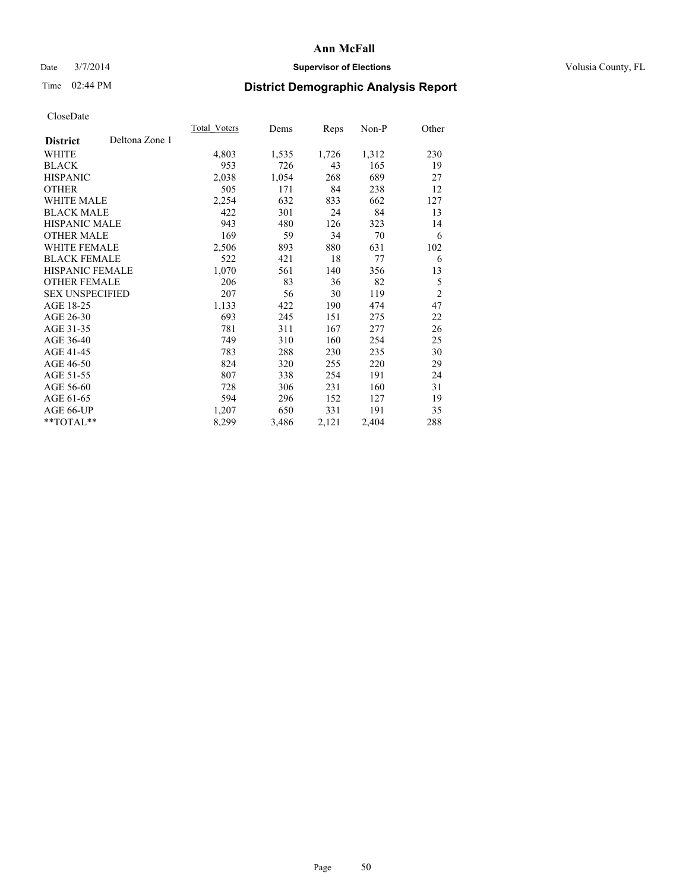### Date  $3/7/2014$  **Supervisor of Elections Supervisor of Elections** Volusia County, FL

## Time 02:44 PM **District Demographic Analysis Report**

|                                   | <b>Total Voters</b> | Dems  | Reps  | $Non-P$ | Other          |
|-----------------------------------|---------------------|-------|-------|---------|----------------|
| Deltona Zone 1<br><b>District</b> |                     |       |       |         |                |
| WHITE                             | 4,803               | 1,535 | 1,726 | 1,312   | 230            |
| <b>BLACK</b>                      | 953                 | 726   | 43    | 165     | 19             |
| <b>HISPANIC</b>                   | 2,038               | 1,054 | 268   | 689     | 27             |
| <b>OTHER</b>                      | 505                 | 171   | 84    | 238     | 12             |
| WHITE MALE                        | 2,254               | 632   | 833   | 662     | 127            |
| <b>BLACK MALE</b>                 | 422                 | 301   | 24    | 84      | 13             |
| <b>HISPANIC MALE</b>              | 943                 | 480   | 126   | 323     | 14             |
| <b>OTHER MALE</b>                 | 169                 | 59    | 34    | 70      | 6              |
| <b>WHITE FEMALE</b>               | 2,506               | 893   | 880   | 631     | 102            |
| <b>BLACK FEMALE</b>               | 522                 | 421   | 18    | 77      | 6              |
| HISPANIC FEMALE                   | 1,070               | 561   | 140   | 356     | 13             |
| <b>OTHER FEMALE</b>               | 206                 | 83    | 36    | 82      | 5              |
| <b>SEX UNSPECIFIED</b>            | 207                 | 56    | 30    | 119     | $\overline{2}$ |
| AGE 18-25                         | 1,133               | 422   | 190   | 474     | 47             |
| AGE 26-30                         | 693                 | 245   | 151   | 275     | 22             |
| AGE 31-35                         | 781                 | 311   | 167   | 277     | 26             |
| AGE 36-40                         | 749                 | 310   | 160   | 254     | 25             |
| AGE 41-45                         | 783                 | 288   | 230   | 235     | 30             |
| AGE 46-50                         | 824                 | 320   | 255   | 220     | 29             |
| AGE 51-55                         | 807                 | 338   | 254   | 191     | 24             |
| AGE 56-60                         | 728                 | 306   | 231   | 160     | 31             |
| AGE 61-65                         | 594                 | 296   | 152   | 127     | 19             |
| AGE 66-UP                         | 1,207               | 650   | 331   | 191     | 35             |
| **TOTAL**                         | 8,299               | 3,486 | 2,121 | 2,404   | 288            |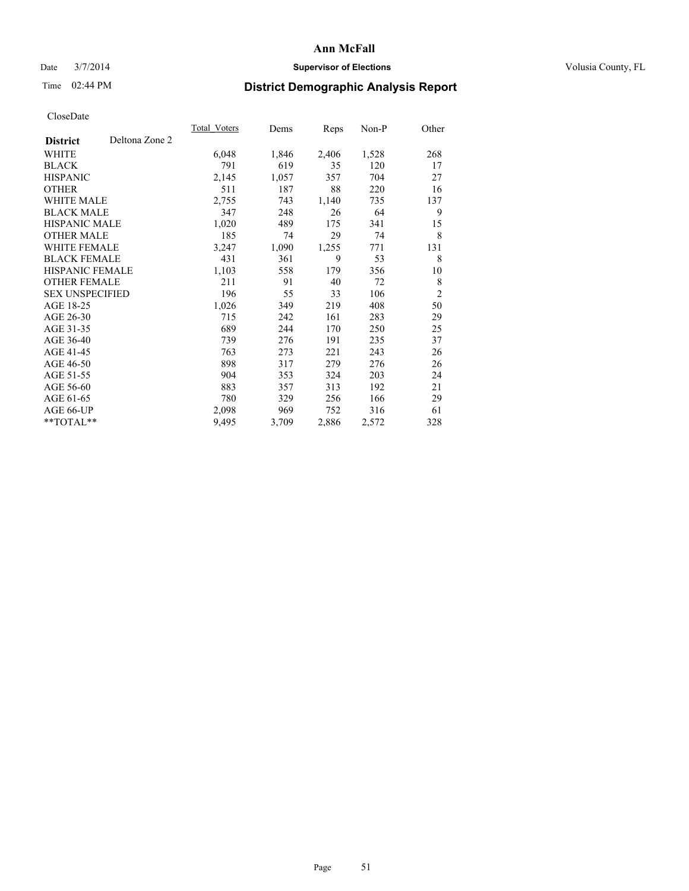### Date  $3/7/2014$  **Supervisor of Elections Supervisor of Elections** Volusia County, FL

## Time 02:44 PM **District Demographic Analysis Report**

|                                   | Total Voters | Dems  | Reps  | Non-P | Other          |
|-----------------------------------|--------------|-------|-------|-------|----------------|
| Deltona Zone 2<br><b>District</b> |              |       |       |       |                |
| WHITE                             | 6,048        | 1,846 | 2,406 | 1,528 | 268            |
| <b>BLACK</b>                      | 791          | 619   | 35    | 120   | 17             |
| <b>HISPANIC</b>                   | 2,145        | 1,057 | 357   | 704   | 27             |
| <b>OTHER</b>                      | 511          | 187   | 88    | 220   | 16             |
| WHITE MALE                        | 2,755        | 743   | 1,140 | 735   | 137            |
| <b>BLACK MALE</b>                 | 347          | 248   | 26    | 64    | 9              |
| <b>HISPANIC MALE</b>              | 1,020        | 489   | 175   | 341   | 15             |
| <b>OTHER MALE</b>                 | 185          | 74    | 29    | 74    | 8              |
| <b>WHITE FEMALE</b>               | 3,247        | 1,090 | 1,255 | 771   | 131            |
| <b>BLACK FEMALE</b>               | 431          | 361   | 9     | 53    | 8              |
| HISPANIC FEMALE                   | 1,103        | 558   | 179   | 356   | 10             |
| <b>OTHER FEMALE</b>               | 211          | 91    | 40    | 72    | 8              |
| <b>SEX UNSPECIFIED</b>            | 196          | 55    | 33    | 106   | $\overline{2}$ |
| AGE 18-25                         | 1,026        | 349   | 219   | 408   | 50             |
| AGE 26-30                         | 715          | 242   | 161   | 283   | 29             |
| AGE 31-35                         | 689          | 244   | 170   | 250   | 25             |
| AGE 36-40                         | 739          | 276   | 191   | 235   | 37             |
| AGE 41-45                         | 763          | 273   | 221   | 243   | 26             |
| AGE 46-50                         | 898          | 317   | 279   | 276   | 26             |
| AGE 51-55                         | 904          | 353   | 324   | 203   | 24             |
| AGE 56-60                         | 883          | 357   | 313   | 192   | 21             |
| AGE 61-65                         | 780          | 329   | 256   | 166   | 29             |
| AGE 66-UP                         | 2,098        | 969   | 752   | 316   | 61             |
| **TOTAL**                         | 9,495        | 3,709 | 2,886 | 2,572 | 328            |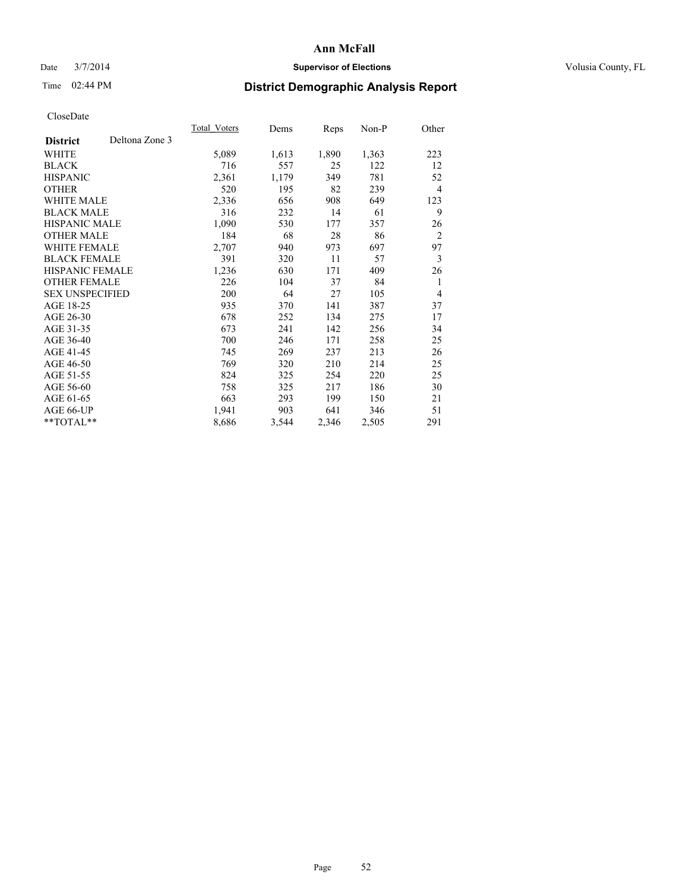### Date  $3/7/2014$  **Supervisor of Elections Supervisor of Elections** Volusia County, FL

## Time 02:44 PM **District Demographic Analysis Report**

|                        |                | Total Voters | Dems  | Reps  | Non-P | Other          |
|------------------------|----------------|--------------|-------|-------|-------|----------------|
| <b>District</b>        | Deltona Zone 3 |              |       |       |       |                |
| WHITE                  |                | 5,089        | 1,613 | 1,890 | 1,363 | 223            |
| <b>BLACK</b>           |                | 716          | 557   | 25    | 122   | 12             |
| <b>HISPANIC</b>        |                | 2,361        | 1,179 | 349   | 781   | 52             |
| <b>OTHER</b>           |                | 520          | 195   | 82    | 239   | $\overline{4}$ |
| <b>WHITE MALE</b>      |                | 2,336        | 656   | 908   | 649   | 123            |
| <b>BLACK MALE</b>      |                | 316          | 232   | 14    | 61    | 9              |
| <b>HISPANIC MALE</b>   |                | 1,090        | 530   | 177   | 357   | 26             |
| <b>OTHER MALE</b>      |                | 184          | 68    | 28    | 86    | $\overline{2}$ |
| <b>WHITE FEMALE</b>    |                | 2,707        | 940   | 973   | 697   | 97             |
| <b>BLACK FEMALE</b>    |                | 391          | 320   | 11    | 57    | 3              |
| HISPANIC FEMALE        |                | 1,236        | 630   | 171   | 409   | 26             |
| <b>OTHER FEMALE</b>    |                | 226          | 104   | 37    | 84    | 1              |
| <b>SEX UNSPECIFIED</b> |                | 200          | 64    | 27    | 105   | $\overline{4}$ |
| AGE 18-25              |                | 935          | 370   | 141   | 387   | 37             |
| AGE 26-30              |                | 678          | 252   | 134   | 275   | 17             |
| AGE 31-35              |                | 673          | 241   | 142   | 256   | 34             |
| AGE 36-40              |                | 700          | 246   | 171   | 258   | 25             |
| AGE 41-45              |                | 745          | 269   | 237   | 213   | 26             |
| AGE 46-50              |                | 769          | 320   | 210   | 214   | 25             |
| AGE 51-55              |                | 824          | 325   | 254   | 220   | 25             |
| AGE 56-60              |                | 758          | 325   | 217   | 186   | 30             |
| AGE 61-65              |                | 663          | 293   | 199   | 150   | 21             |
| AGE 66-UP              |                | 1,941        | 903   | 641   | 346   | 51             |
| **TOTAL**              |                | 8,686        | 3,544 | 2,346 | 2,505 | 291            |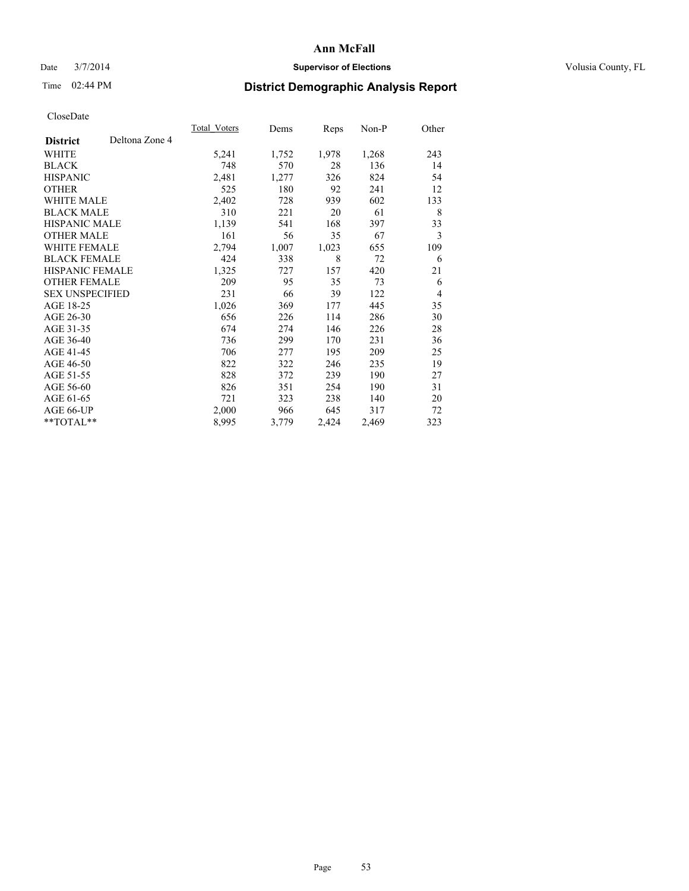### Date  $3/7/2014$  **Supervisor of Elections Supervisor of Elections** Volusia County, FL

## Time 02:44 PM **District Demographic Analysis Report**

|                        |                | Total Voters | Dems  | <b>Reps</b> | Non-P | Other          |
|------------------------|----------------|--------------|-------|-------------|-------|----------------|
| <b>District</b>        | Deltona Zone 4 |              |       |             |       |                |
| WHITE                  |                | 5,241        | 1,752 | 1,978       | 1,268 | 243            |
| <b>BLACK</b>           |                | 748          | 570   | 28          | 136   | 14             |
| <b>HISPANIC</b>        |                | 2,481        | 1,277 | 326         | 824   | 54             |
| <b>OTHER</b>           |                | 525          | 180   | 92          | 241   | 12             |
| WHITE MALE             |                | 2,402        | 728   | 939         | 602   | 133            |
| <b>BLACK MALE</b>      |                | 310          | 221   | 20          | 61    | 8              |
| <b>HISPANIC MALE</b>   |                | 1,139        | 541   | 168         | 397   | 33             |
| <b>OTHER MALE</b>      |                | 161          | 56    | 35          | 67    | 3              |
| <b>WHITE FEMALE</b>    |                | 2,794        | 1,007 | 1,023       | 655   | 109            |
| <b>BLACK FEMALE</b>    |                | 424          | 338   | 8           | 72    | 6              |
| HISPANIC FEMALE        |                | 1,325        | 727   | 157         | 420   | 21             |
| <b>OTHER FEMALE</b>    |                | 209          | 95    | 35          | 73    | 6              |
| <b>SEX UNSPECIFIED</b> |                | 231          | 66    | 39          | 122   | $\overline{4}$ |
| AGE 18-25              |                | 1,026        | 369   | 177         | 445   | 35             |
| AGE 26-30              |                | 656          | 226   | 114         | 286   | 30             |
| AGE 31-35              |                | 674          | 274   | 146         | 226   | 28             |
| AGE 36-40              |                | 736          | 299   | 170         | 231   | 36             |
| AGE 41-45              |                | 706          | 277   | 195         | 209   | 25             |
| AGE 46-50              |                | 822          | 322   | 246         | 235   | 19             |
| AGE 51-55              |                | 828          | 372   | 239         | 190   | 27             |
| AGE 56-60              |                | 826          | 351   | 254         | 190   | 31             |
| AGE 61-65              |                | 721          | 323   | 238         | 140   | 20             |
| AGE 66-UP              |                | 2,000        | 966   | 645         | 317   | 72             |
| **TOTAL**              |                | 8,995        | 3,779 | 2,424       | 2,469 | 323            |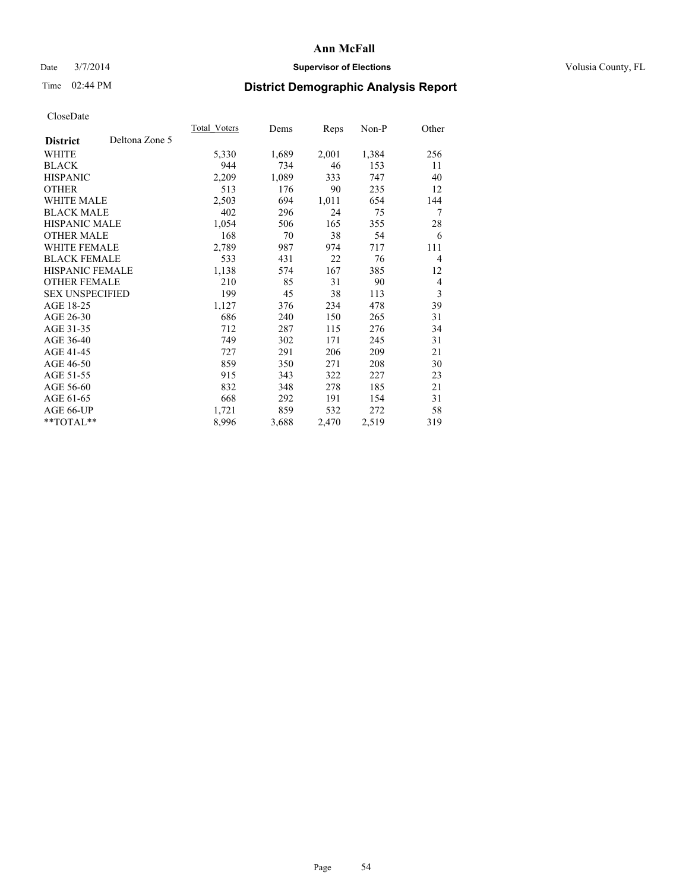### Date  $3/7/2014$  **Supervisor of Elections Supervisor of Elections** Volusia County, FL

## Time 02:44 PM **District Demographic Analysis Report**

|                        |                | <b>Total Voters</b> | Dems  | Reps  | $Non-P$ | Other          |
|------------------------|----------------|---------------------|-------|-------|---------|----------------|
| <b>District</b>        | Deltona Zone 5 |                     |       |       |         |                |
| WHITE                  |                | 5,330               | 1,689 | 2,001 | 1,384   | 256            |
| <b>BLACK</b>           |                | 944                 | 734   | 46    | 153     | 11             |
| <b>HISPANIC</b>        |                | 2,209               | 1,089 | 333   | 747     | 40             |
| <b>OTHER</b>           |                | 513                 | 176   | 90    | 235     | 12             |
| WHITE MALE             |                | 2,503               | 694   | 1,011 | 654     | 144            |
| <b>BLACK MALE</b>      |                | 402                 | 296   | 24    | 75      | 7              |
| <b>HISPANIC MALE</b>   |                | 1,054               | 506   | 165   | 355     | 28             |
| <b>OTHER MALE</b>      |                | 168                 | 70    | 38    | 54      | 6              |
| <b>WHITE FEMALE</b>    |                | 2,789               | 987   | 974   | 717     | 111            |
| <b>BLACK FEMALE</b>    |                | 533                 | 431   | 22    | 76      | $\overline{4}$ |
| HISPANIC FEMALE        |                | 1,138               | 574   | 167   | 385     | 12             |
| <b>OTHER FEMALE</b>    |                | 210                 | 85    | 31    | 90      | $\overline{4}$ |
| <b>SEX UNSPECIFIED</b> |                | 199                 | 45    | 38    | 113     | 3              |
| AGE 18-25              |                | 1,127               | 376   | 234   | 478     | 39             |
| AGE 26-30              |                | 686                 | 240   | 150   | 265     | 31             |
| AGE 31-35              |                | 712                 | 287   | 115   | 276     | 34             |
| AGE 36-40              |                | 749                 | 302   | 171   | 245     | 31             |
| AGE 41-45              |                | 727                 | 291   | 206   | 209     | 21             |
| AGE 46-50              |                | 859                 | 350   | 271   | 208     | 30             |
| AGE 51-55              |                | 915                 | 343   | 322   | 227     | 23             |
| AGE 56-60              |                | 832                 | 348   | 278   | 185     | 21             |
| AGE 61-65              |                | 668                 | 292   | 191   | 154     | 31             |
| AGE 66-UP              |                | 1,721               | 859   | 532   | 272     | 58             |
| **TOTAL**              |                | 8,996               | 3,688 | 2,470 | 2,519   | 319            |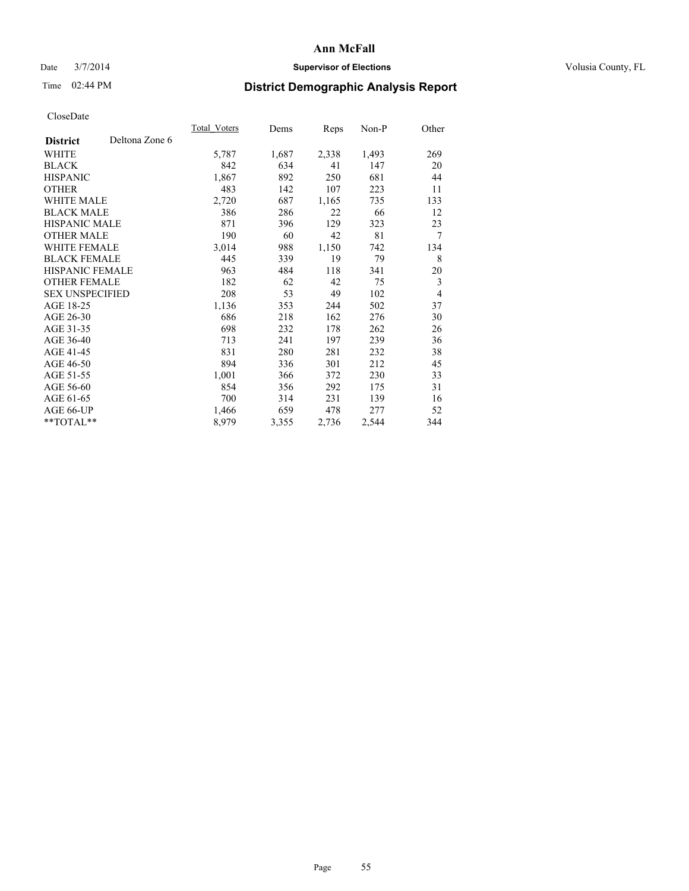### Date  $3/7/2014$  **Supervisor of Elections Supervisor of Elections** Volusia County, FL

## Time 02:44 PM **District Demographic Analysis Report**

|                        |                | Total Voters | Dems  | Reps  | Non-P | Other |
|------------------------|----------------|--------------|-------|-------|-------|-------|
| <b>District</b>        | Deltona Zone 6 |              |       |       |       |       |
| WHITE                  |                | 5,787        | 1,687 | 2,338 | 1,493 | 269   |
| <b>BLACK</b>           |                | 842          | 634   | 41    | 147   | 20    |
| <b>HISPANIC</b>        |                | 1,867        | 892   | 250   | 681   | 44    |
| <b>OTHER</b>           |                | 483          | 142   | 107   | 223   | 11    |
| <b>WHITE MALE</b>      |                | 2,720        | 687   | 1,165 | 735   | 133   |
| <b>BLACK MALE</b>      |                | 386          | 286   | 22    | 66    | 12    |
| <b>HISPANIC MALE</b>   |                | 871          | 396   | 129   | 323   | 23    |
| <b>OTHER MALE</b>      |                | 190          | 60    | 42    | 81    | 7     |
| <b>WHITE FEMALE</b>    |                | 3,014        | 988   | 1,150 | 742   | 134   |
| <b>BLACK FEMALE</b>    |                | 445          | 339   | 19    | 79    | 8     |
| <b>HISPANIC FEMALE</b> |                | 963          | 484   | 118   | 341   | 20    |
| <b>OTHER FEMALE</b>    |                | 182          | 62    | 42    | 75    | 3     |
| <b>SEX UNSPECIFIED</b> |                | 208          | 53    | 49    | 102   | 4     |
| AGE 18-25              |                | 1,136        | 353   | 244   | 502   | 37    |
| AGE 26-30              |                | 686          | 218   | 162   | 276   | 30    |
| AGE 31-35              |                | 698          | 232   | 178   | 262   | 26    |
| AGE 36-40              |                | 713          | 241   | 197   | 239   | 36    |
| AGE 41-45              |                | 831          | 280   | 281   | 232   | 38    |
| AGE 46-50              |                | 894          | 336   | 301   | 212   | 45    |
| AGE 51-55              |                | 1,001        | 366   | 372   | 230   | 33    |
| AGE 56-60              |                | 854          | 356   | 292   | 175   | 31    |
| AGE 61-65              |                | 700          | 314   | 231   | 139   | 16    |
| AGE 66-UP              |                | 1,466        | 659   | 478   | 277   | 52    |
| **TOTAL**              |                | 8,979        | 3,355 | 2,736 | 2,544 | 344   |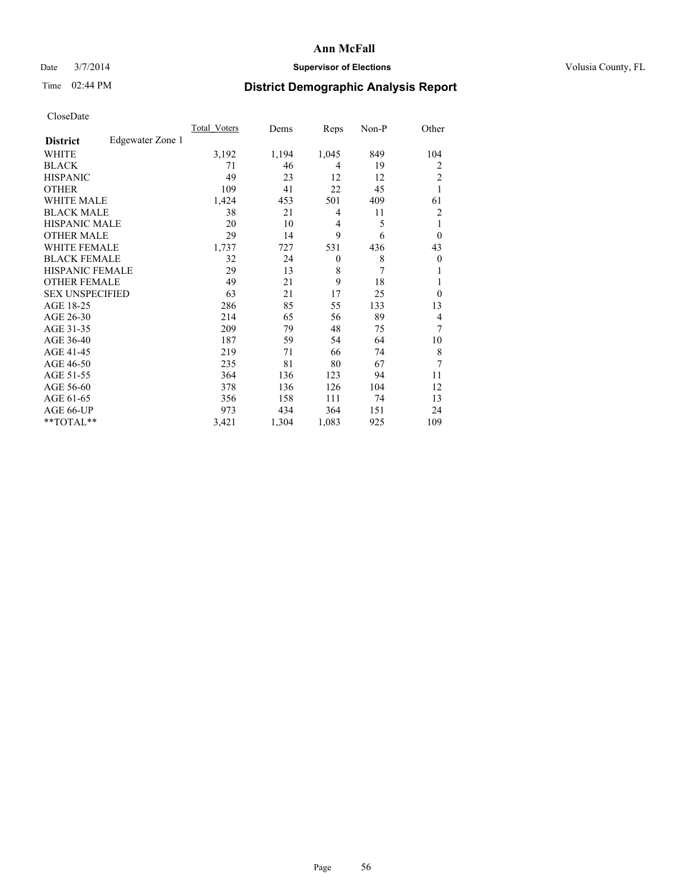### Date  $3/7/2014$  **Supervisor of Elections Supervisor of Elections** Volusia County, FL

# Time 02:44 PM **District Demographic Analysis Report**

|                        |                  | <b>Total Voters</b> | Dems  | Reps             | Non-P | Other            |
|------------------------|------------------|---------------------|-------|------------------|-------|------------------|
| <b>District</b>        | Edgewater Zone 1 |                     |       |                  |       |                  |
| WHITE                  |                  | 3,192               | 1,194 | 1,045            | 849   | 104              |
| <b>BLACK</b>           |                  | 71                  | 46    | 4                | 19    | 2                |
| <b>HISPANIC</b>        |                  | 49                  | 23    | 12               | 12    | $\overline{c}$   |
| <b>OTHER</b>           |                  | 109                 | 41    | 22               | 45    | 1                |
| <b>WHITE MALE</b>      |                  | 1,424               | 453   | 501              | 409   | 61               |
| <b>BLACK MALE</b>      |                  | 38                  | 21    | 4                | 11    | $\overline{2}$   |
| <b>HISPANIC MALE</b>   |                  | 20                  | 10    | 4                | 5     |                  |
| <b>OTHER MALE</b>      |                  | 29                  | 14    | 9                | 6     | $\theta$         |
| <b>WHITE FEMALE</b>    |                  | 1,737               | 727   | 531              | 436   | 43               |
| <b>BLACK FEMALE</b>    |                  | 32                  | 24    | $\boldsymbol{0}$ | 8     | $\boldsymbol{0}$ |
| HISPANIC FEMALE        |                  | 29                  | 13    | 8                | 7     |                  |
| <b>OTHER FEMALE</b>    |                  | 49                  | 21    | 9                | 18    | 1                |
| <b>SEX UNSPECIFIED</b> |                  | 63                  | 21    | 17               | 25    | $\Omega$         |
| AGE 18-25              |                  | 286                 | 85    | 55               | 133   | 13               |
| AGE 26-30              |                  | 214                 | 65    | 56               | 89    | 4                |
| AGE 31-35              |                  | 209                 | 79    | 48               | 75    | 7                |
| AGE 36-40              |                  | 187                 | 59    | 54               | 64    | 10               |
| AGE 41-45              |                  | 219                 | 71    | 66               | 74    | 8                |
| AGE 46-50              |                  | 235                 | 81    | 80               | 67    | 7                |
| AGE 51-55              |                  | 364                 | 136   | 123              | 94    | 11               |
| AGE 56-60              |                  | 378                 | 136   | 126              | 104   | 12               |
| AGE 61-65              |                  | 356                 | 158   | 111              | 74    | 13               |
| AGE 66-UP              |                  | 973                 | 434   | 364              | 151   | 24               |
| **TOTAL**              |                  | 3,421               | 1,304 | 1,083            | 925   | 109              |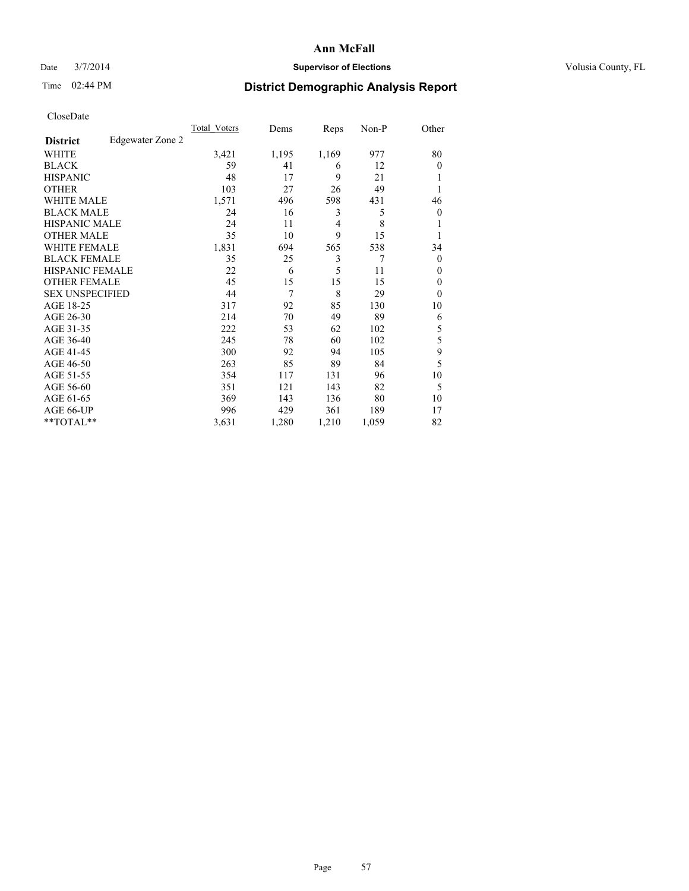### Date  $3/7/2014$  **Supervisor of Elections Supervisor of Elections** Volusia County, FL

## Time 02:44 PM **District Demographic Analysis Report**

|                        |                  | <b>Total Voters</b> | Dems  | Reps  | Non-P | Other            |
|------------------------|------------------|---------------------|-------|-------|-------|------------------|
| <b>District</b>        | Edgewater Zone 2 |                     |       |       |       |                  |
| WHITE                  |                  | 3,421               | 1,195 | 1,169 | 977   | 80               |
| <b>BLACK</b>           |                  | 59                  | 41    | 6     | 12    | $\theta$         |
| <b>HISPANIC</b>        |                  | 48                  | 17    | 9     | 21    | 1                |
| <b>OTHER</b>           |                  | 103                 | 27    | 26    | 49    |                  |
| WHITE MALE             |                  | 1,571               | 496   | 598   | 431   | 46               |
| <b>BLACK MALE</b>      |                  | 24                  | 16    | 3     | 5     | $\boldsymbol{0}$ |
| <b>HISPANIC MALE</b>   |                  | 24                  | 11    | 4     | 8     | 1                |
| <b>OTHER MALE</b>      |                  | 35                  | 10    | 9     | 15    | 1                |
| <b>WHITE FEMALE</b>    |                  | 1,831               | 694   | 565   | 538   | 34               |
| <b>BLACK FEMALE</b>    |                  | 35                  | 25    | 3     | 7     | $\overline{0}$   |
| <b>HISPANIC FEMALE</b> |                  | 22                  | 6     | 5     | 11    | $\theta$         |
| <b>OTHER FEMALE</b>    |                  | 45                  | 15    | 15    | 15    | $\theta$         |
| <b>SEX UNSPECIFIED</b> |                  | 44                  | 7     | 8     | 29    | $\theta$         |
| AGE 18-25              |                  | 317                 | 92    | 85    | 130   | 10               |
| AGE 26-30              |                  | 214                 | 70    | 49    | 89    | 6                |
| AGE 31-35              |                  | 222                 | 53    | 62    | 102   | 5                |
| AGE 36-40              |                  | 245                 | 78    | 60    | 102   | 5                |
| AGE 41-45              |                  | 300                 | 92    | 94    | 105   | 9                |
| AGE 46-50              |                  | 263                 | 85    | 89    | 84    | 5                |
| AGE 51-55              |                  | 354                 | 117   | 131   | 96    | 10               |
| AGE 56-60              |                  | 351                 | 121   | 143   | 82    | 5                |
| AGE 61-65              |                  | 369                 | 143   | 136   | 80    | 10               |
| AGE 66-UP              |                  | 996                 | 429   | 361   | 189   | 17               |
| **TOTAL**              |                  | 3,631               | 1,280 | 1,210 | 1,059 | 82               |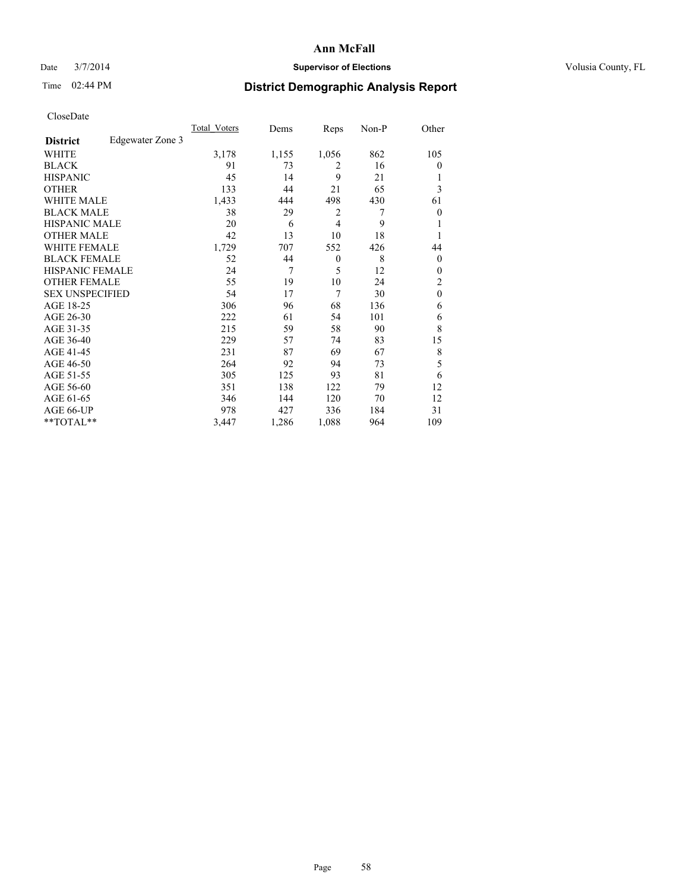### Date  $3/7/2014$  **Supervisor of Elections Supervisor of Elections** Volusia County, FL

## Time 02:44 PM **District Demographic Analysis Report**

|                        |                  | <b>Total Voters</b> | Dems  | Reps     | Non-P | Other            |
|------------------------|------------------|---------------------|-------|----------|-------|------------------|
| <b>District</b>        | Edgewater Zone 3 |                     |       |          |       |                  |
| WHITE                  |                  | 3,178               | 1,155 | 1,056    | 862   | 105              |
| <b>BLACK</b>           |                  | 91                  | 73    | 2        | 16    | $\theta$         |
| <b>HISPANIC</b>        |                  | 45                  | 14    | 9        | 21    | 1                |
| <b>OTHER</b>           |                  | 133                 | 44    | 21       | 65    | 3                |
| WHITE MALE             |                  | 1,433               | 444   | 498      | 430   | 61               |
| <b>BLACK MALE</b>      |                  | 38                  | 29    | 2        | 7     | $\boldsymbol{0}$ |
| <b>HISPANIC MALE</b>   |                  | 20                  | 6     | 4        | 9     | 1                |
| <b>OTHER MALE</b>      |                  | 42                  | 13    | 10       | 18    | 1                |
| <b>WHITE FEMALE</b>    |                  | 1,729               | 707   | 552      | 426   | 44               |
| <b>BLACK FEMALE</b>    |                  | 52                  | 44    | $\theta$ | 8     | $\overline{0}$   |
| <b>HISPANIC FEMALE</b> |                  | 24                  | 7     | 5        | 12    | $\theta$         |
| <b>OTHER FEMALE</b>    |                  | 55                  | 19    | 10       | 24    | $\overline{c}$   |
| <b>SEX UNSPECIFIED</b> |                  | 54                  | 17    | 7        | 30    | $\mathbf{0}$     |
| AGE 18-25              |                  | 306                 | 96    | 68       | 136   | 6                |
| AGE 26-30              |                  | 222                 | 61    | 54       | 101   | 6                |
| AGE 31-35              |                  | 215                 | 59    | 58       | 90    | 8                |
| AGE 36-40              |                  | 229                 | 57    | 74       | 83    | 15               |
| AGE 41-45              |                  | 231                 | 87    | 69       | 67    | 8                |
| AGE 46-50              |                  | 264                 | 92    | 94       | 73    | 5                |
| AGE 51-55              |                  | 305                 | 125   | 93       | 81    | 6                |
| AGE 56-60              |                  | 351                 | 138   | 122      | 79    | 12               |
| AGE 61-65              |                  | 346                 | 144   | 120      | 70    | 12               |
| AGE 66-UP              |                  | 978                 | 427   | 336      | 184   | 31               |
| **TOTAL**              |                  | 3,447               | 1,286 | 1,088    | 964   | 109              |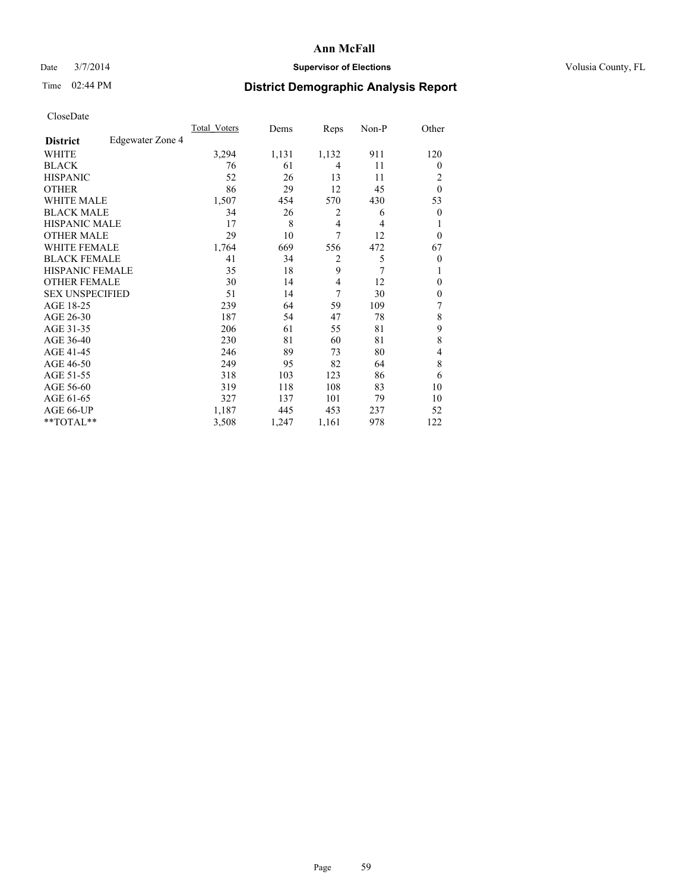### Date  $3/7/2014$  **Supervisor of Elections Supervisor of Elections** Volusia County, FL

## Time 02:44 PM **District Demographic Analysis Report**

|                        |                  | <b>Total Voters</b> | Dems  | Reps           | Non-P | Other          |
|------------------------|------------------|---------------------|-------|----------------|-------|----------------|
| <b>District</b>        | Edgewater Zone 4 |                     |       |                |       |                |
| WHITE                  |                  | 3,294               | 1,131 | 1,132          | 911   | 120            |
| <b>BLACK</b>           |                  | 76                  | 61    | 4              | 11    | $\Omega$       |
| <b>HISPANIC</b>        |                  | 52                  | 26    | 13             | 11    | 2              |
| <b>OTHER</b>           |                  | 86                  | 29    | 12             | 45    | $\theta$       |
| WHITE MALE             |                  | 1,507               | 454   | 570            | 430   | 53             |
| <b>BLACK MALE</b>      |                  | 34                  | 26    | 2              | 6     | $\overline{0}$ |
| <b>HISPANIC MALE</b>   |                  | 17                  | 8     | $\overline{4}$ | 4     |                |
| <b>OTHER MALE</b>      |                  | 29                  | 10    | 7              | 12    | $\overline{0}$ |
| <b>WHITE FEMALE</b>    |                  | 1,764               | 669   | 556            | 472   | 67             |
| <b>BLACK FEMALE</b>    |                  | 41                  | 34    | $\overline{2}$ | 5     | $\overline{0}$ |
| <b>HISPANIC FEMALE</b> |                  | 35                  | 18    | 9              | 7     |                |
| <b>OTHER FEMALE</b>    |                  | 30                  | 14    | 4              | 12    | $\theta$       |
| <b>SEX UNSPECIFIED</b> |                  | 51                  | 14    | 7              | 30    | $\overline{0}$ |
| AGE 18-25              |                  | 239                 | 64    | 59             | 109   | 7              |
| AGE 26-30              |                  | 187                 | 54    | 47             | 78    | 8              |
| AGE 31-35              |                  | 206                 | 61    | 55             | 81    | 9              |
| AGE 36-40              |                  | 230                 | 81    | 60             | 81    | 8              |
| AGE 41-45              |                  | 246                 | 89    | 73             | 80    | 4              |
| AGE 46-50              |                  | 249                 | 95    | 82             | 64    | 8              |
| AGE 51-55              |                  | 318                 | 103   | 123            | 86    | 6              |
| AGE 56-60              |                  | 319                 | 118   | 108            | 83    | 10             |
| AGE 61-65              |                  | 327                 | 137   | 101            | 79    | 10             |
| AGE 66-UP              |                  | 1,187               | 445   | 453            | 237   | 52             |
| **TOTAL**              |                  | 3,508               | 1,247 | 1,161          | 978   | 122            |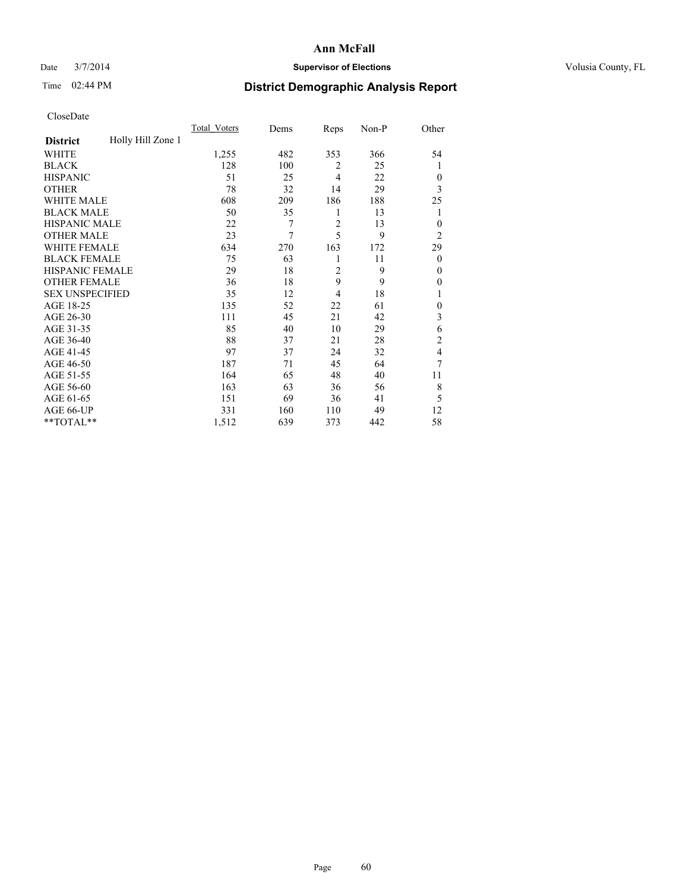### Date  $3/7/2014$  **Supervisor of Elections Supervisor of Elections** Volusia County, FL

## Time 02:44 PM **District Demographic Analysis Report**

|                        |                   | <b>Total Voters</b> | Dems | Reps           | Non-P | Other          |
|------------------------|-------------------|---------------------|------|----------------|-------|----------------|
| <b>District</b>        | Holly Hill Zone 1 |                     |      |                |       |                |
| WHITE                  |                   | 1,255               | 482  | 353            | 366   | 54             |
| <b>BLACK</b>           |                   | 128                 | 100  | 2              | 25    | 1              |
| <b>HISPANIC</b>        |                   | 51                  | 25   | 4              | 22    | $\Omega$       |
| <b>OTHER</b>           |                   | 78                  | 32   | 14             | 29    | 3              |
| WHITE MALE             |                   | 608                 | 209  | 186            | 188   | 25             |
| <b>BLACK MALE</b>      |                   | 50                  | 35   | 1              | 13    | 1              |
| <b>HISPANIC MALE</b>   |                   | 22                  | 7    | $\overline{2}$ | 13    | $\overline{0}$ |
| <b>OTHER MALE</b>      |                   | 23                  | 7    | 5              | 9     | $\overline{2}$ |
| WHITE FEMALE           |                   | 634                 | 270  | 163            | 172   | 29             |
| <b>BLACK FEMALE</b>    |                   | 75                  | 63   | 1              | 11    | $\overline{0}$ |
| <b>HISPANIC FEMALE</b> |                   | 29                  | 18   | $\overline{2}$ | 9     | $\theta$       |
| <b>OTHER FEMALE</b>    |                   | 36                  | 18   | 9              | 9     | $\Omega$       |
| <b>SEX UNSPECIFIED</b> |                   | 35                  | 12   | 4              | 18    | 1              |
| AGE 18-25              |                   | 135                 | 52   | 22             | 61    | $\theta$       |
| AGE 26-30              |                   | 111                 | 45   | 21             | 42    | 3              |
| AGE 31-35              |                   | 85                  | 40   | 10             | 29    | 6              |
| AGE 36-40              |                   | 88                  | 37   | 21             | 28    | $\overline{c}$ |
| AGE 41-45              |                   | 97                  | 37   | 24             | 32    | 4              |
| AGE 46-50              |                   | 187                 | 71   | 45             | 64    | 7              |
| AGE 51-55              |                   | 164                 | 65   | 48             | 40    | 11             |
| AGE 56-60              |                   | 163                 | 63   | 36             | 56    | 8              |
| AGE 61-65              |                   | 151                 | 69   | 36             | 41    | 5              |
| AGE 66-UP              |                   | 331                 | 160  | 110            | 49    | 12             |
| **TOTAL**              |                   | 1,512               | 639  | 373            | 442   | 58             |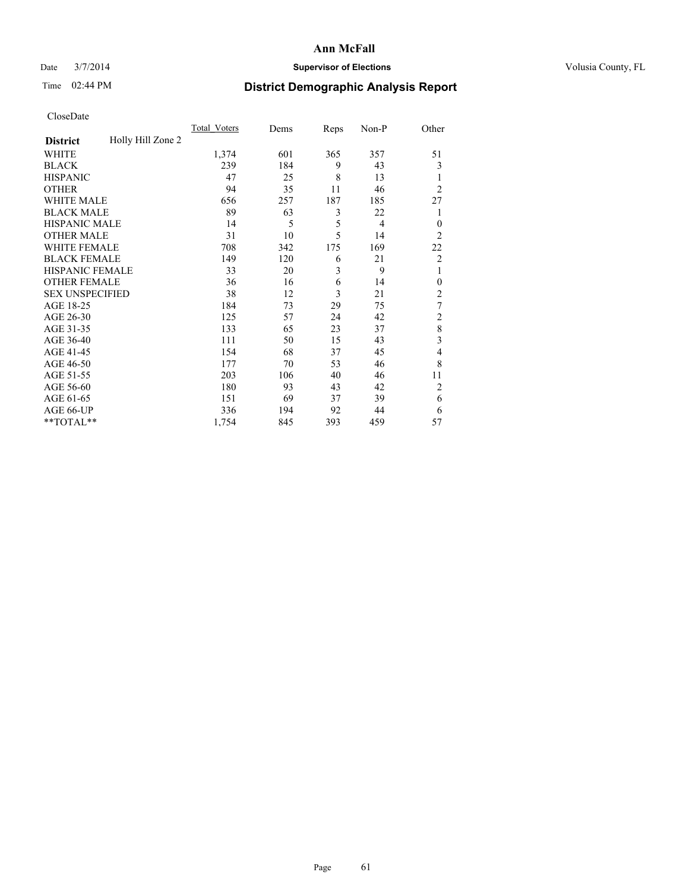### Date  $3/7/2014$  **Supervisor of Elections Supervisor of Elections** Volusia County, FL

## Time 02:44 PM **District Demographic Analysis Report**

|                        |                   | <b>Total Voters</b> | Dems | Reps | Non-P          | Other          |
|------------------------|-------------------|---------------------|------|------|----------------|----------------|
| <b>District</b>        | Holly Hill Zone 2 |                     |      |      |                |                |
| WHITE                  |                   | 1,374               | 601  | 365  | 357            | 51             |
| <b>BLACK</b>           |                   | 239                 | 184  | 9    | 43             | 3              |
| <b>HISPANIC</b>        |                   | 47                  | 25   | 8    | 13             | 1              |
| <b>OTHER</b>           |                   | 94                  | 35   | 11   | 46             | $\overline{2}$ |
| WHITE MALE             |                   | 656                 | 257  | 187  | 185            | 27             |
| <b>BLACK MALE</b>      |                   | 89                  | 63   | 3    | 22             | 1              |
| <b>HISPANIC MALE</b>   |                   | 14                  | 5    | 5    | $\overline{4}$ | $\overline{0}$ |
| <b>OTHER MALE</b>      |                   | 31                  | 10   | 5    | 14             | $\overline{2}$ |
| WHITE FEMALE           |                   | 708                 | 342  | 175  | 169            | 22             |
| <b>BLACK FEMALE</b>    |                   | 149                 | 120  | 6    | 21             | $\overline{2}$ |
| <b>HISPANIC FEMALE</b> |                   | 33                  | 20   | 3    | 9              | 1              |
| <b>OTHER FEMALE</b>    |                   | 36                  | 16   | 6    | 14             | $\Omega$       |
| <b>SEX UNSPECIFIED</b> |                   | 38                  | 12   | 3    | 21             | $\overline{2}$ |
| AGE 18-25              |                   | 184                 | 73   | 29   | 75             | 7              |
| AGE 26-30              |                   | 125                 | 57   | 24   | 42             | $\overline{2}$ |
| AGE 31-35              |                   | 133                 | 65   | 23   | 37             | 8              |
| AGE 36-40              |                   | 111                 | 50   | 15   | 43             | 3              |
| AGE 41-45              |                   | 154                 | 68   | 37   | 45             | 4              |
| AGE 46-50              |                   | 177                 | 70   | 53   | 46             | 8              |
| AGE 51-55              |                   | 203                 | 106  | 40   | 46             | 11             |
| AGE 56-60              |                   | 180                 | 93   | 43   | 42             | $\overline{2}$ |
| AGE 61-65              |                   | 151                 | 69   | 37   | 39             | 6              |
| AGE 66-UP              |                   | 336                 | 194  | 92   | 44             | 6              |
| **TOTAL**              |                   | 1,754               | 845  | 393  | 459            | 57             |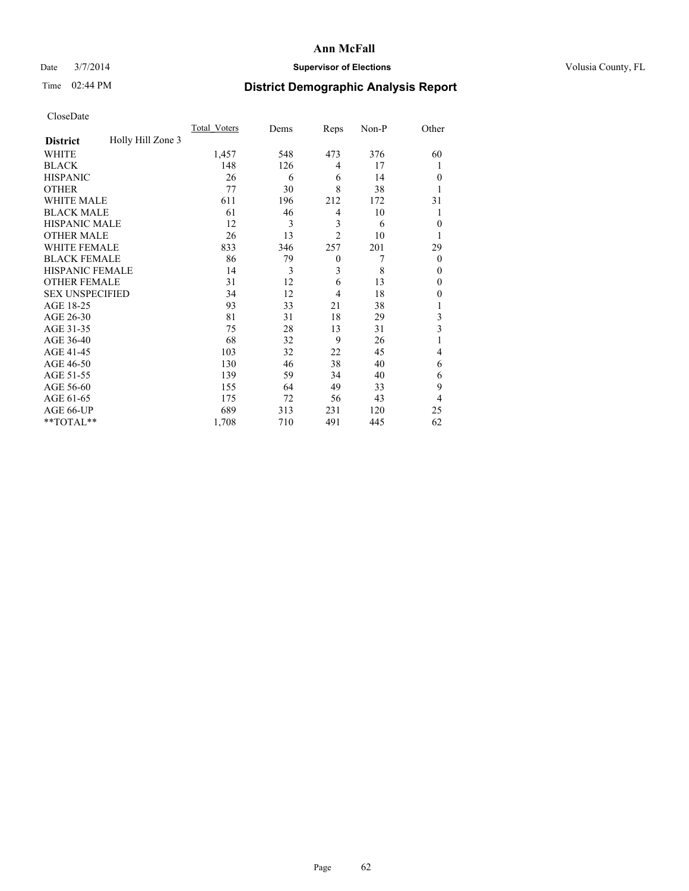### Date  $3/7/2014$  **Supervisor of Elections Supervisor of Elections** Volusia County, FL

## Time 02:44 PM **District Demographic Analysis Report**

|                        |                   | <b>Total Voters</b> | Dems | Reps           | Non-P | Other        |
|------------------------|-------------------|---------------------|------|----------------|-------|--------------|
| <b>District</b>        | Holly Hill Zone 3 |                     |      |                |       |              |
| WHITE                  |                   | 1,457               | 548  | 473            | 376   | 60           |
| <b>BLACK</b>           |                   | 148                 | 126  | 4              | 17    | 1            |
| <b>HISPANIC</b>        |                   | 26                  | 6    | 6              | 14    | $\theta$     |
| <b>OTHER</b>           |                   | 77                  | 30   | 8              | 38    |              |
| WHITE MALE             |                   | 611                 | 196  | 212            | 172   | 31           |
| <b>BLACK MALE</b>      |                   | 61                  | 46   | 4              | 10    | 1            |
| <b>HISPANIC MALE</b>   |                   | 12                  | 3    | 3              | 6     | $\mathbf{0}$ |
| <b>OTHER MALE</b>      |                   | 26                  | 13   | $\overline{2}$ | 10    | 1            |
| <b>WHITE FEMALE</b>    |                   | 833                 | 346  | 257            | 201   | 29           |
| <b>BLACK FEMALE</b>    |                   | 86                  | 79   | $\mathbf{0}$   | 7     | $\theta$     |
| <b>HISPANIC FEMALE</b> |                   | 14                  | 3    | 3              | 8     | $\theta$     |
| <b>OTHER FEMALE</b>    |                   | 31                  | 12   | 6              | 13    | $\theta$     |
| <b>SEX UNSPECIFIED</b> |                   | 34                  | 12   | 4              | 18    | $\mathbf{0}$ |
| AGE 18-25              |                   | 93                  | 33   | 21             | 38    |              |
| AGE 26-30              |                   | 81                  | 31   | 18             | 29    | 3            |
| AGE 31-35              |                   | 75                  | 28   | 13             | 31    | 3            |
| AGE 36-40              |                   | 68                  | 32   | 9              | 26    |              |
| AGE 41-45              |                   | 103                 | 32   | 22             | 45    | 4            |
| AGE 46-50              |                   | 130                 | 46   | 38             | 40    | 6            |
| AGE 51-55              |                   | 139                 | 59   | 34             | 40    | 6            |
| AGE 56-60              |                   | 155                 | 64   | 49             | 33    | 9            |
| AGE 61-65              |                   | 175                 | 72   | 56             | 43    | 4            |
| AGE 66-UP              |                   | 689                 | 313  | 231            | 120   | 25           |
| **TOTAL**              |                   | 1,708               | 710  | 491            | 445   | 62           |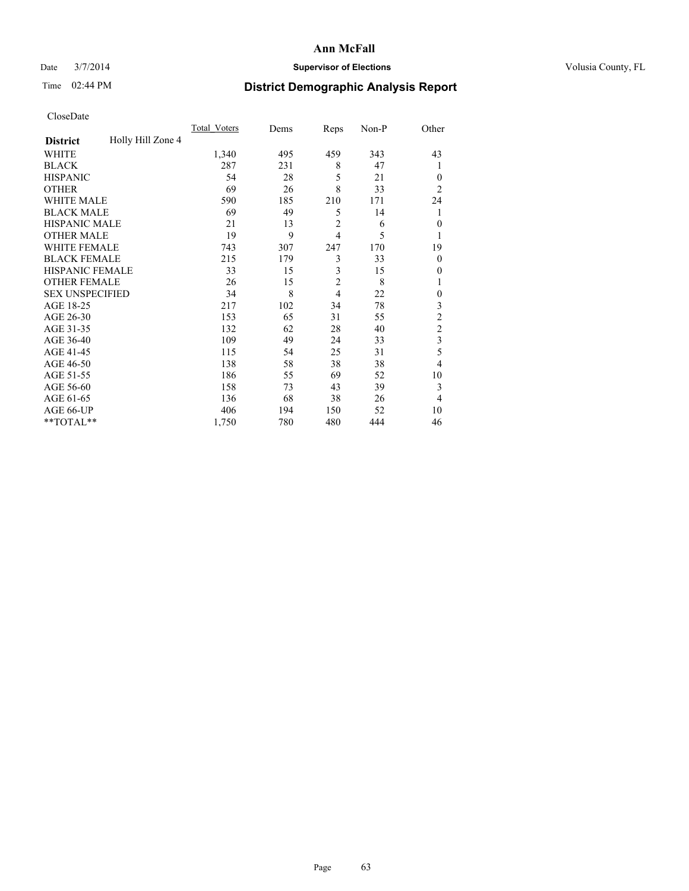### Date  $3/7/2014$  **Supervisor of Elections Supervisor of Elections** Volusia County, FL

## Time 02:44 PM **District Demographic Analysis Report**

|                        |                   | <b>Total Voters</b> | Dems | Reps           | Non-P | Other                   |
|------------------------|-------------------|---------------------|------|----------------|-------|-------------------------|
| <b>District</b>        | Holly Hill Zone 4 |                     |      |                |       |                         |
| WHITE                  |                   | 1,340               | 495  | 459            | 343   | 43                      |
| <b>BLACK</b>           |                   | 287                 | 231  | 8              | 47    | 1                       |
| <b>HISPANIC</b>        |                   | 54                  | 28   | 5              | 21    | $\Omega$                |
| <b>OTHER</b>           |                   | 69                  | 26   | 8              | 33    | $\overline{2}$          |
| WHITE MALE             |                   | 590                 | 185  | 210            | 171   | 24                      |
| <b>BLACK MALE</b>      |                   | 69                  | 49   | 5              | 14    | 1                       |
| <b>HISPANIC MALE</b>   |                   | 21                  | 13   | $\overline{2}$ | 6     | $\theta$                |
| <b>OTHER MALE</b>      |                   | 19                  | 9    | $\overline{4}$ | 5     | 1                       |
| WHITE FEMALE           |                   | 743                 | 307  | 247            | 170   | 19                      |
| <b>BLACK FEMALE</b>    |                   | 215                 | 179  | 3              | 33    | $\overline{0}$          |
| <b>HISPANIC FEMALE</b> |                   | 33                  | 15   | 3              | 15    | $\Omega$                |
| <b>OTHER FEMALE</b>    |                   | 26                  | 15   | $\overline{c}$ | 8     |                         |
| <b>SEX UNSPECIFIED</b> |                   | 34                  | 8    | $\overline{4}$ | 22    | $\theta$                |
| AGE 18-25              |                   | 217                 | 102  | 34             | 78    | 3                       |
| AGE 26-30              |                   | 153                 | 65   | 31             | 55    | $\overline{c}$          |
| AGE 31-35              |                   | 132                 | 62   | 28             | 40    | $\overline{c}$          |
| AGE 36-40              |                   | 109                 | 49   | 24             | 33    | $\overline{\mathbf{3}}$ |
| AGE 41-45              |                   | 115                 | 54   | 25             | 31    | 5                       |
| AGE 46-50              |                   | 138                 | 58   | 38             | 38    | $\overline{4}$          |
| AGE 51-55              |                   | 186                 | 55   | 69             | 52    | 10                      |
| AGE 56-60              |                   | 158                 | 73   | 43             | 39    | 3                       |
| AGE 61-65              |                   | 136                 | 68   | 38             | 26    | $\overline{4}$          |
| AGE 66-UP              |                   | 406                 | 194  | 150            | 52    | 10                      |
| **TOTAL**              |                   | 1,750               | 780  | 480            | 444   | 46                      |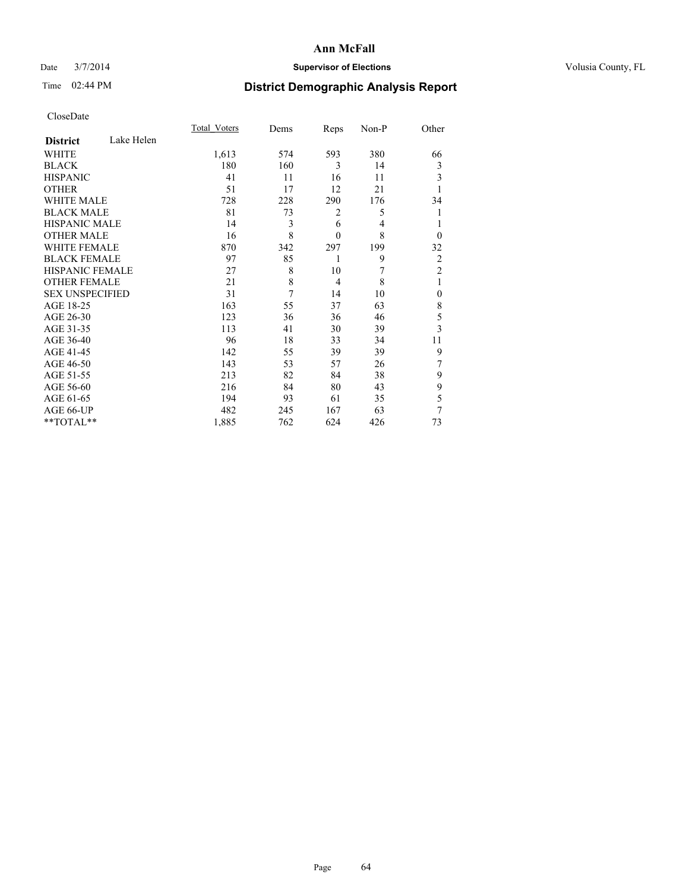### Date  $3/7/2014$  **Supervisor of Elections Supervisor of Elections** Volusia County, FL

# Time 02:44 PM **District Demographic Analysis Report**

|                        |            | Total Voters | Dems | Reps           | Non-P | Other          |
|------------------------|------------|--------------|------|----------------|-------|----------------|
| <b>District</b>        | Lake Helen |              |      |                |       |                |
| WHITE                  |            | 1,613        | 574  | 593            | 380   | 66             |
| <b>BLACK</b>           |            | 180          | 160  | 3              | 14    | 3              |
| <b>HISPANIC</b>        |            | 41           | 11   | 16             | 11    | 3              |
| <b>OTHER</b>           |            | 51           | 17   | 12             | 21    |                |
| <b>WHITE MALE</b>      |            | 728          | 228  | 290            | 176   | 34             |
| <b>BLACK MALE</b>      |            | 81           | 73   | 2              | 5     |                |
| <b>HISPANIC MALE</b>   |            | 14           | 3    | 6              | 4     |                |
| <b>OTHER MALE</b>      |            | 16           | 8    | $\mathbf{0}$   | 8     | $\Omega$       |
| WHITE FEMALE           |            | 870          | 342  | 297            | 199   | 32             |
| <b>BLACK FEMALE</b>    |            | 97           | 85   | 1              | 9     | $\overline{c}$ |
| HISPANIC FEMALE        |            | 27           | 8    | 10             | 7     | $\overline{2}$ |
| <b>OTHER FEMALE</b>    |            | 21           | 8    | $\overline{4}$ | 8     | 1              |
| <b>SEX UNSPECIFIED</b> |            | 31           | 7    | 14             | 10    | $\mathbf{0}$   |
| AGE 18-25              |            | 163          | 55   | 37             | 63    | 8              |
| AGE 26-30              |            | 123          | 36   | 36             | 46    | 5              |
| AGE 31-35              |            | 113          | 41   | 30             | 39    | $\overline{3}$ |
| AGE 36-40              |            | 96           | 18   | 33             | 34    | 11             |
| AGE 41-45              |            | 142          | 55   | 39             | 39    | 9              |
| AGE 46-50              |            | 143          | 53   | 57             | 26    | 7              |
| AGE 51-55              |            | 213          | 82   | 84             | 38    | 9              |
| AGE 56-60              |            | 216          | 84   | 80             | 43    | 9              |
| AGE 61-65              |            | 194          | 93   | 61             | 35    | 5              |
| AGE 66-UP              |            | 482          | 245  | 167            | 63    | 7              |
| **TOTAL**              |            | 1,885        | 762  | 624            | 426   | 73             |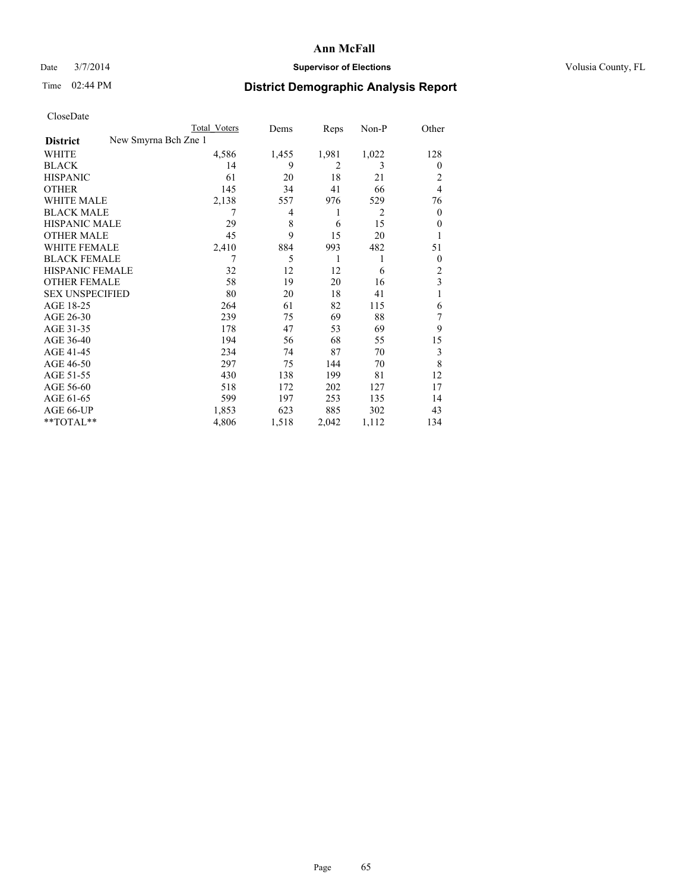### Date  $3/7/2014$  **Supervisor of Elections Supervisor of Elections** Volusia County, FL

|                                         | Total Voters | Dems  | Reps           | Non-P          | Other          |
|-----------------------------------------|--------------|-------|----------------|----------------|----------------|
| New Smyrna Bch Zne 1<br><b>District</b> |              |       |                |                |                |
| <b>WHITE</b>                            | 4,586        | 1,455 | 1,981          | 1,022          | 128            |
| <b>BLACK</b>                            | 14           | 9     | $\overline{2}$ | 3              | $\overline{0}$ |
| <b>HISPANIC</b>                         | 61           | 20    | 18             | 21             | 2              |
| <b>OTHER</b>                            | 145          | 34    | 41             | 66             | $\overline{4}$ |
| <b>WHITE MALE</b>                       | 2,138        | 557   | 976            | 529            | 76             |
| <b>BLACK MALE</b>                       | 7            | 4     | 1              | $\overline{2}$ | $\overline{0}$ |
| <b>HISPANIC MALE</b>                    | 29           | 8     | 6              | 15             | $\theta$       |
| <b>OTHER MALE</b>                       | 45           | 9     | 15             | 20             |                |
| <b>WHITE FEMALE</b>                     | 2,410        | 884   | 993            | 482            | 51             |
| <b>BLACK FEMALE</b>                     | 7            | 5     | 1              | 1              | $\overline{0}$ |
| <b>HISPANIC FEMALE</b>                  | 32           | 12    | 12             | 6              | $\overline{2}$ |
| <b>OTHER FEMALE</b>                     | 58           | 19    | 20             | 16             | 3              |
| <b>SEX UNSPECIFIED</b>                  | 80           | 20    | 18             | 41             | 1              |
| AGE 18-25                               | 264          | 61    | 82             | 115            | 6              |
| AGE 26-30                               | 239          | 75    | 69             | 88             | 7              |
| AGE 31-35                               | 178          | 47    | 53             | 69             | 9              |
| AGE 36-40                               | 194          | 56    | 68             | 55             | 15             |
| AGE 41-45                               | 234          | 74    | 87             | 70             | 3              |
| AGE 46-50                               | 297          | 75    | 144            | 70             | 8              |
| AGE 51-55                               | 430          | 138   | 199            | 81             | 12             |
| AGE 56-60                               | 518          | 172   | 202            | 127            | 17             |
| AGE 61-65                               | 599          | 197   | 253            | 135            | 14             |
| AGE 66-UP                               | 1,853        | 623   | 885            | 302            | 43             |
| **TOTAL**                               | 4,806        | 1,518 | 2,042          | 1,112          | 134            |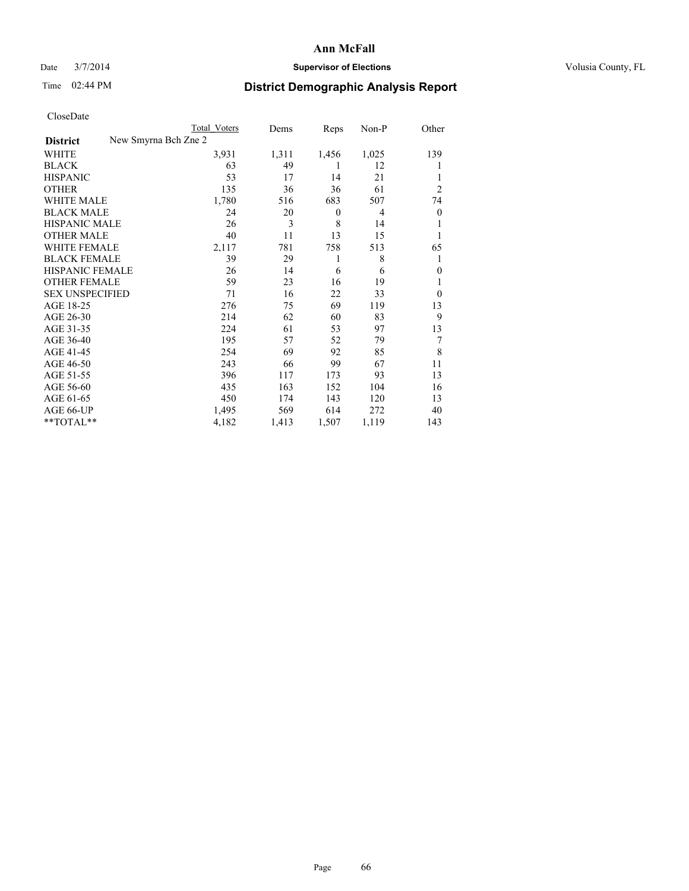### Date  $3/7/2014$  **Supervisor of Elections Supervisor of Elections** Volusia County, FL

|  | CloseDate |
|--|-----------|
|  |           |

|                        |                      | Total Voters | Dems  | Reps             | Non-P | Other            |
|------------------------|----------------------|--------------|-------|------------------|-------|------------------|
| <b>District</b>        | New Smyrna Bch Zne 2 |              |       |                  |       |                  |
| WHITE                  |                      | 3,931        | 1,311 | 1,456            | 1,025 | 139              |
| <b>BLACK</b>           |                      | 63           | 49    | 1                | 12    |                  |
| <b>HISPANIC</b>        |                      | 53           | 17    | 14               | 21    |                  |
| <b>OTHER</b>           |                      | 135          | 36    | 36               | 61    | $\overline{2}$   |
| WHITE MALE             |                      | 1,780        | 516   | 683              | 507   | 74               |
| <b>BLACK MALE</b>      |                      | 24           | 20    | $\boldsymbol{0}$ | 4     | $\boldsymbol{0}$ |
| <b>HISPANIC MALE</b>   |                      | 26           | 3     | 8                | 14    |                  |
| <b>OTHER MALE</b>      |                      | 40           | 11    | 13               | 15    | 1                |
| <b>WHITE FEMALE</b>    |                      | 2,117        | 781   | 758              | 513   | 65               |
| <b>BLACK FEMALE</b>    |                      | 39           | 29    | 1                | 8     | 1                |
| <b>HISPANIC FEMALE</b> |                      | 26           | 14    | 6                | 6     | $\theta$         |
| <b>OTHER FEMALE</b>    |                      | 59           | 23    | 16               | 19    |                  |
| <b>SEX UNSPECIFIED</b> |                      | 71           | 16    | 22               | 33    | $\theta$         |
| AGE 18-25              |                      | 276          | 75    | 69               | 119   | 13               |
| AGE 26-30              |                      | 214          | 62    | 60               | 83    | 9                |
| AGE 31-35              |                      | 224          | 61    | 53               | 97    | 13               |
| AGE 36-40              |                      | 195          | 57    | 52               | 79    | 7                |
| AGE 41-45              |                      | 254          | 69    | 92               | 85    | 8                |
| AGE 46-50              |                      | 243          | 66    | 99               | 67    | 11               |
| AGE 51-55              |                      | 396          | 117   | 173              | 93    | 13               |
| AGE 56-60              |                      | 435          | 163   | 152              | 104   | 16               |
| AGE 61-65              |                      | 450          | 174   | 143              | 120   | 13               |
| AGE 66-UP              |                      | 1,495        | 569   | 614              | 272   | 40               |
| **TOTAL**              |                      | 4,182        | 1,413 | 1,507            | 1,119 | 143              |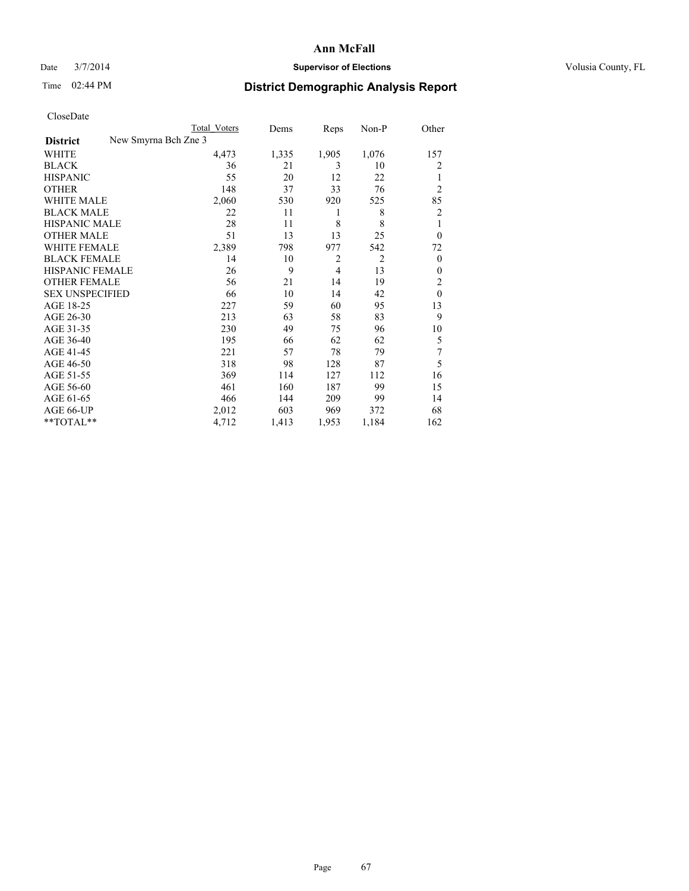### Date  $3/7/2014$  **Supervisor of Elections Supervisor of Elections** Volusia County, FL

|                                         | Total Voters | Dems  | Reps           | Non-P          | Other          |
|-----------------------------------------|--------------|-------|----------------|----------------|----------------|
| New Smyrna Bch Zne 3<br><b>District</b> |              |       |                |                |                |
| WHITE                                   | 4,473        | 1,335 | 1,905          | 1,076          | 157            |
| <b>BLACK</b>                            | 36           | 21    | 3              | 10             | 2              |
| <b>HISPANIC</b>                         | 55           | 20    | 12             | 22             | 1              |
| <b>OTHER</b>                            | 148          | 37    | 33             | 76             | $\overline{2}$ |
| WHITE MALE                              | 2,060        | 530   | 920            | 525            | 85             |
| <b>BLACK MALE</b>                       | 22           | 11    | 1              | 8              | 2              |
| <b>HISPANIC MALE</b>                    | 28           | 11    | 8              | 8              | 1              |
| <b>OTHER MALE</b>                       | 51           | 13    | 13             | 25             | $\overline{0}$ |
| <b>WHITE FEMALE</b>                     | 2,389        | 798   | 977            | 542            | 72             |
| <b>BLACK FEMALE</b>                     | 14           | 10    | $\overline{c}$ | $\overline{2}$ | $\overline{0}$ |
| HISPANIC FEMALE                         | 26           | 9     | $\overline{4}$ | 13             | $\theta$       |
| <b>OTHER FEMALE</b>                     | 56           | 21    | 14             | 19             | 2              |
| <b>SEX UNSPECIFIED</b>                  | 66           | 10    | 14             | 42             | $\mathbf{0}$   |
| AGE 18-25                               | 227          | 59    | 60             | 95             | 13             |
| AGE 26-30                               | 213          | 63    | 58             | 83             | 9              |
| AGE 31-35                               | 230          | 49    | 75             | 96             | 10             |
| AGE 36-40                               | 195          | 66    | 62             | 62             | 5              |
| AGE 41-45                               | 221          | 57    | 78             | 79             | 7              |
| AGE 46-50                               | 318          | 98    | 128            | 87             | 5              |
| AGE 51-55                               | 369          | 114   | 127            | 112            | 16             |
| AGE 56-60                               | 461          | 160   | 187            | 99             | 15             |
| AGE 61-65                               | 466          | 144   | 209            | 99             | 14             |
| AGE 66-UP                               | 2,012        | 603   | 969            | 372            | 68             |
| **TOTAL**                               | 4,712        | 1,413 | 1,953          | 1,184          | 162            |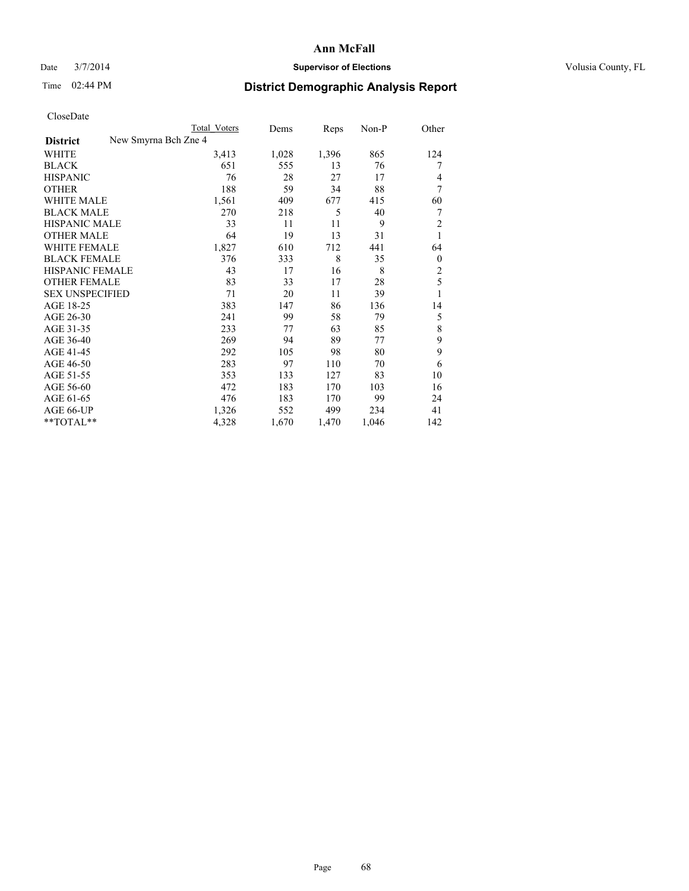### Date  $3/7/2014$  **Supervisor of Elections Supervisor of Elections** Volusia County, FL

|  | CloseDate |
|--|-----------|
|  |           |

|                        | Total Voters         | Dems  | Reps  | Non-P | Other          |
|------------------------|----------------------|-------|-------|-------|----------------|
| <b>District</b>        | New Smyrna Bch Zne 4 |       |       |       |                |
| WHITE                  | 3,413                | 1,028 | 1,396 | 865   | 124            |
| <b>BLACK</b>           | 651                  | 555   | 13    | 76    | 7              |
| <b>HISPANIC</b>        | 76                   | 28    | 27    | 17    | 4              |
| <b>OTHER</b>           | 188                  | 59    | 34    | 88    | 7              |
| WHITE MALE             | 1,561                | 409   | 677   | 415   | 60             |
| <b>BLACK MALE</b>      | 270                  | 218   | 5     | 40    | 7              |
| <b>HISPANIC MALE</b>   | 33                   | 11    | 11    | 9     | $\overline{2}$ |
| <b>OTHER MALE</b>      | 64                   | 19    | 13    | 31    | 1              |
| <b>WHITE FEMALE</b>    | 1,827                | 610   | 712   | 441   | 64             |
| <b>BLACK FEMALE</b>    | 376                  | 333   | 8     | 35    | $\overline{0}$ |
| HISPANIC FEMALE        | 43                   | 17    | 16    | 8     | $\overline{c}$ |
| <b>OTHER FEMALE</b>    | 83                   | 33    | 17    | 28    | 5              |
| <b>SEX UNSPECIFIED</b> | 71                   | 20    | 11    | 39    | 1              |
| AGE 18-25              | 383                  | 147   | 86    | 136   | 14             |
| AGE 26-30              | 241                  | 99    | 58    | 79    | 5              |
| AGE 31-35              | 233                  | 77    | 63    | 85    | 8              |
| AGE 36-40              | 269                  | 94    | 89    | 77    | 9              |
| AGE 41-45              | 292                  | 105   | 98    | 80    | 9              |
| AGE 46-50              | 283                  | 97    | 110   | 70    | 6              |
| AGE 51-55              | 353                  | 133   | 127   | 83    | 10             |
| AGE 56-60              | 472                  | 183   | 170   | 103   | 16             |
| AGE 61-65              | 476                  | 183   | 170   | 99    | 24             |
| AGE 66-UP              | 1,326                | 552   | 499   | 234   | 41             |
| **TOTAL**              | 4,328                | 1,670 | 1,470 | 1,046 | 142            |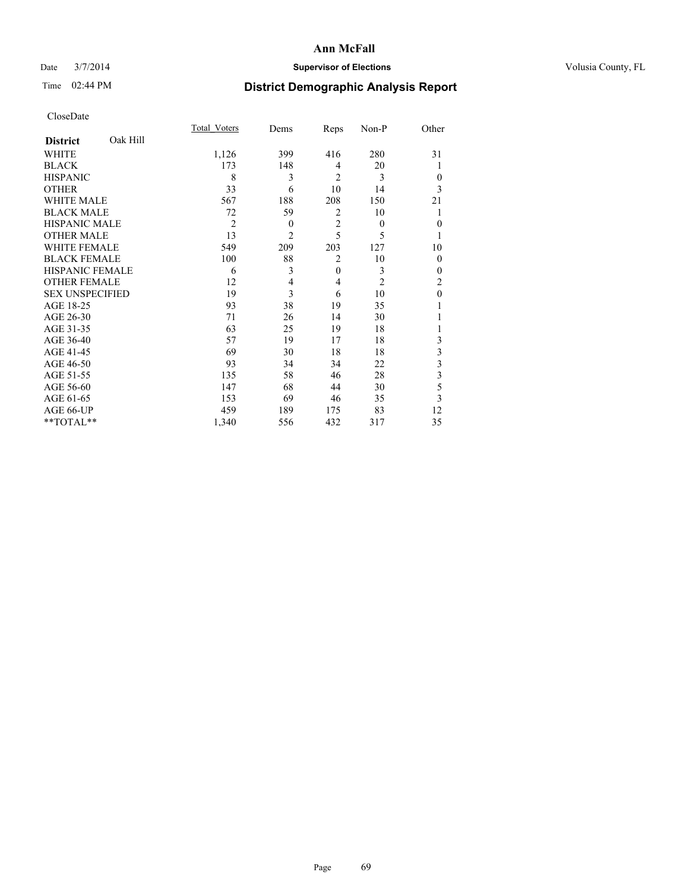### Date  $3/7/2014$  **Supervisor of Elections Supervisor of Elections** Volusia County, FL

## Time 02:44 PM **District Demographic Analysis Report**

|                        |          | Total Voters   | Dems           | Reps           | Non-P          | Other          |
|------------------------|----------|----------------|----------------|----------------|----------------|----------------|
| <b>District</b>        | Oak Hill |                |                |                |                |                |
| WHITE                  |          | 1,126          | 399            | 416            | 280            | 31             |
| <b>BLACK</b>           |          | 173            | 148            | 4              | 20             |                |
| <b>HISPANIC</b>        |          | 8              | 3              | $\overline{2}$ | 3              | $\theta$       |
| <b>OTHER</b>           |          | 33             | 6              | 10             | 14             | 3              |
| WHITE MALE             |          | 567            | 188            | 208            | 150            | 21             |
| <b>BLACK MALE</b>      |          | 72             | 59             | $\overline{2}$ | 10             |                |
| <b>HISPANIC MALE</b>   |          | $\overline{2}$ | $\theta$       | $\overline{2}$ | $\theta$       | $\mathbf{0}$   |
| <b>OTHER MALE</b>      |          | 13             | $\overline{c}$ | 5              | 5              | 1              |
| WHITE FEMALE           |          | 549            | 209            | 203            | 127            | 10             |
| <b>BLACK FEMALE</b>    |          | 100            | 88             | $\overline{2}$ | 10             | $\theta$       |
| HISPANIC FEMALE        |          | 6              | 3              | $\mathbf{0}$   | 3              | $\theta$       |
| <b>OTHER FEMALE</b>    |          | 12             | 4              | $\overline{4}$ | $\overline{c}$ | $\overline{c}$ |
| <b>SEX UNSPECIFIED</b> |          | 19             | 3              | 6              | 10             | $\mathbf{0}$   |
| AGE 18-25              |          | 93             | 38             | 19             | 35             |                |
| AGE 26-30              |          | 71             | 26             | 14             | 30             |                |
| AGE 31-35              |          | 63             | 25             | 19             | 18             |                |
| AGE 36-40              |          | 57             | 19             | 17             | 18             | 3              |
| AGE 41-45              |          | 69             | 30             | 18             | 18             | 3              |
| AGE 46-50              |          | 93             | 34             | 34             | 22             | 3              |
| AGE 51-55              |          | 135            | 58             | 46             | 28             | 3              |
| AGE 56-60              |          | 147            | 68             | 44             | 30             | 5              |
| AGE 61-65              |          | 153            | 69             | 46             | 35             | 3              |
| AGE 66-UP              |          | 459            | 189            | 175            | 83             | 12             |
| **TOTAL**              |          | 1,340          | 556            | 432            | 317            | 35             |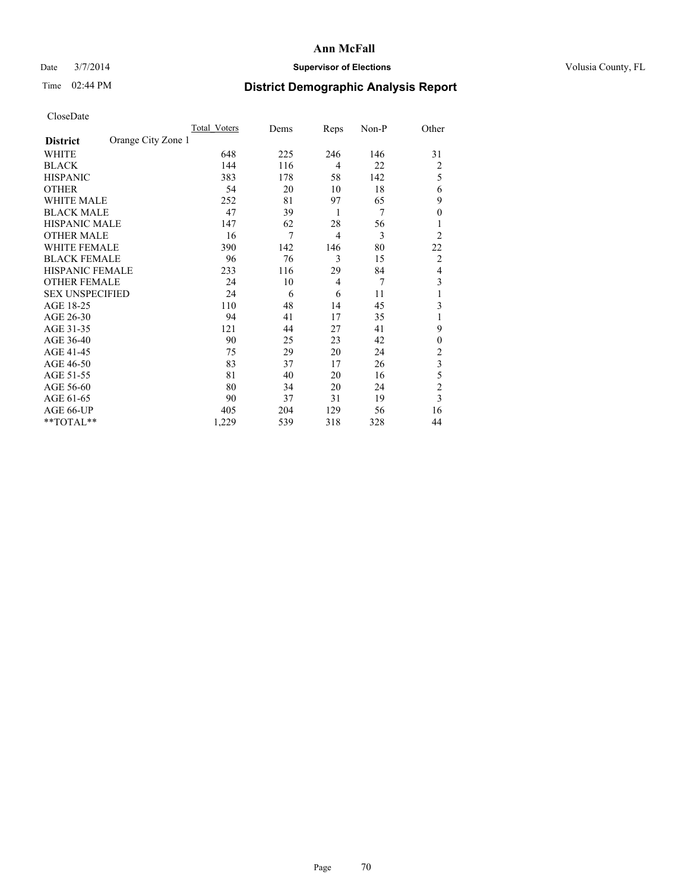### Date  $3/7/2014$  **Supervisor of Elections Supervisor of Elections** Volusia County, FL

## Time 02:44 PM **District Demographic Analysis Report**

|                        |                    | Total Voters | Dems | Reps           | Non-P | Other          |
|------------------------|--------------------|--------------|------|----------------|-------|----------------|
| <b>District</b>        | Orange City Zone 1 |              |      |                |       |                |
| WHITE                  |                    | 648          | 225  | 246            | 146   | 31             |
| <b>BLACK</b>           |                    | 144          | 116  | 4              | 22    | $\overline{2}$ |
| <b>HISPANIC</b>        |                    | 383          | 178  | 58             | 142   | 5              |
| <b>OTHER</b>           |                    | 54           | 20   | 10             | 18    | 6              |
| WHITE MALE             |                    | 252          | 81   | 97             | 65    | 9              |
| <b>BLACK MALE</b>      |                    | 47           | 39   | 1              | 7     | $\overline{0}$ |
| <b>HISPANIC MALE</b>   |                    | 147          | 62   | 28             | 56    |                |
| <b>OTHER MALE</b>      |                    | 16           | 7    | $\overline{4}$ | 3     | $\overline{2}$ |
| WHITE FEMALE           |                    | 390          | 142  | 146            | 80    | 22             |
| <b>BLACK FEMALE</b>    |                    | 96           | 76   | 3              | 15    | $\overline{2}$ |
| <b>HISPANIC FEMALE</b> |                    | 233          | 116  | 29             | 84    | $\overline{4}$ |
| <b>OTHER FEMALE</b>    |                    | 24           | 10   | $\overline{4}$ | 7     | 3              |
| <b>SEX UNSPECIFIED</b> |                    | 24           | 6    | 6              | 11    | 1              |
| AGE 18-25              |                    | 110          | 48   | 14             | 45    | 3              |
| AGE 26-30              |                    | 94           | 41   | 17             | 35    | 1              |
| AGE 31-35              |                    | 121          | 44   | 27             | 41    | 9              |
| AGE 36-40              |                    | 90           | 25   | 23             | 42    | $\overline{0}$ |
| AGE 41-45              |                    | 75           | 29   | 20             | 24    | 2              |
| AGE 46-50              |                    | 83           | 37   | 17             | 26    | 3              |
| AGE 51-55              |                    | 81           | 40   | 20             | 16    | 5              |
| AGE 56-60              |                    | 80           | 34   | 20             | 24    | $\overline{c}$ |
| AGE 61-65              |                    | 90           | 37   | 31             | 19    | 3              |
| AGE 66-UP              |                    | 405          | 204  | 129            | 56    | 16             |
| **TOTAL**              |                    | 1,229        | 539  | 318            | 328   | 44             |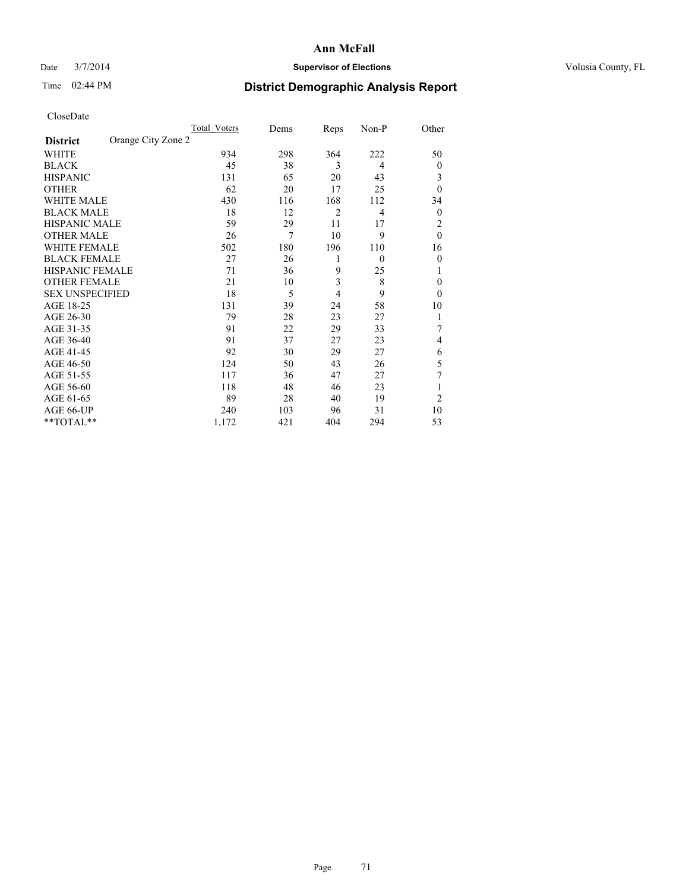### Date  $3/7/2014$  **Supervisor of Elections** Volusia County, FL

## Time 02:44 PM **District Demographic Analysis Report**

| Cioscivate             |                    |              |      |                |                |                |
|------------------------|--------------------|--------------|------|----------------|----------------|----------------|
|                        |                    | Total Voters | Dems | Reps           | Non-P          | Other          |
| <b>District</b>        | Orange City Zone 2 |              |      |                |                |                |
| <b>WHITE</b>           |                    | 934          | 298  | 364            | 222            | 50             |
| <b>BLACK</b>           |                    | 45           | 38   | 3              | $\overline{4}$ | $\overline{0}$ |
| <b>HISPANIC</b>        |                    | 131          | 65   | 20             | 43             | 3              |
| <b>OTHER</b>           |                    | 62           | 20   | 17             | 25             | $\theta$       |
| WHITE MALE             |                    | 430          | 116  | 168            | 112            | 34             |
| <b>BLACK MALE</b>      |                    | 18           | 12   | $\overline{2}$ | 4              | $\mathbf{0}$   |
| <b>HISPANIC MALE</b>   |                    | 59           | 29   | 11             | 17             | 2              |
| <b>OTHER MALE</b>      |                    | 26           | 7    | 10             | 9              | $\mathbf{0}$   |
| WHITE FEMALE           |                    | 502          | 180  | 196            | 110            | 16             |
| <b>BLACK FEMALE</b>    |                    | 27           | 26   | 1              | $\theta$       | $\mathbf{0}$   |
| HISPANIC FEMALE        |                    | 71           | 36   | 9              | 25             |                |
| <b>OTHER FEMALE</b>    |                    | 21           | 10   | 3              | 8              | $\theta$       |
| <b>SEX UNSPECIFIED</b> |                    | 18           | 5    | $\overline{4}$ | 9              | $\theta$       |
| AGE 18-25              |                    | 131          | 39   | 24             | 58             | 10             |
| AGE 26-30              |                    | 79           | 28   | 23             | 27             | 1              |
| AGE 31-35              |                    | 91           | 22   | 29             | 33             |                |
| AGE 36-40              |                    | 91           | 37   | 27             | 23             | 4              |
| AGE 41-45              |                    | 92           | 30   | 29             | 27             | 6              |
| AGE 46-50              |                    | 124          | 50   | 43             | 26             | 5              |
| AGE 51-55              |                    | 117          | 36   | 47             | 27             | 7              |
| AGE 56-60              |                    | 118          | 48   | 46             | 23             | 1              |
| AGE 61-65              |                    | 89           | 28   | 40             | 19             | $\overline{2}$ |
| AGE 66-UP              |                    | 240          | 103  | 96             | 31             | 10             |
| **TOTAL**              |                    | 1,172        | 421  | 404            | 294            | 53             |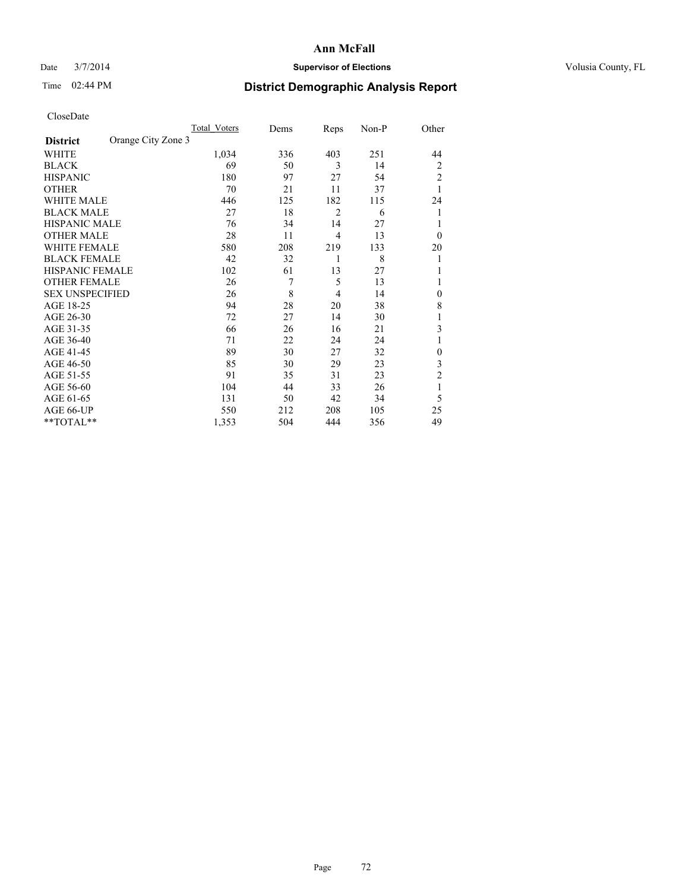### Date  $3/7/2014$  **Supervisor of Elections Supervisor of Elections** Volusia County, FL

## Time 02:44 PM **District Demographic Analysis Report**

|                        |                    | <b>Total Voters</b> | Dems | Reps           | Non-P | Other          |
|------------------------|--------------------|---------------------|------|----------------|-------|----------------|
| <b>District</b>        | Orange City Zone 3 |                     |      |                |       |                |
| WHITE                  |                    | 1,034               | 336  | 403            | 251   | 44             |
| <b>BLACK</b>           |                    | 69                  | 50   | 3              | 14    | 2              |
| <b>HISPANIC</b>        |                    | 180                 | 97   | 27             | 54    | $\overline{c}$ |
| <b>OTHER</b>           |                    | 70                  | 21   | 11             | 37    | 1              |
| WHITE MALE             |                    | 446                 | 125  | 182            | 115   | 24             |
| <b>BLACK MALE</b>      |                    | 27                  | 18   | $\overline{2}$ | 6     | 1              |
| <b>HISPANIC MALE</b>   |                    | 76                  | 34   | 14             | 27    | 1              |
| <b>OTHER MALE</b>      |                    | 28                  | 11   | $\overline{4}$ | 13    | $\theta$       |
| WHITE FEMALE           |                    | 580                 | 208  | 219            | 133   | 20             |
| <b>BLACK FEMALE</b>    |                    | 42                  | 32   | 1              | 8     | 1              |
| HISPANIC FEMALE        |                    | 102                 | 61   | 13             | 27    | 1              |
| <b>OTHER FEMALE</b>    |                    | 26                  | 7    | 5              | 13    | 1              |
| <b>SEX UNSPECIFIED</b> |                    | 26                  | 8    | $\overline{4}$ | 14    | $\theta$       |
| AGE 18-25              |                    | 94                  | 28   | 20             | 38    | 8              |
| AGE 26-30              |                    | 72                  | 27   | 14             | 30    | 1              |
| AGE 31-35              |                    | 66                  | 26   | 16             | 21    | 3              |
| AGE 36-40              |                    | 71                  | 22   | 24             | 24    | 1              |
| AGE 41-45              |                    | 89                  | 30   | 27             | 32    | $\theta$       |
| AGE 46-50              |                    | 85                  | 30   | 29             | 23    | 3              |
| AGE 51-55              |                    | 91                  | 35   | 31             | 23    | $\overline{c}$ |
| AGE 56-60              |                    | 104                 | 44   | 33             | 26    | 1              |
| AGE 61-65              |                    | 131                 | 50   | 42             | 34    | 5              |
| AGE 66-UP              |                    | 550                 | 212  | 208            | 105   | 25             |
| **TOTAL**              |                    | 1,353               | 504  | 444            | 356   | 49             |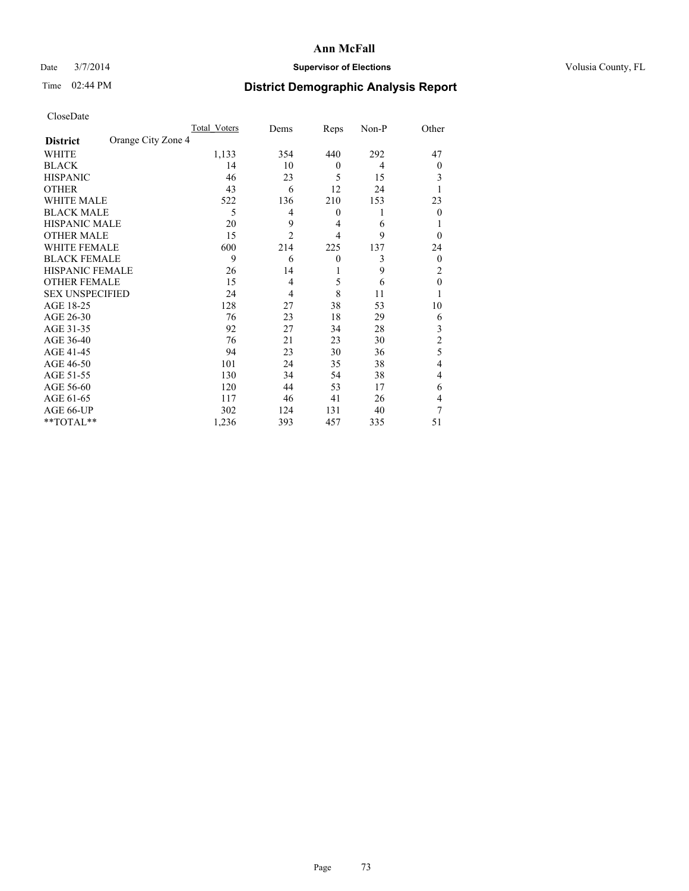## Date  $3/7/2014$  **Supervisor of Elections Supervisor of Elections** Volusia County, FL

# Time 02:44 PM **District Demographic Analysis Report**

|                        |                    | <b>Total Voters</b> | Dems           | Reps           | Non-P | Other          |
|------------------------|--------------------|---------------------|----------------|----------------|-------|----------------|
| <b>District</b>        | Orange City Zone 4 |                     |                |                |       |                |
| WHITE                  |                    | 1,133               | 354            | 440            | 292   | 47             |
| <b>BLACK</b>           |                    | 14                  | 10             | $\mathbf{0}$   | 4     | $\Omega$       |
| <b>HISPANIC</b>        |                    | 46                  | 23             | 5              | 15    | 3              |
| <b>OTHER</b>           |                    | 43                  | 6              | 12             | 24    |                |
| WHITE MALE             |                    | 522                 | 136            | 210            | 153   | 23             |
| <b>BLACK MALE</b>      |                    | 5                   | 4              | $\mathbf{0}$   | 1     | $\Omega$       |
| <b>HISPANIC MALE</b>   |                    | 20                  | 9              | 4              | 6     |                |
| <b>OTHER MALE</b>      |                    | 15                  | $\overline{2}$ | $\overline{4}$ | 9     | $\Omega$       |
| <b>WHITE FEMALE</b>    |                    | 600                 | 214            | 225            | 137   | 24             |
| <b>BLACK FEMALE</b>    |                    | 9                   | 6              | $\theta$       | 3     | $\overline{0}$ |
| <b>HISPANIC FEMALE</b> |                    | 26                  | 14             | 1              | 9     | 2              |
| <b>OTHER FEMALE</b>    |                    | 15                  | $\overline{4}$ | 5              | 6     | $\theta$       |
| <b>SEX UNSPECIFIED</b> |                    | 24                  | 4              | 8              | 11    |                |
| AGE 18-25              |                    | 128                 | 27             | 38             | 53    | 10             |
| AGE 26-30              |                    | 76                  | 23             | 18             | 29    | 6              |
| AGE 31-35              |                    | 92                  | 27             | 34             | 28    | 3              |
| AGE 36-40              |                    | 76                  | 21             | 23             | 30    | $\overline{c}$ |
| AGE 41-45              |                    | 94                  | 23             | 30             | 36    | 5              |
| AGE 46-50              |                    | 101                 | 24             | 35             | 38    | $\overline{4}$ |
| AGE 51-55              |                    | 130                 | 34             | 54             | 38    | $\overline{4}$ |
| AGE 56-60              |                    | 120                 | 44             | 53             | 17    | 6              |
| AGE 61-65              |                    | 117                 | 46             | 41             | 26    | 4              |
| AGE 66-UP              |                    | 302                 | 124            | 131            | 40    | 7              |
| **TOTAL**              |                    | 1,236               | 393            | 457            | 335   | 51             |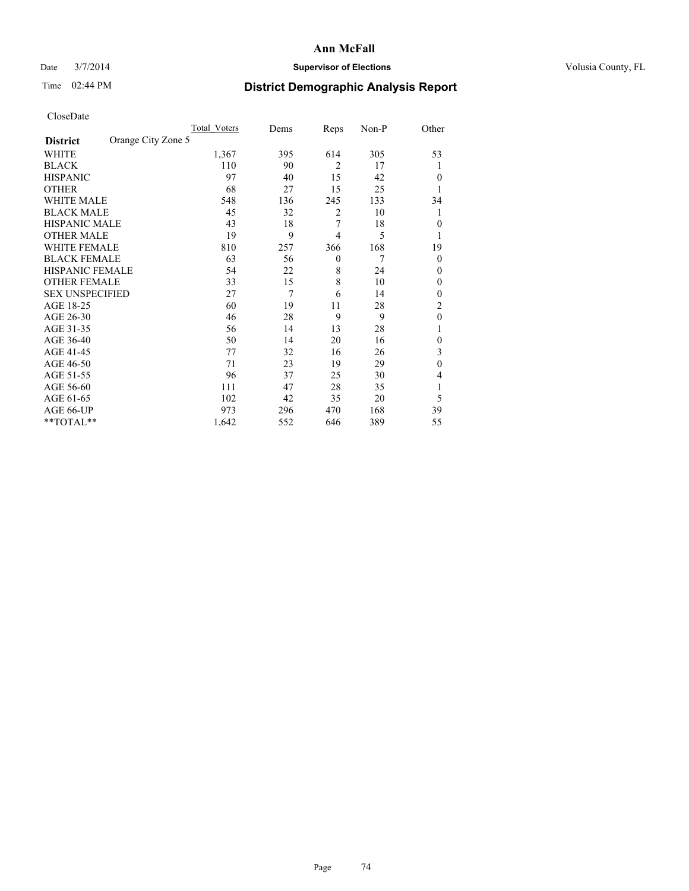## Date  $3/7/2014$  **Supervisor of Elections Supervisor of Elections** Volusia County, FL

# Time 02:44 PM **District Demographic Analysis Report**

|                        |                    | <b>Total Voters</b> | Dems | Reps           | Non-P | Other          |
|------------------------|--------------------|---------------------|------|----------------|-------|----------------|
| <b>District</b>        | Orange City Zone 5 |                     |      |                |       |                |
| WHITE                  |                    | 1,367               | 395  | 614            | 305   | 53             |
| <b>BLACK</b>           |                    | 110                 | 90   | $\overline{2}$ | 17    | 1              |
| <b>HISPANIC</b>        |                    | 97                  | 40   | 15             | 42    | $\Omega$       |
| <b>OTHER</b>           |                    | 68                  | 27   | 15             | 25    |                |
| WHITE MALE             |                    | 548                 | 136  | 245            | 133   | 34             |
| <b>BLACK MALE</b>      |                    | 45                  | 32   | 2              | 10    | 1              |
| <b>HISPANIC MALE</b>   |                    | 43                  | 18   | 7              | 18    | $\overline{0}$ |
| <b>OTHER MALE</b>      |                    | 19                  | 9    | $\overline{4}$ | 5     | 1              |
| WHITE FEMALE           |                    | 810                 | 257  | 366            | 168   | 19             |
| <b>BLACK FEMALE</b>    |                    | 63                  | 56   | $\mathbf{0}$   | 7     | $\overline{0}$ |
| <b>HISPANIC FEMALE</b> |                    | 54                  | 22   | 8              | 24    | $\Omega$       |
| <b>OTHER FEMALE</b>    |                    | 33                  | 15   | 8              | 10    | $\Omega$       |
| <b>SEX UNSPECIFIED</b> |                    | 27                  | 7    | 6              | 14    | $\overline{0}$ |
| AGE 18-25              |                    | 60                  | 19   | 11             | 28    | $\overline{2}$ |
| AGE 26-30              |                    | 46                  | 28   | 9              | 9     | $\mathbf{0}$   |
| AGE 31-35              |                    | 56                  | 14   | 13             | 28    |                |
| AGE 36-40              |                    | 50                  | 14   | 20             | 16    | $\overline{0}$ |
| AGE 41-45              |                    | 77                  | 32   | 16             | 26    | 3              |
| AGE 46-50              |                    | 71                  | 23   | 19             | 29    | $\theta$       |
| AGE 51-55              |                    | 96                  | 37   | 25             | 30    | $\overline{4}$ |
| AGE 56-60              |                    | 111                 | 47   | 28             | 35    |                |
| AGE 61-65              |                    | 102                 | 42   | 35             | 20    | 5              |
| AGE 66-UP              |                    | 973                 | 296  | 470            | 168   | 39             |
| **TOTAL**              |                    | 1,642               | 552  | 646            | 389   | 55             |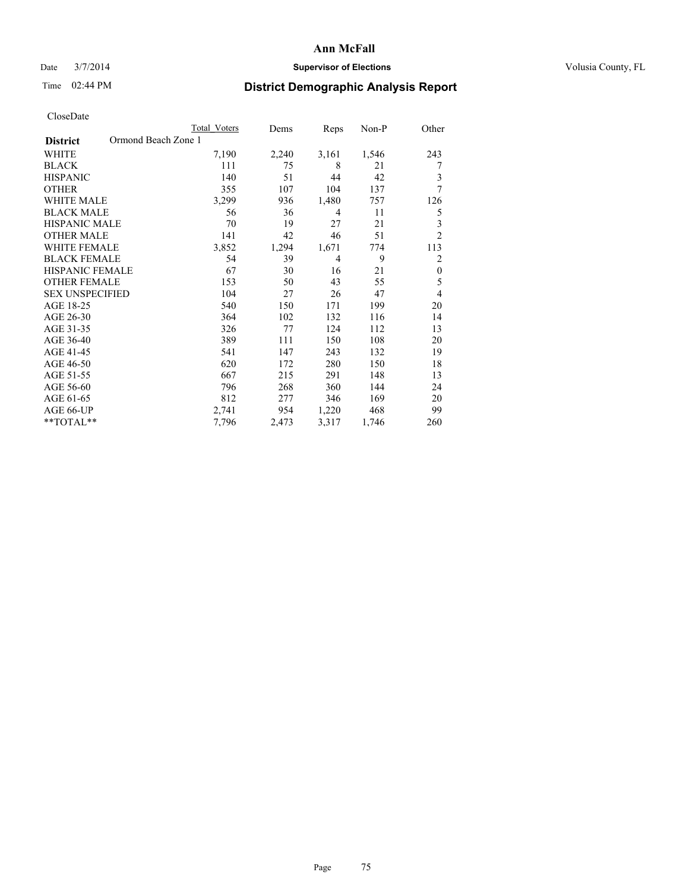## Date  $3/7/2014$  **Supervisor of Elections Supervisor of Elections** Volusia County, FL

# Time 02:44 PM **District Demographic Analysis Report**

|                                        | Total Voters | Dems  | Reps  | Non-P | Other            |
|----------------------------------------|--------------|-------|-------|-------|------------------|
| Ormond Beach Zone 1<br><b>District</b> |              |       |       |       |                  |
| WHITE                                  | 7,190        | 2,240 | 3,161 | 1,546 | 243              |
| <b>BLACK</b>                           | 111          | 75    | 8     | 21    | 7                |
| <b>HISPANIC</b>                        | 140          | 51    | 44    | 42    | 3                |
| <b>OTHER</b>                           | 355          | 107   | 104   | 137   | 7                |
| <b>WHITE MALE</b>                      | 3,299        | 936   | 1,480 | 757   | 126              |
| <b>BLACK MALE</b>                      | 56           | 36    | 4     | 11    | 5                |
| <b>HISPANIC MALE</b>                   | 70           | 19    | 27    | 21    | 3                |
| <b>OTHER MALE</b>                      | 141          | 42    | 46    | 51    | $\overline{c}$   |
| <b>WHITE FEMALE</b>                    | 3,852        | 1,294 | 1,671 | 774   | 113              |
| <b>BLACK FEMALE</b>                    | 54           | 39    | 4     | 9     | $\overline{c}$   |
| <b>HISPANIC FEMALE</b>                 | 67           | 30    | 16    | 21    | $\boldsymbol{0}$ |
| <b>OTHER FEMALE</b>                    | 153          | 50    | 43    | 55    | 5                |
| <b>SEX UNSPECIFIED</b>                 | 104          | 27    | 26    | 47    | 4                |
| AGE 18-25                              | 540          | 150   | 171   | 199   | 20               |
| AGE 26-30                              | 364          | 102   | 132   | 116   | 14               |
| AGE 31-35                              | 326          | 77    | 124   | 112   | 13               |
| AGE 36-40                              | 389          | 111   | 150   | 108   | 20               |
| AGE 41-45                              | 541          | 147   | 243   | 132   | 19               |
| AGE 46-50                              | 620          | 172   | 280   | 150   | 18               |
| AGE 51-55                              | 667          | 215   | 291   | 148   | 13               |
| AGE 56-60                              | 796          | 268   | 360   | 144   | 24               |
| AGE 61-65                              | 812          | 277   | 346   | 169   | 20               |
| AGE 66-UP                              | 2,741        | 954   | 1,220 | 468   | 99               |
| **TOTAL**                              | 7,796        | 2,473 | 3,317 | 1,746 | 260              |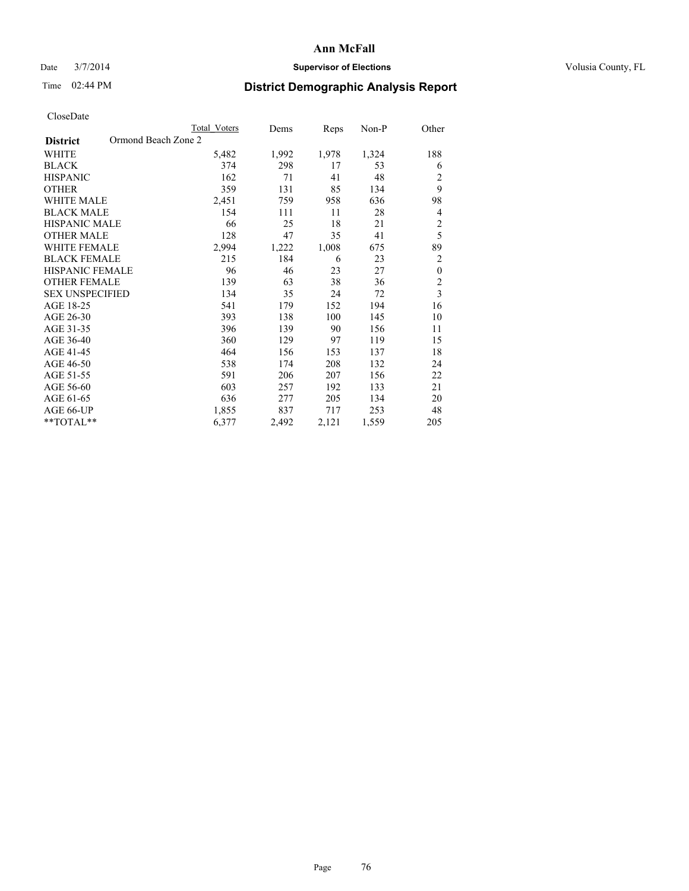## Date  $3/7/2014$  **Supervisor of Elections Supervisor of Elections** Volusia County, FL

# Time 02:44 PM **District Demographic Analysis Report**

|                                        | <b>Total Voters</b> | Dems  | Reps  | Non-P | Other                   |
|----------------------------------------|---------------------|-------|-------|-------|-------------------------|
| Ormond Beach Zone 2<br><b>District</b> |                     |       |       |       |                         |
| WHITE                                  | 5,482               | 1,992 | 1,978 | 1,324 | 188                     |
| <b>BLACK</b>                           | 374                 | 298   | 17    | 53    | 6                       |
| <b>HISPANIC</b>                        | 162                 | 71    | 41    | 48    | $\overline{c}$          |
| <b>OTHER</b>                           | 359                 | 131   | 85    | 134   | 9                       |
| WHITE MALE                             | 2,451               | 759   | 958   | 636   | 98                      |
| <b>BLACK MALE</b>                      | 154                 | 111   | 11    | 28    | 4                       |
| HISPANIC MALE                          | 66                  | 25    | 18    | 21    | $\overline{c}$          |
| <b>OTHER MALE</b>                      | 128                 | 47    | 35    | 41    | 5                       |
| WHITE FEMALE                           | 2,994               | 1,222 | 1,008 | 675   | 89                      |
| <b>BLACK FEMALE</b>                    | 215                 | 184   | 6     | 23    | $\overline{c}$          |
| <b>HISPANIC FEMALE</b>                 | 96                  | 46    | 23    | 27    | $\boldsymbol{0}$        |
| <b>OTHER FEMALE</b>                    | 139                 | 63    | 38    | 36    | $\overline{c}$          |
| <b>SEX UNSPECIFIED</b>                 | 134                 | 35    | 24    | 72    | $\overline{\mathbf{3}}$ |
| AGE 18-25                              | 541                 | 179   | 152   | 194   | 16                      |
| AGE 26-30                              | 393                 | 138   | 100   | 145   | 10                      |
| AGE 31-35                              | 396                 | 139   | 90    | 156   | 11                      |
| AGE 36-40                              | 360                 | 129   | 97    | 119   | 15                      |
| AGE 41-45                              | 464                 | 156   | 153   | 137   | 18                      |
| AGE 46-50                              | 538                 | 174   | 208   | 132   | 24                      |
| AGE 51-55                              | 591                 | 206   | 207   | 156   | 22                      |
| AGE 56-60                              | 603                 | 257   | 192   | 133   | 21                      |
| AGE 61-65                              | 636                 | 277   | 205   | 134   | 20                      |
| AGE 66-UP                              | 1,855               | 837   | 717   | 253   | 48                      |
| **TOTAL**                              | 6,377               | 2,492 | 2,121 | 1,559 | 205                     |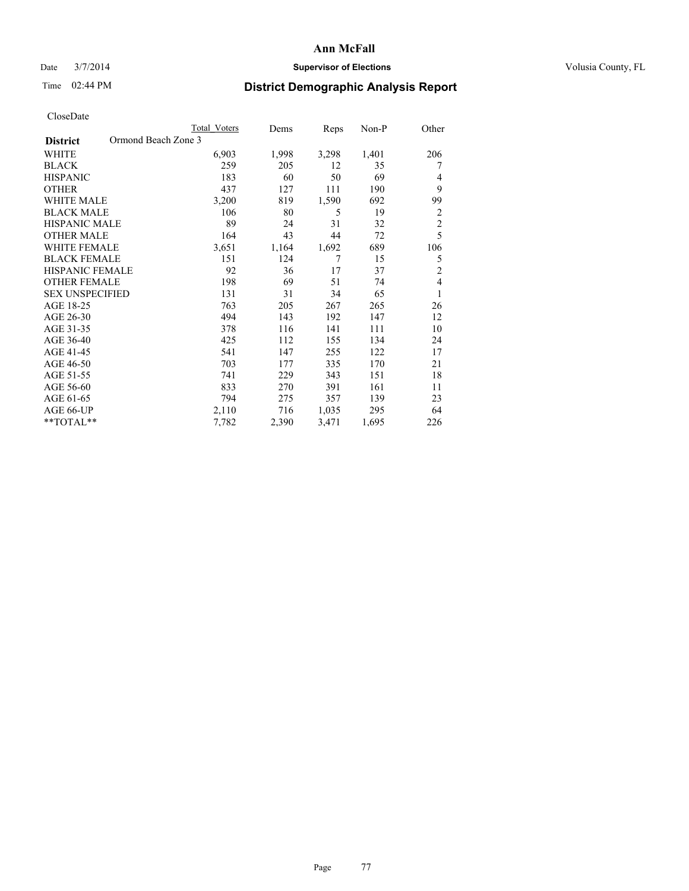## Date  $3/7/2014$  **Supervisor of Elections Supervisor of Elections** Volusia County, FL

# Time 02:44 PM **District Demographic Analysis Report**

|                        | <b>Total Voters</b> | Dems  | Reps  | Non-P | Other          |
|------------------------|---------------------|-------|-------|-------|----------------|
| <b>District</b>        | Ormond Beach Zone 3 |       |       |       |                |
| WHITE                  | 6,903               | 1,998 | 3,298 | 1,401 | 206            |
| <b>BLACK</b>           | 259                 | 205   | 12    | 35    | 7              |
| <b>HISPANIC</b>        | 183                 | 60    | 50    | 69    | 4              |
| <b>OTHER</b>           | 437                 | 127   | 111   | 190   | 9              |
| WHITE MALE             | 3,200               | 819   | 1,590 | 692   | 99             |
| <b>BLACK MALE</b>      | 106                 | 80    | 5     | 19    | 2              |
| <b>HISPANIC MALE</b>   | 89                  | 24    | 31    | 32    | $\overline{c}$ |
| <b>OTHER MALE</b>      | 164                 | 43    | 44    | 72    | 5              |
| WHITE FEMALE           | 3,651               | 1,164 | 1,692 | 689   | 106            |
| <b>BLACK FEMALE</b>    | 151                 | 124   | 7     | 15    | 5              |
| <b>HISPANIC FEMALE</b> | 92                  | 36    | 17    | 37    | $\overline{2}$ |
| <b>OTHER FEMALE</b>    | 198                 | 69    | 51    | 74    | 4              |
| <b>SEX UNSPECIFIED</b> | 131                 | 31    | 34    | 65    | 1              |
| AGE 18-25              | 763                 | 205   | 267   | 265   | 26             |
| AGE 26-30              | 494                 | 143   | 192   | 147   | 12             |
| AGE 31-35              | 378                 | 116   | 141   | 111   | 10             |
| AGE 36-40              | 425                 | 112   | 155   | 134   | 24             |
| AGE 41-45              | 541                 | 147   | 255   | 122   | 17             |
| AGE 46-50              | 703                 | 177   | 335   | 170   | 21             |
| AGE 51-55              | 741                 | 229   | 343   | 151   | 18             |
| AGE 56-60              | 833                 | 270   | 391   | 161   | 11             |
| AGE 61-65              | 794                 | 275   | 357   | 139   | 23             |
| AGE 66-UP              | 2,110               | 716   | 1,035 | 295   | 64             |
| **TOTAL**              | 7,782               | 2,390 | 3,471 | 1,695 | 226            |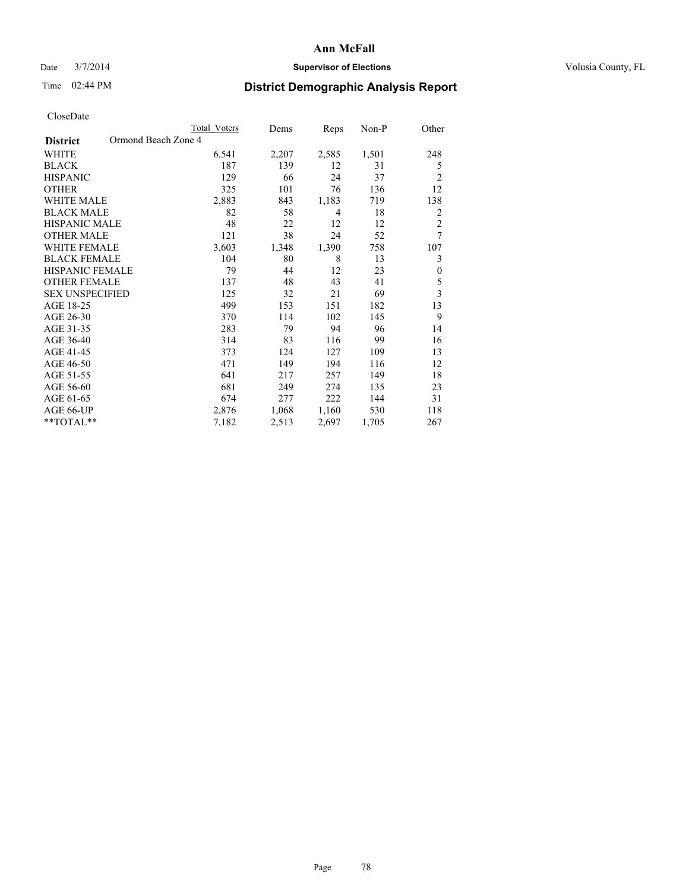## Date  $3/7/2014$  **Supervisor of Elections Supervisor of Elections** Volusia County, FL

# Time 02:44 PM **District Demographic Analysis Report**

|                                        | <b>Total Voters</b> | Dems  | Reps           | Non-P | Other                   |
|----------------------------------------|---------------------|-------|----------------|-------|-------------------------|
| Ormond Beach Zone 4<br><b>District</b> |                     |       |                |       |                         |
| WHITE                                  | 6,541               | 2,207 | 2,585          | 1,501 | 248                     |
| <b>BLACK</b>                           | 187                 | 139   | 12             | 31    | 5                       |
| <b>HISPANIC</b>                        | 129                 | 66    | 24             | 37    | $\overline{2}$          |
| <b>OTHER</b>                           | 325                 | 101   | 76             | 136   | 12                      |
| <b>WHITE MALE</b>                      | 2,883               | 843   | 1,183          | 719   | 138                     |
| <b>BLACK MALE</b>                      | 82                  | 58    | $\overline{4}$ | 18    | 2                       |
| <b>HISPANIC MALE</b>                   | 48                  | 22    | 12             | 12    | $\overline{c}$          |
| <b>OTHER MALE</b>                      | 121                 | 38    | 24             | 52    | 7                       |
| <b>WHITE FEMALE</b>                    | 3,603               | 1,348 | 1,390          | 758   | 107                     |
| <b>BLACK FEMALE</b>                    | 104                 | 80    | 8              | 13    | 3                       |
| <b>HISPANIC FEMALE</b>                 | 79                  | 44    | 12             | 23    | $\boldsymbol{0}$        |
| <b>OTHER FEMALE</b>                    | 137                 | 48    | 43             | 41    | 5                       |
| <b>SEX UNSPECIFIED</b>                 | 125                 | 32    | 21             | 69    | $\overline{\mathbf{3}}$ |
| AGE 18-25                              | 499                 | 153   | 151            | 182   | 13                      |
| AGE 26-30                              | 370                 | 114   | 102            | 145   | 9                       |
| AGE 31-35                              | 283                 | 79    | 94             | 96    | 14                      |
| AGE 36-40                              | 314                 | 83    | 116            | 99    | 16                      |
| AGE 41-45                              | 373                 | 124   | 127            | 109   | 13                      |
| AGE 46-50                              | 471                 | 149   | 194            | 116   | 12                      |
| AGE 51-55                              | 641                 | 217   | 257            | 149   | 18                      |
| AGE 56-60                              | 681                 | 249   | 274            | 135   | 23                      |
| AGE 61-65                              | 674                 | 277   | 222            | 144   | 31                      |
| AGE 66-UP                              | 2,876               | 1,068 | 1,160          | 530   | 118                     |
| **TOTAL**                              | 7,182               | 2,513 | 2,697          | 1,705 | 267                     |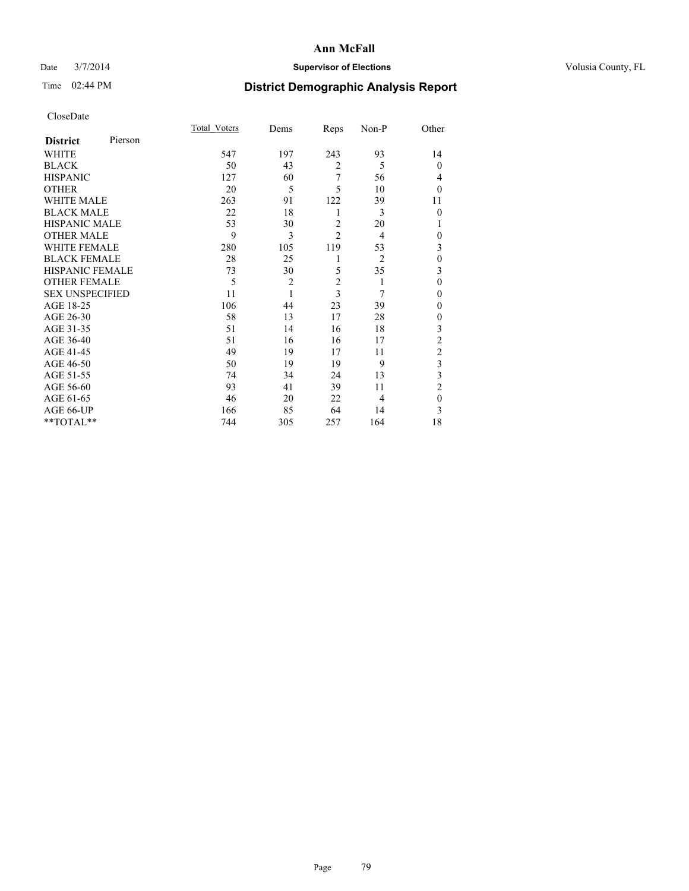## Date  $3/7/2014$  **Supervisor of Elections Supervisor of Elections** Volusia County, FL

# Time 02:44 PM **District Demographic Analysis Report**

|                        |         | <b>Total Voters</b> | Dems           | Reps           | Non-P          | Other                   |
|------------------------|---------|---------------------|----------------|----------------|----------------|-------------------------|
| <b>District</b>        | Pierson |                     |                |                |                |                         |
| WHITE                  |         | 547                 | 197            | 243            | 93             | 14                      |
| <b>BLACK</b>           |         | 50                  | 43             | $\overline{2}$ | 5              | $\overline{0}$          |
| <b>HISPANIC</b>        |         | 127                 | 60             | 7              | 56             | 4                       |
| <b>OTHER</b>           |         | 20                  | 5              | 5              | 10             | $\theta$                |
| WHITE MALE             |         | 263                 | 91             | 122            | 39             | 11                      |
| <b>BLACK MALE</b>      |         | 22                  | 18             | 1              | 3              | $\theta$                |
| <b>HISPANIC MALE</b>   |         | 53                  | 30             | $\overline{2}$ | 20             | 1                       |
| <b>OTHER MALE</b>      |         | 9                   | 3              | $\overline{c}$ | $\overline{4}$ | $\theta$                |
| <b>WHITE FEMALE</b>    |         | 280                 | 105            | 119            | 53             | 3                       |
| <b>BLACK FEMALE</b>    |         | 28                  | 25             | 1              | $\overline{2}$ | $\mathbf{0}$            |
| <b>HISPANIC FEMALE</b> |         | 73                  | 30             | 5              | 35             | 3                       |
| <b>OTHER FEMALE</b>    |         | 5                   | $\overline{c}$ | $\overline{c}$ | 1              | $\theta$                |
| <b>SEX UNSPECIFIED</b> |         | 11                  | $\mathbf{1}$   | $\overline{3}$ | 7              | $\mathbf{0}$            |
| AGE 18-25              |         | 106                 | 44             | 23             | 39             | $\theta$                |
| AGE 26-30              |         | 58                  | 13             | 17             | 28             | $\mathbf{0}$            |
| AGE 31-35              |         | 51                  | 14             | 16             | 18             | $\overline{\mathbf{3}}$ |
| AGE 36-40              |         | 51                  | 16             | 16             | 17             | $\overline{c}$          |
| AGE 41-45              |         | 49                  | 19             | 17             | 11             | $\overline{c}$          |
| AGE 46-50              |         | 50                  | 19             | 19             | 9              | 3                       |
| AGE 51-55              |         | 74                  | 34             | 24             | 13             | $\overline{\mathbf{3}}$ |
| AGE 56-60              |         | 93                  | 41             | 39             | 11             | $\overline{2}$          |
| AGE 61-65              |         | 46                  | 20             | 22             | $\overline{4}$ | $\mathbf{0}$            |
| AGE 66-UP              |         | 166                 | 85             | 64             | 14             | 3                       |
| **TOTAL**              |         | 744                 | 305            | 257            | 164            | 18                      |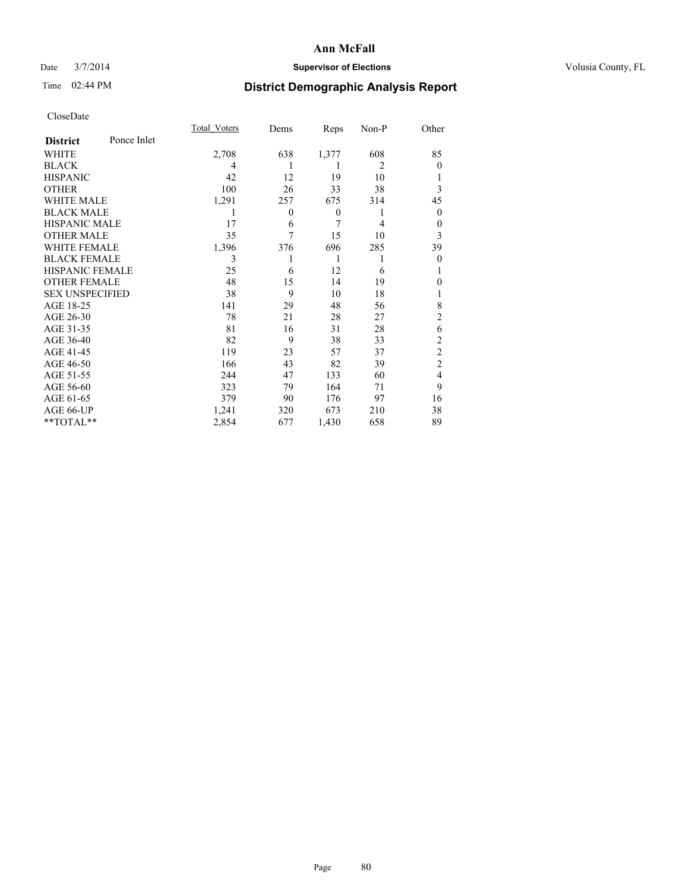## Date  $3/7/2014$  **Supervisor of Elections Supervisor of Elections** Volusia County, FL

# Time 02:44 PM **District Demographic Analysis Report**

|                        |             | <b>Total Voters</b> | Dems     | Reps             | Non-P          | Other          |
|------------------------|-------------|---------------------|----------|------------------|----------------|----------------|
| <b>District</b>        | Ponce Inlet |                     |          |                  |                |                |
| WHITE                  |             | 2,708               | 638      | 1,377            | 608            | 85             |
| <b>BLACK</b>           |             | 4                   |          | 1                | $\overline{c}$ | $\Omega$       |
| <b>HISPANIC</b>        |             | 42                  | 12       | 19               | 10             |                |
| <b>OTHER</b>           |             | 100                 | 26       | 33               | 38             | 3              |
| WHITE MALE             |             | 1,291               | 257      | 675              | 314            | 45             |
| <b>BLACK MALE</b>      |             | 1                   | $\theta$ | $\boldsymbol{0}$ | 1              | $\overline{0}$ |
| <b>HISPANIC MALE</b>   |             | 17                  | 6        | 7                | 4              | 0              |
| <b>OTHER MALE</b>      |             | 35                  | 7        | 15               | 10             | 3              |
| <b>WHITE FEMALE</b>    |             | 1,396               | 376      | 696              | 285            | 39             |
| <b>BLACK FEMALE</b>    |             | 3                   |          | 1                | 1              | $\overline{0}$ |
| <b>HISPANIC FEMALE</b> |             | 25                  | 6        | 12               | 6              |                |
| <b>OTHER FEMALE</b>    |             | 48                  | 15       | 14               | 19             | $\theta$       |
| <b>SEX UNSPECIFIED</b> |             | 38                  | 9        | 10               | 18             |                |
| AGE 18-25              |             | 141                 | 29       | 48               | 56             | 8              |
| AGE 26-30              |             | 78                  | 21       | 28               | 27             | $\overline{2}$ |
| AGE 31-35              |             | 81                  | 16       | 31               | 28             | 6              |
| AGE 36-40              |             | 82                  | 9        | 38               | 33             | $\overline{c}$ |
| AGE 41-45              |             | 119                 | 23       | 57               | 37             | $\overline{c}$ |
| AGE 46-50              |             | 166                 | 43       | 82               | 39             | $\overline{2}$ |
| AGE 51-55              |             | 244                 | 47       | 133              | 60             | $\overline{4}$ |
| AGE 56-60              |             | 323                 | 79       | 164              | 71             | 9              |
| AGE 61-65              |             | 379                 | 90       | 176              | 97             | 16             |
| AGE 66-UP              |             | 1,241               | 320      | 673              | 210            | 38             |
| **TOTAL**              |             | 2,854               | 677      | 1,430            | 658            | 89             |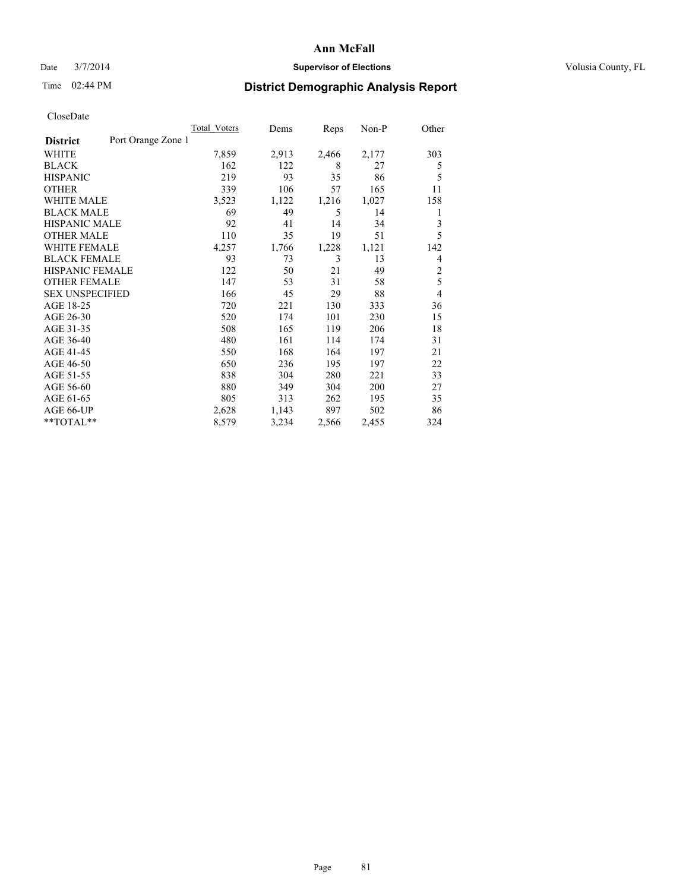## Date  $3/7/2014$  **Supervisor of Elections Supervisor of Elections** Volusia County, FL

# Time 02:44 PM **District Demographic Analysis Report**

|                        |                    | <b>Total Voters</b> | Dems  | Reps  | Non-P | Other          |
|------------------------|--------------------|---------------------|-------|-------|-------|----------------|
| <b>District</b>        | Port Orange Zone 1 |                     |       |       |       |                |
| WHITE                  |                    | 7,859               | 2,913 | 2,466 | 2,177 | 303            |
| <b>BLACK</b>           |                    | 162                 | 122   | 8     | 27    | 5              |
| <b>HISPANIC</b>        |                    | 219                 | 93    | 35    | 86    | 5              |
| <b>OTHER</b>           |                    | 339                 | 106   | 57    | 165   | 11             |
| <b>WHITE MALE</b>      |                    | 3,523               | 1,122 | 1,216 | 1,027 | 158            |
| <b>BLACK MALE</b>      |                    | 69                  | 49    | 5     | 14    | 1              |
| <b>HISPANIC MALE</b>   |                    | 92                  | 41    | 14    | 34    | 3              |
| <b>OTHER MALE</b>      |                    | 110                 | 35    | 19    | 51    | 5              |
| <b>WHITE FEMALE</b>    |                    | 4,257               | 1,766 | 1,228 | 1,121 | 142            |
| <b>BLACK FEMALE</b>    |                    | 93                  | 73    | 3     | 13    | 4              |
| <b>HISPANIC FEMALE</b> |                    | 122                 | 50    | 21    | 49    | $\overline{2}$ |
| <b>OTHER FEMALE</b>    |                    | 147                 | 53    | 31    | 58    | 5              |
| <b>SEX UNSPECIFIED</b> |                    | 166                 | 45    | 29    | 88    | $\overline{4}$ |
| AGE 18-25              |                    | 720                 | 221   | 130   | 333   | 36             |
| AGE 26-30              |                    | 520                 | 174   | 101   | 230   | 15             |
| AGE 31-35              |                    | 508                 | 165   | 119   | 206   | 18             |
| AGE 36-40              |                    | 480                 | 161   | 114   | 174   | 31             |
| AGE 41-45              |                    | 550                 | 168   | 164   | 197   | 21             |
| AGE 46-50              |                    | 650                 | 236   | 195   | 197   | 22             |
| AGE 51-55              |                    | 838                 | 304   | 280   | 221   | 33             |
| AGE 56-60              |                    | 880                 | 349   | 304   | 200   | 27             |
| AGE 61-65              |                    | 805                 | 313   | 262   | 195   | 35             |
| AGE 66-UP              |                    | 2,628               | 1,143 | 897   | 502   | 86             |
| **TOTAL**              |                    | 8,579               | 3,234 | 2,566 | 2,455 | 324            |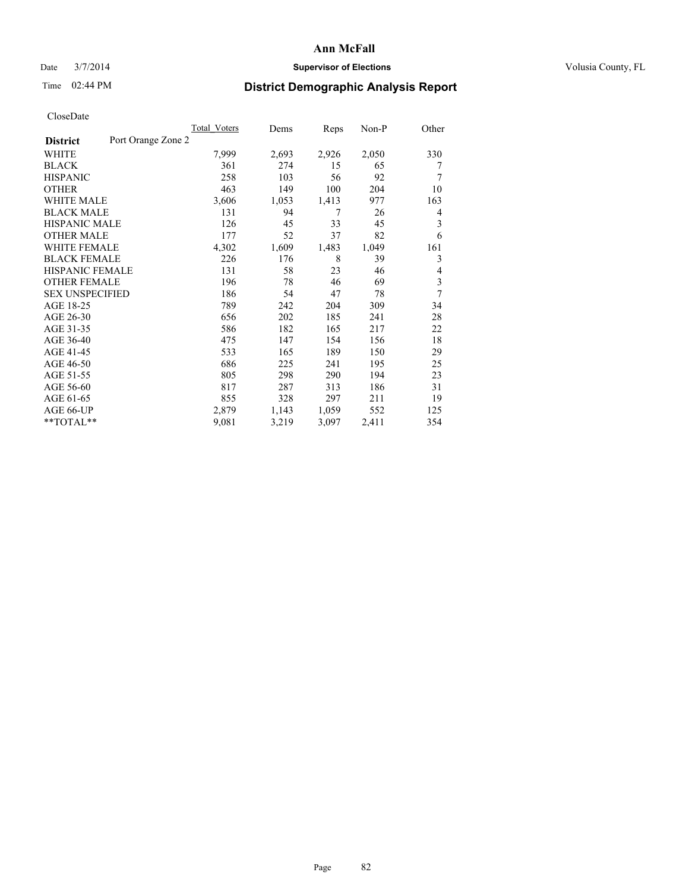### Date  $3/7/2014$  **Supervisor of Elections Supervisor of Elections** Volusia County, FL

# Time 02:44 PM **District Demographic Analysis Report**

|                                       | <b>Total Voters</b> | Dems  | Reps  | Non-P | Other |
|---------------------------------------|---------------------|-------|-------|-------|-------|
| Port Orange Zone 2<br><b>District</b> |                     |       |       |       |       |
| WHITE                                 | 7,999               | 2,693 | 2,926 | 2,050 | 330   |
| <b>BLACK</b>                          | 361                 | 274   | 15    | 65    | 7     |
| <b>HISPANIC</b>                       | 258                 | 103   | 56    | 92    | 7     |
| <b>OTHER</b>                          | 463                 | 149   | 100   | 204   | 10    |
| <b>WHITE MALE</b>                     | 3,606               | 1,053 | 1,413 | 977   | 163   |
| <b>BLACK MALE</b>                     | 131                 | 94    | 7     | 26    | 4     |
| <b>HISPANIC MALE</b>                  | 126                 | 45    | 33    | 45    | 3     |
| <b>OTHER MALE</b>                     | 177                 | 52    | 37    | 82    | 6     |
| <b>WHITE FEMALE</b>                   | 4,302               | 1,609 | 1,483 | 1,049 | 161   |
| <b>BLACK FEMALE</b>                   | 226                 | 176   | 8     | 39    | 3     |
| HISPANIC FEMALE                       | 131                 | 58    | 23    | 46    | 4     |
| <b>OTHER FEMALE</b>                   | 196                 | 78    | 46    | 69    | 3     |
| <b>SEX UNSPECIFIED</b>                | 186                 | 54    | 47    | 78    | 7     |
| AGE 18-25                             | 789                 | 242   | 204   | 309   | 34    |
| AGE 26-30                             | 656                 | 202   | 185   | 241   | 28    |
| AGE 31-35                             | 586                 | 182   | 165   | 217   | 22    |
| AGE 36-40                             | 475                 | 147   | 154   | 156   | 18    |
| AGE 41-45                             | 533                 | 165   | 189   | 150   | 29    |
| AGE 46-50                             | 686                 | 225   | 241   | 195   | 25    |
| AGE 51-55                             | 805                 | 298   | 290   | 194   | 23    |
| AGE 56-60                             | 817                 | 287   | 313   | 186   | 31    |
| AGE 61-65                             | 855                 | 328   | 297   | 211   | 19    |
| AGE 66-UP                             | 2,879               | 1,143 | 1,059 | 552   | 125   |
| $*$ $TOTAL**$                         | 9,081               | 3,219 | 3,097 | 2,411 | 354   |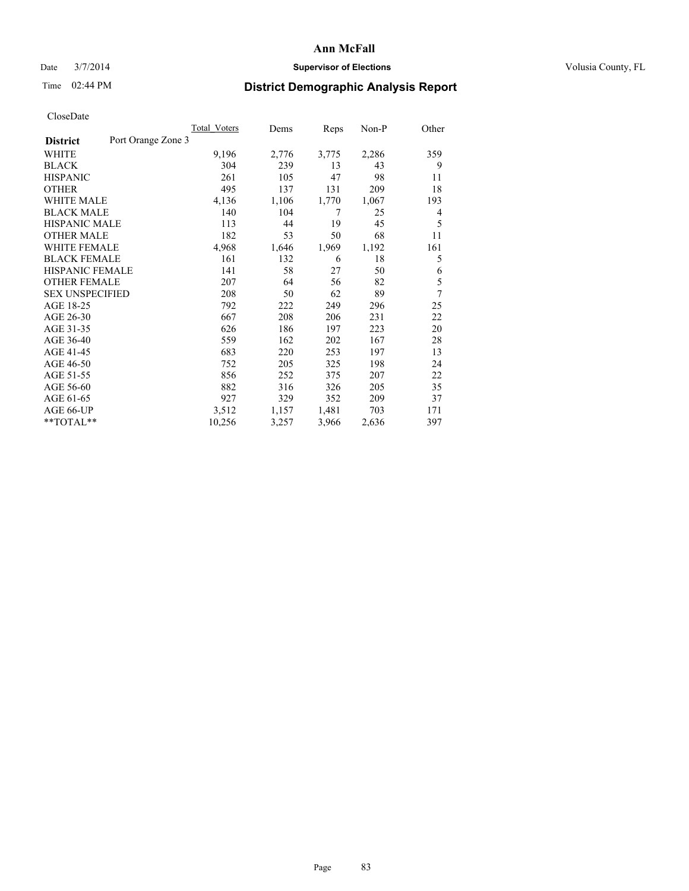## Date  $3/7/2014$  **Supervisor of Elections Supervisor of Elections** Volusia County, FL

# Time 02:44 PM **District Demographic Analysis Report**

|                        |                    | <b>Total Voters</b> | Dems  | Reps  | Non-P | Other |
|------------------------|--------------------|---------------------|-------|-------|-------|-------|
| <b>District</b>        | Port Orange Zone 3 |                     |       |       |       |       |
| WHITE                  |                    | 9,196               | 2,776 | 3,775 | 2,286 | 359   |
| <b>BLACK</b>           |                    | 304                 | 239   | 13    | 43    | 9     |
| <b>HISPANIC</b>        |                    | 261                 | 105   | 47    | 98    | 11    |
| <b>OTHER</b>           |                    | 495                 | 137   | 131   | 209   | 18    |
| WHITE MALE             |                    | 4,136               | 1,106 | 1,770 | 1,067 | 193   |
| <b>BLACK MALE</b>      |                    | 140                 | 104   | 7     | 25    | 4     |
| <b>HISPANIC MALE</b>   |                    | 113                 | 44    | 19    | 45    | 5     |
| <b>OTHER MALE</b>      |                    | 182                 | 53    | 50    | 68    | 11    |
| <b>WHITE FEMALE</b>    |                    | 4,968               | 1,646 | 1,969 | 1,192 | 161   |
| <b>BLACK FEMALE</b>    |                    | 161                 | 132   | 6     | 18    | 5     |
| <b>HISPANIC FEMALE</b> |                    | 141                 | 58    | 27    | 50    | 6     |
| <b>OTHER FEMALE</b>    |                    | 207                 | 64    | 56    | 82    | 5     |
| <b>SEX UNSPECIFIED</b> |                    | 208                 | 50    | 62    | 89    | 7     |
| AGE 18-25              |                    | 792                 | 222   | 249   | 296   | 25    |
| AGE 26-30              |                    | 667                 | 208   | 206   | 231   | 22    |
| AGE 31-35              |                    | 626                 | 186   | 197   | 223   | 20    |
| AGE 36-40              |                    | 559                 | 162   | 202   | 167   | 28    |
| AGE 41-45              |                    | 683                 | 220   | 253   | 197   | 13    |
| AGE 46-50              |                    | 752                 | 205   | 325   | 198   | 24    |
| AGE 51-55              |                    | 856                 | 252   | 375   | 207   | 22    |
| AGE 56-60              |                    | 882                 | 316   | 326   | 205   | 35    |
| AGE 61-65              |                    | 927                 | 329   | 352   | 209   | 37    |
| AGE 66-UP              |                    | 3,512               | 1,157 | 1,481 | 703   | 171   |
| **TOTAL**              |                    | 10,256              | 3,257 | 3,966 | 2,636 | 397   |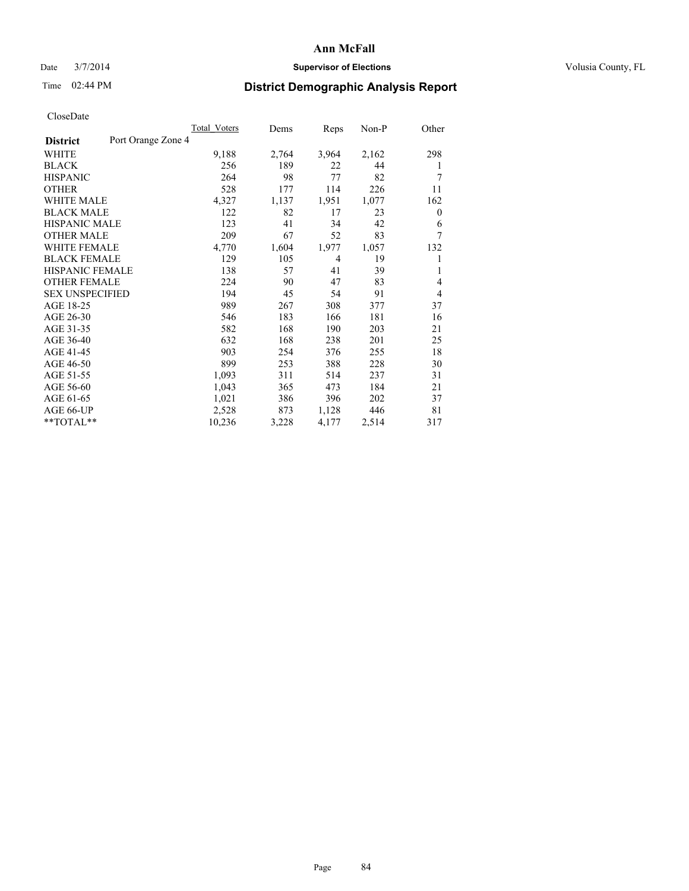## Date  $3/7/2014$  **Supervisor of Elections Supervisor of Elections** Volusia County, FL

# Time 02:44 PM **District Demographic Analysis Report**

|                                       | <b>Total Voters</b> | Dems  | Reps  | Non-P | Other    |
|---------------------------------------|---------------------|-------|-------|-------|----------|
| Port Orange Zone 4<br><b>District</b> |                     |       |       |       |          |
| WHITE                                 | 9,188               | 2,764 | 3,964 | 2,162 | 298      |
| <b>BLACK</b>                          | 256                 | 189   | 22    | 44    | 1        |
| <b>HISPANIC</b>                       | 264                 | 98    | 77    | 82    | 7        |
| <b>OTHER</b>                          | 528                 | 177   | 114   | 226   | 11       |
| <b>WHITE MALE</b>                     | 4,327               | 1,137 | 1,951 | 1,077 | 162      |
| <b>BLACK MALE</b>                     | 122                 | 82    | 17    | 23    | $\theta$ |
| HISPANIC MALE                         | 123                 | 41    | 34    | 42    | 6        |
| <b>OTHER MALE</b>                     | 209                 | 67    | 52    | 83    | 7        |
| <b>WHITE FEMALE</b>                   | 4,770               | 1,604 | 1,977 | 1,057 | 132      |
| <b>BLACK FEMALE</b>                   | 129                 | 105   | 4     | 19    |          |
| <b>HISPANIC FEMALE</b>                | 138                 | 57    | 41    | 39    | 1        |
| <b>OTHER FEMALE</b>                   | 224                 | 90    | 47    | 83    | 4        |
| <b>SEX UNSPECIFIED</b>                | 194                 | 45    | 54    | 91    | 4        |
| AGE 18-25                             | 989                 | 267   | 308   | 377   | 37       |
| AGE 26-30                             | 546                 | 183   | 166   | 181   | 16       |
| AGE 31-35                             | 582                 | 168   | 190   | 203   | 21       |
| AGE 36-40                             | 632                 | 168   | 238   | 201   | 25       |
| AGE 41-45                             | 903                 | 254   | 376   | 255   | 18       |
| AGE 46-50                             | 899                 | 253   | 388   | 228   | 30       |
| AGE 51-55                             | 1,093               | 311   | 514   | 237   | 31       |
| AGE 56-60                             | 1,043               | 365   | 473   | 184   | 21       |
| AGE 61-65                             | 1,021               | 386   | 396   | 202   | 37       |
| AGE 66-UP                             | 2,528               | 873   | 1,128 | 446   | 81       |
| $*$ $TOTAL**$                         | 10,236              | 3,228 | 4,177 | 2,514 | 317      |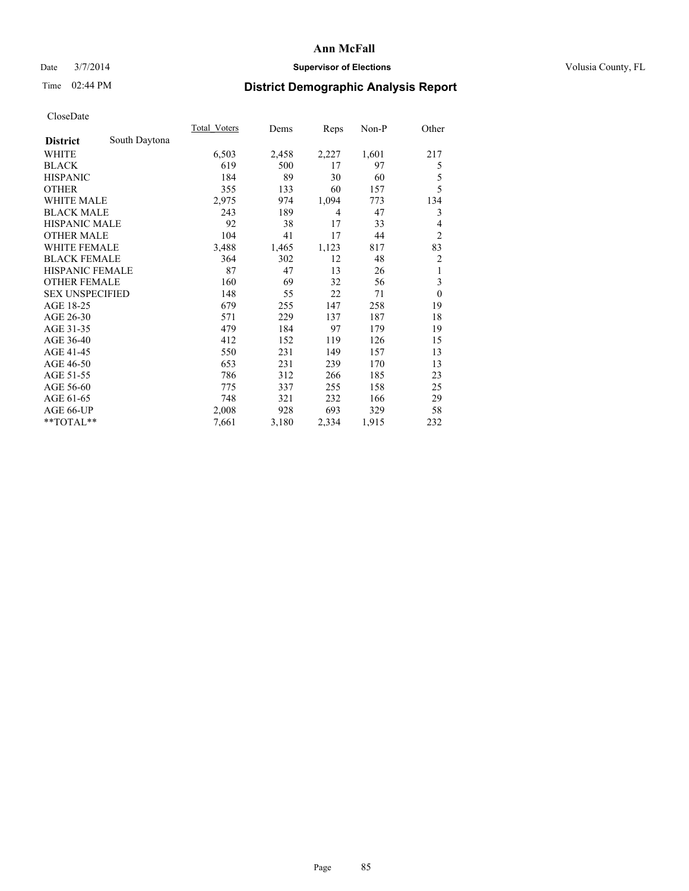## Date  $3/7/2014$  **Supervisor of Elections Supervisor of Elections** Volusia County, FL

# Time 02:44 PM **District Demographic Analysis Report**

|                        |               | Total Voters | Dems  | Reps  | $Non-P$ | Other          |
|------------------------|---------------|--------------|-------|-------|---------|----------------|
| <b>District</b>        | South Daytona |              |       |       |         |                |
| WHITE                  |               | 6,503        | 2,458 | 2,227 | 1,601   | 217            |
| <b>BLACK</b>           |               | 619          | 500   | 17    | 97      | 5              |
| <b>HISPANIC</b>        |               | 184          | 89    | 30    | 60      | 5              |
| <b>OTHER</b>           |               | 355          | 133   | 60    | 157     | 5              |
| <b>WHITE MALE</b>      |               | 2,975        | 974   | 1,094 | 773     | 134            |
| <b>BLACK MALE</b>      |               | 243          | 189   | 4     | 47      | 3              |
| <b>HISPANIC MALE</b>   |               | 92           | 38    | 17    | 33      | 4              |
| <b>OTHER MALE</b>      |               | 104          | 41    | 17    | 44      | $\overline{2}$ |
| <b>WHITE FEMALE</b>    |               | 3,488        | 1,465 | 1,123 | 817     | 83             |
| <b>BLACK FEMALE</b>    |               | 364          | 302   | 12    | 48      | 2              |
| HISPANIC FEMALE        |               | 87           | 47    | 13    | 26      | 1              |
| <b>OTHER FEMALE</b>    |               | 160          | 69    | 32    | 56      | 3              |
| <b>SEX UNSPECIFIED</b> |               | 148          | 55    | 22    | 71      | $\theta$       |
| AGE 18-25              |               | 679          | 255   | 147   | 258     | 19             |
| AGE 26-30              |               | 571          | 229   | 137   | 187     | 18             |
| AGE 31-35              |               | 479          | 184   | 97    | 179     | 19             |
| AGE 36-40              |               | 412          | 152   | 119   | 126     | 15             |
| AGE 41-45              |               | 550          | 231   | 149   | 157     | 13             |
| AGE 46-50              |               | 653          | 231   | 239   | 170     | 13             |
| AGE 51-55              |               | 786          | 312   | 266   | 185     | 23             |
| AGE 56-60              |               | 775          | 337   | 255   | 158     | 25             |
| AGE 61-65              |               | 748          | 321   | 232   | 166     | 29             |
| AGE 66-UP              |               | 2,008        | 928   | 693   | 329     | 58             |
| **TOTAL**              |               | 7,661        | 3,180 | 2,334 | 1,915   | 232            |